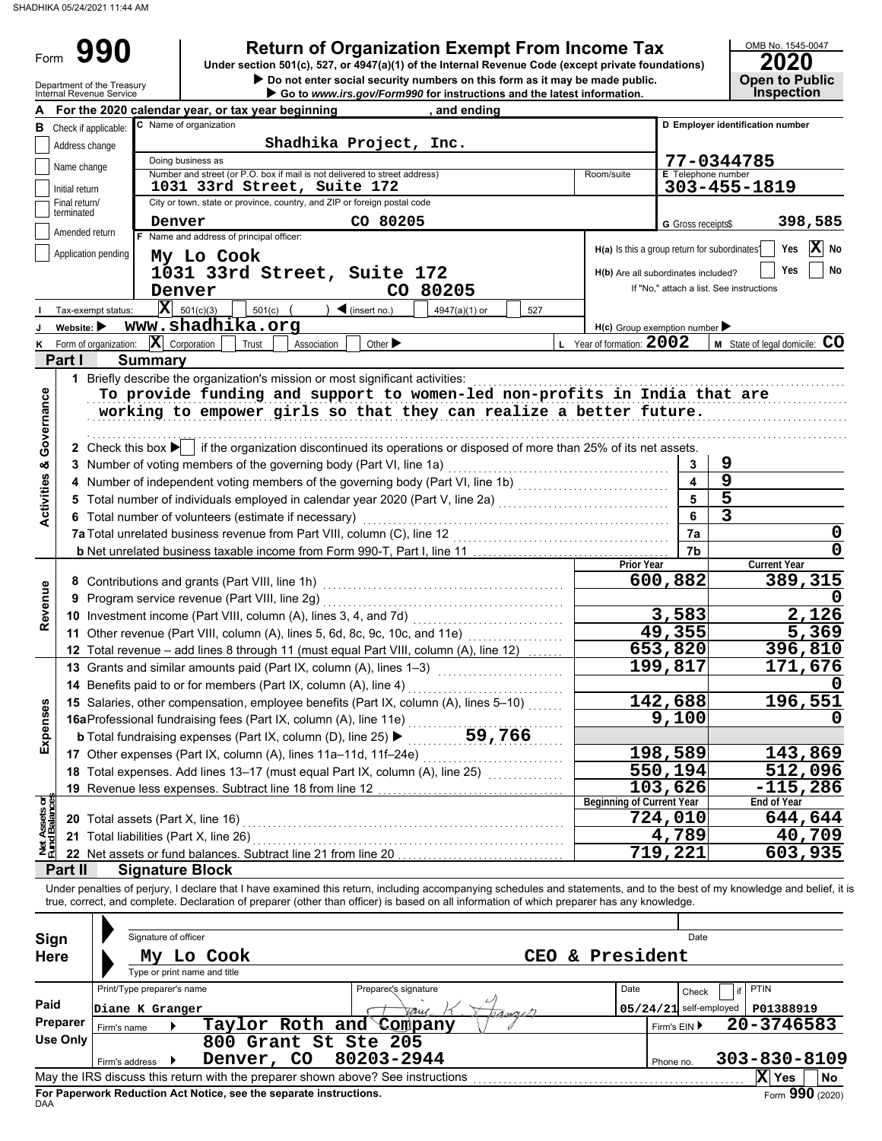Form 990

# **990 a 2020 2010 2020 2020 2020 2020 2020 2020 2020 2020 2020 2020 2020 2020 2020 2020 2020 2020 2020 2020 2020 2020 2020 2020 2020 2020 2020 2020 2020 2020 2**

 $\triangleright$  Do not enter social security numbers on this form as it may be made public.

| OMB No. 1545-0047     |
|-----------------------|
| 2020                  |
|                       |
| <b>Open to Public</b> |

|                                | Department of the Treasury<br>Internal Revenue Service | chtch social scearity humbers on this form as it may be made public.<br>Go to www.irs.gov/Form990 for instructions and the latest information.                          |                                               | ONGH IO I UNIIU<br><b>Inspection</b> |
|--------------------------------|--------------------------------------------------------|-------------------------------------------------------------------------------------------------------------------------------------------------------------------------|-----------------------------------------------|--------------------------------------|
|                                |                                                        | For the 2020 calendar year, or tax year beginning<br>, and ending                                                                                                       |                                               |                                      |
|                                | <b>B</b> Check if applicable:                          | C Name of organization                                                                                                                                                  |                                               | D Employer identification number     |
|                                | Address change                                         | Shadhika Project, Inc.                                                                                                                                                  |                                               |                                      |
|                                | Name change                                            | Doing business as                                                                                                                                                       |                                               | 77-0344785                           |
|                                |                                                        | Number and street (or P.O. box if mail is not delivered to street address)<br>Room/suite                                                                                | <b>E</b> Telephone number                     |                                      |
|                                | Initial return                                         | 1031 33rd Street, Suite 172                                                                                                                                             |                                               | 303-455-1819                         |
|                                | Final return/<br>terminated                            | City or town, state or province, country, and ZIP or foreign postal code                                                                                                |                                               |                                      |
|                                |                                                        | CO 80205<br>Denver                                                                                                                                                      | G Gross receipts\$                            | 398,585                              |
|                                | Amended return                                         | F Name and address of principal officer:                                                                                                                                |                                               |                                      |
|                                | Application pending                                    | My Lo Cook                                                                                                                                                              | H(a) Is this a group return for subordinates? | X<br>Yes<br>No                       |
|                                |                                                        | 1031 33rd Street, Suite 172                                                                                                                                             | H(b) Are all subordinates included?           | Yes<br>No                            |
|                                |                                                        | CO 80205<br>Denver                                                                                                                                                      | If "No," attach a list. See instructions      |                                      |
|                                | Tax-exempt status:                                     | $ \mathbf{X} $ 501(c)(3)<br>501(c)<br>$\blacktriangleleft$ (insert no.)<br>4947(a)(1) or<br>527                                                                         |                                               |                                      |
|                                | Website:                                               | www.shadhika.org                                                                                                                                                        | $H(c)$ Group exemption number                 |                                      |
|                                | Form of organization:                                  | L Year of formation: 2002<br>$ \mathbf{X} $ Corporation<br>Other $\blacktriangleright$<br>Trust<br>Association                                                          |                                               | M State of legal domicile: CO        |
|                                | Part I                                                 | <b>Summary</b>                                                                                                                                                          |                                               |                                      |
|                                |                                                        |                                                                                                                                                                         |                                               |                                      |
|                                |                                                        | 1 Briefly describe the organization's mission or most significant activities:                                                                                           |                                               |                                      |
| Governance                     |                                                        | To provide funding and support to women-led non-profits in India that are                                                                                               |                                               |                                      |
|                                |                                                        | working to empower girls so that they can realize a better future.                                                                                                      |                                               |                                      |
|                                |                                                        |                                                                                                                                                                         |                                               |                                      |
|                                |                                                        | 2 Check this box $\blacktriangleright$ if the organization discontinued its operations or disposed of more than 25% of its net assets.                                  |                                               |                                      |
|                                |                                                        | 3 Number of voting members of the governing body (Part VI, line 1a)                                                                                                     | 3                                             | 9                                    |
|                                |                                                        | 4 Number of independent voting members of the governing body (Part VI, line 1b) [11] [11] Number of independent voting members of the governing body (Part VI, line 1b) | $\overline{\mathbf{4}}$                       | $\overline{9}$                       |
| <b>Activities &amp;</b>        |                                                        |                                                                                                                                                                         | 5                                             | 5                                    |
|                                |                                                        | 6 Total number of volunteers (estimate if necessary)                                                                                                                    | 6                                             | 3                                    |
|                                |                                                        | 7a Total unrelated business revenue from Part VIII, column (C), line 12                                                                                                 | 7a                                            | 0                                    |
|                                |                                                        |                                                                                                                                                                         | 7b                                            | $\mathbf 0$                          |
|                                |                                                        |                                                                                                                                                                         | <b>Prior Year</b>                             | <b>Current Year</b>                  |
|                                |                                                        | 8 Contributions and grants (Part VIII, line 1h)                                                                                                                         | 600,882                                       | 389,315                              |
| Revenue                        |                                                        | 9 Program service revenue (Part VIII, line 2g)                                                                                                                          |                                               |                                      |
|                                |                                                        | 10 Investment income (Part VIII, column (A), lines 3, 4, and 7d)                                                                                                        | 3,583                                         | 2,126                                |
|                                |                                                        | 11 Other revenue (Part VIII, column (A), lines 5, 6d, 8c, 9c, 10c, and 11e)                                                                                             | 49,355                                        | 5,369                                |
|                                |                                                        | .<br>12 Total revenue - add lines 8 through 11 (must equal Part VIII, column (A), line 12)                                                                              | 653,820                                       | 396,810                              |
|                                |                                                        | 13 Grants and similar amounts paid (Part IX, column (A), lines 1-3)                                                                                                     | 199,817                                       | 171,676                              |
|                                |                                                        | 14 Benefits paid to or for members (Part IX, column (A), line 4)                                                                                                        |                                               |                                      |
|                                |                                                        |                                                                                                                                                                         |                                               | 196,551                              |
| Expenses                       |                                                        | 15 Salaries, other compensation, employee benefits (Part IX, column (A), lines 5-10)                                                                                    | 142,688                                       |                                      |
|                                |                                                        | 16aProfessional fundraising fees (Part IX, column (A), line 11e)                                                                                                        | 9,100                                         | 0                                    |
|                                |                                                        | 59,766<br><b>b</b> Total fundraising expenses (Part IX, column (D), line 25) ▶                                                                                          |                                               |                                      |
|                                |                                                        | 17 Other expenses (Part IX, column (A), lines 11a-11d, 11f-24e)                                                                                                         | 198,589                                       | 143,869                              |
|                                |                                                        | 18 Total expenses. Add lines 13-17 (must equal Part IX, column (A), line 25)                                                                                            | 550,194                                       | $\overline{512,096}$                 |
|                                |                                                        | 19 Revenue less expenses. Subtract line 18 from line 12                                                                                                                 | 103,626                                       | $-115,286$                           |
| Net Assets or<br>Fund Balances |                                                        |                                                                                                                                                                         | <b>Beginning of Current Year</b>              | End of Year                          |
|                                |                                                        | 20 Total assets (Part X, line 16)                                                                                                                                       | 724,010                                       | 644,644                              |
|                                |                                                        | 21 Total liabilities (Part X, line 26)                                                                                                                                  | 4,789                                         | 40,709                               |
|                                |                                                        | 22 Net assets or fund balances. Subtract line 21 from line 20                                                                                                           | 719,221                                       | 603,935                              |
|                                | Part II                                                | <b>Signature Block</b>                                                                                                                                                  |                                               |                                      |
|                                |                                                        | Under penalties of perjury, I declare that I have examined this return, including accompanying schedules and statements, and to the best of my knowledge and belief, it |                                               |                                      |
|                                |                                                        | true, correct, and complete. Declaration of preparer (other than officer) is based on all information of which preparer has any knowledge.                              |                                               |                                      |
|                                |                                                        |                                                                                                                                                                         |                                               |                                      |
|                                | Sign                                                   | Signature of officer                                                                                                                                                    | Date                                          |                                      |
|                                | <b>Here</b>                                            | CEO & President<br>My Lo Cook                                                                                                                                           |                                               |                                      |
|                                |                                                        | Type or print name and title                                                                                                                                            |                                               |                                      |
|                                |                                                        | Print/Type preparer's name<br>Preparex's signature<br>Date                                                                                                              | Check                                         | PTIN                                 |
| Paid                           |                                                        | Diane K Granger                                                                                                                                                         | $05/24/21$ self-employed                      | P01388919                            |
|                                | Preparer                                               | aru<br>rangen<br>Taylor Roth and Company                                                                                                                                |                                               | 20-3746583                           |
|                                | Firm's name<br><b>Use Only</b>                         |                                                                                                                                                                         | Firm's EIN ▶                                  |                                      |
|                                |                                                        | 800 Grant St Ste 205                                                                                                                                                    |                                               |                                      |
|                                |                                                        | 80203-2944<br>Denver, CO<br>Firm's address                                                                                                                              | Phone no.                                     | 303-830-8109                         |
|                                |                                                        | May the IRS discuss this return with the preparer shown above? See instructions                                                                                         |                                               | X Yes<br>No                          |

| Sign        | Signature of officer<br>President<br>Lo Cook<br>CEO<br>&.<br>My |  |                                                                    |  |  |                                                                                 |  |                          | Date         |                    |                 |
|-------------|-----------------------------------------------------------------|--|--------------------------------------------------------------------|--|--|---------------------------------------------------------------------------------|--|--------------------------|--------------|--------------------|-----------------|
| <b>Here</b> |                                                                 |  | Type or print name and title                                       |  |  |                                                                                 |  |                          |              |                    |                 |
|             | Print/Type preparer's name                                      |  |                                                                    |  |  | Preparex's signature                                                            |  | Date                     | Check        | <b>PTIN</b>        |                 |
| Paid        | Diane K Granger                                                 |  |                                                                    |  |  | Jany<br>hangel                                                                  |  | $05/24/21$ self-employed |              | P01388919          |                 |
| Preparer    | Firm's name                                                     |  |                                                                    |  |  | Taylor Roth and Company                                                         |  |                          | Firm's $EIN$ | 20-3746583         |                 |
| Use Only    |                                                                 |  | 800 Grant St Ste 205                                               |  |  |                                                                                 |  |                          |              |                    |                 |
|             | Firm's address                                                  |  | Denver, CO                                                         |  |  | 80203-2944                                                                      |  |                          | Phone no.    | $303 - 830 - 8109$ |                 |
|             |                                                                 |  |                                                                    |  |  | May the IRS discuss this return with the preparer shown above? See instructions |  |                          |              | ΙXΙ<br>Yes         | <b>No</b>       |
|             |                                                                 |  | For Paperwork Reduction Act Notice, see the separate instructions. |  |  |                                                                                 |  |                          |              |                    | Form 990 (2020) |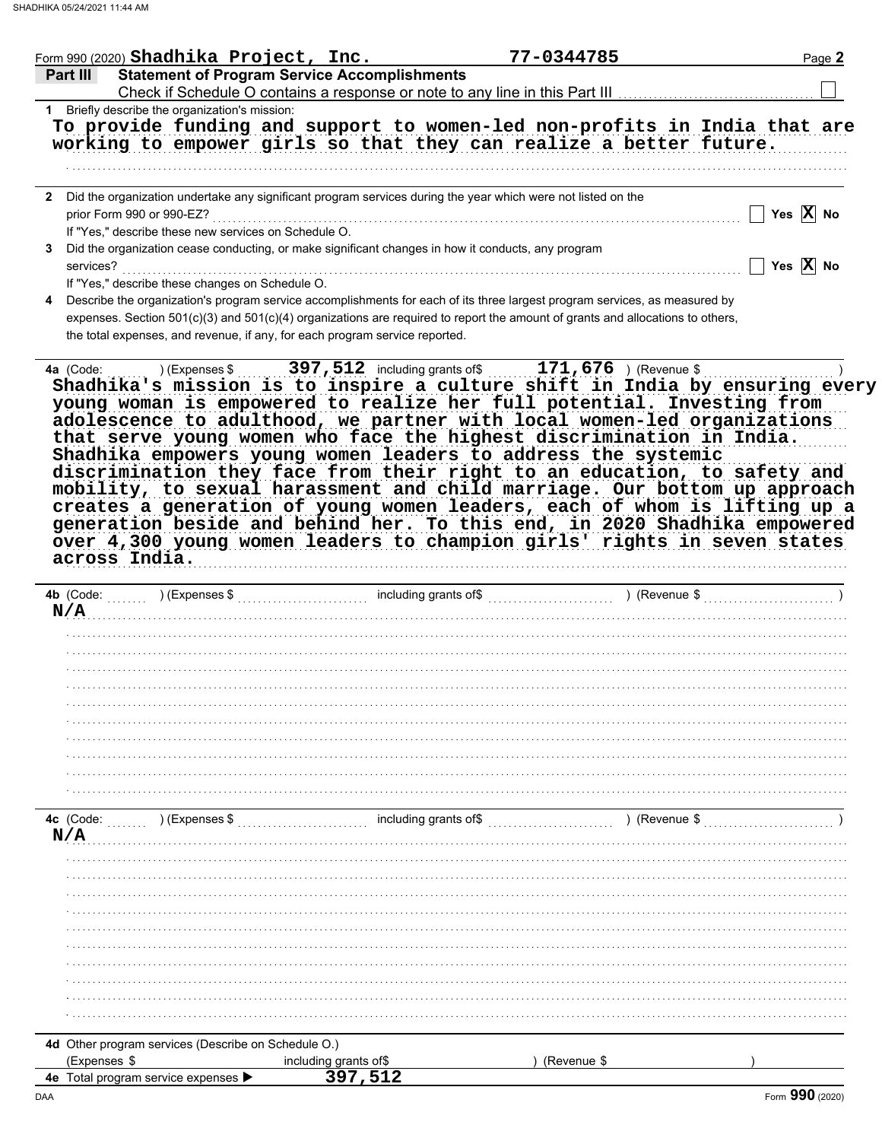|                                                              | Form 990 (2020) Shadhika Project, Inc.                                                             | 77-0344785                                                                                                                                                                                                                                                                                                                                                                                                                                                                                                                                                                                                      | Page 2                |
|--------------------------------------------------------------|----------------------------------------------------------------------------------------------------|-----------------------------------------------------------------------------------------------------------------------------------------------------------------------------------------------------------------------------------------------------------------------------------------------------------------------------------------------------------------------------------------------------------------------------------------------------------------------------------------------------------------------------------------------------------------------------------------------------------------|-----------------------|
| Part III                                                     | <b>Statement of Program Service Accomplishments</b>                                                |                                                                                                                                                                                                                                                                                                                                                                                                                                                                                                                                                                                                                 |                       |
|                                                              |                                                                                                    |                                                                                                                                                                                                                                                                                                                                                                                                                                                                                                                                                                                                                 |                       |
| 1 Briefly describe the organization's mission:               |                                                                                                    |                                                                                                                                                                                                                                                                                                                                                                                                                                                                                                                                                                                                                 |                       |
|                                                              |                                                                                                    | To provide funding and support to women-led non-profits in India that are                                                                                                                                                                                                                                                                                                                                                                                                                                                                                                                                       |                       |
|                                                              |                                                                                                    | working to empower girls so that they can realize a better future.                                                                                                                                                                                                                                                                                                                                                                                                                                                                                                                                              |                       |
|                                                              |                                                                                                    |                                                                                                                                                                                                                                                                                                                                                                                                                                                                                                                                                                                                                 |                       |
|                                                              |                                                                                                    |                                                                                                                                                                                                                                                                                                                                                                                                                                                                                                                                                                                                                 |                       |
| $\mathbf{2}$                                                 |                                                                                                    | Did the organization undertake any significant program services during the year which were not listed on the                                                                                                                                                                                                                                                                                                                                                                                                                                                                                                    |                       |
| prior Form 990 or 990-EZ?                                    |                                                                                                    |                                                                                                                                                                                                                                                                                                                                                                                                                                                                                                                                                                                                                 | Yes $X$ No            |
| If "Yes," describe these new services on Schedule O.         |                                                                                                    |                                                                                                                                                                                                                                                                                                                                                                                                                                                                                                                                                                                                                 |                       |
| 3                                                            | Did the organization cease conducting, or make significant changes in how it conducts, any program |                                                                                                                                                                                                                                                                                                                                                                                                                                                                                                                                                                                                                 | Yes $\overline{X}$ No |
| services?<br>If "Yes," describe these changes on Schedule O. |                                                                                                    |                                                                                                                                                                                                                                                                                                                                                                                                                                                                                                                                                                                                                 |                       |
| 4                                                            |                                                                                                    | Describe the organization's program service accomplishments for each of its three largest program services, as measured by                                                                                                                                                                                                                                                                                                                                                                                                                                                                                      |                       |
|                                                              |                                                                                                    | expenses. Section 501(c)(3) and 501(c)(4) organizations are required to report the amount of grants and allocations to others,                                                                                                                                                                                                                                                                                                                                                                                                                                                                                  |                       |
|                                                              | the total expenses, and revenue, if any, for each program service reported.                        |                                                                                                                                                                                                                                                                                                                                                                                                                                                                                                                                                                                                                 |                       |
|                                                              |                                                                                                    |                                                                                                                                                                                                                                                                                                                                                                                                                                                                                                                                                                                                                 |                       |
|                                                              |                                                                                                    | adolescence to adulthood, we partner with local women-led organizations<br>that serve young women who face the highest discrimination in India.<br>Shadhika empowers young women leaders to address the systemic<br>discrimination they face from their right to an education, to safety and<br>mobility, to sexual harassment and child marriage. Our bottom up approach<br>creates a generation of young women leaders, each of whom is lifting up a<br>generation beside and behind her. To this end, in 2020 Shadhika empowered<br>over 4,300 young women leaders to champion girls' rights in seven states |                       |
| across India.                                                |                                                                                                    |                                                                                                                                                                                                                                                                                                                                                                                                                                                                                                                                                                                                                 |                       |
|                                                              |                                                                                                    |                                                                                                                                                                                                                                                                                                                                                                                                                                                                                                                                                                                                                 |                       |
|                                                              |                                                                                                    |                                                                                                                                                                                                                                                                                                                                                                                                                                                                                                                                                                                                                 |                       |
| 4b (Code:                                                    |                                                                                                    |                                                                                                                                                                                                                                                                                                                                                                                                                                                                                                                                                                                                                 |                       |
| N/A                                                          |                                                                                                    |                                                                                                                                                                                                                                                                                                                                                                                                                                                                                                                                                                                                                 |                       |
|                                                              |                                                                                                    |                                                                                                                                                                                                                                                                                                                                                                                                                                                                                                                                                                                                                 |                       |
|                                                              |                                                                                                    |                                                                                                                                                                                                                                                                                                                                                                                                                                                                                                                                                                                                                 |                       |
|                                                              |                                                                                                    |                                                                                                                                                                                                                                                                                                                                                                                                                                                                                                                                                                                                                 |                       |
|                                                              |                                                                                                    |                                                                                                                                                                                                                                                                                                                                                                                                                                                                                                                                                                                                                 |                       |
|                                                              |                                                                                                    |                                                                                                                                                                                                                                                                                                                                                                                                                                                                                                                                                                                                                 |                       |
|                                                              |                                                                                                    |                                                                                                                                                                                                                                                                                                                                                                                                                                                                                                                                                                                                                 |                       |
|                                                              |                                                                                                    |                                                                                                                                                                                                                                                                                                                                                                                                                                                                                                                                                                                                                 |                       |
|                                                              |                                                                                                    |                                                                                                                                                                                                                                                                                                                                                                                                                                                                                                                                                                                                                 |                       |
|                                                              |                                                                                                    |                                                                                                                                                                                                                                                                                                                                                                                                                                                                                                                                                                                                                 |                       |
|                                                              |                                                                                                    |                                                                                                                                                                                                                                                                                                                                                                                                                                                                                                                                                                                                                 |                       |
| 4c (Code:<br>) (Expenses \$                                  |                                                                                                    | including grants of\$<br>) (Revenue \$                                                                                                                                                                                                                                                                                                                                                                                                                                                                                                                                                                          |                       |
| N/A                                                          |                                                                                                    |                                                                                                                                                                                                                                                                                                                                                                                                                                                                                                                                                                                                                 |                       |
|                                                              |                                                                                                    |                                                                                                                                                                                                                                                                                                                                                                                                                                                                                                                                                                                                                 |                       |
|                                                              |                                                                                                    |                                                                                                                                                                                                                                                                                                                                                                                                                                                                                                                                                                                                                 |                       |
|                                                              |                                                                                                    |                                                                                                                                                                                                                                                                                                                                                                                                                                                                                                                                                                                                                 |                       |
|                                                              |                                                                                                    |                                                                                                                                                                                                                                                                                                                                                                                                                                                                                                                                                                                                                 |                       |
|                                                              |                                                                                                    |                                                                                                                                                                                                                                                                                                                                                                                                                                                                                                                                                                                                                 |                       |
|                                                              |                                                                                                    |                                                                                                                                                                                                                                                                                                                                                                                                                                                                                                                                                                                                                 |                       |
|                                                              |                                                                                                    |                                                                                                                                                                                                                                                                                                                                                                                                                                                                                                                                                                                                                 |                       |
|                                                              |                                                                                                    |                                                                                                                                                                                                                                                                                                                                                                                                                                                                                                                                                                                                                 |                       |
|                                                              |                                                                                                    |                                                                                                                                                                                                                                                                                                                                                                                                                                                                                                                                                                                                                 |                       |
|                                                              |                                                                                                    |                                                                                                                                                                                                                                                                                                                                                                                                                                                                                                                                                                                                                 |                       |
| 4d Other program services (Describe on Schedule O.)          |                                                                                                    |                                                                                                                                                                                                                                                                                                                                                                                                                                                                                                                                                                                                                 |                       |
| (Expenses \$<br>4e Total program service expenses            | including grants of\$<br>397,512                                                                   | (Revenue \$                                                                                                                                                                                                                                                                                                                                                                                                                                                                                                                                                                                                     |                       |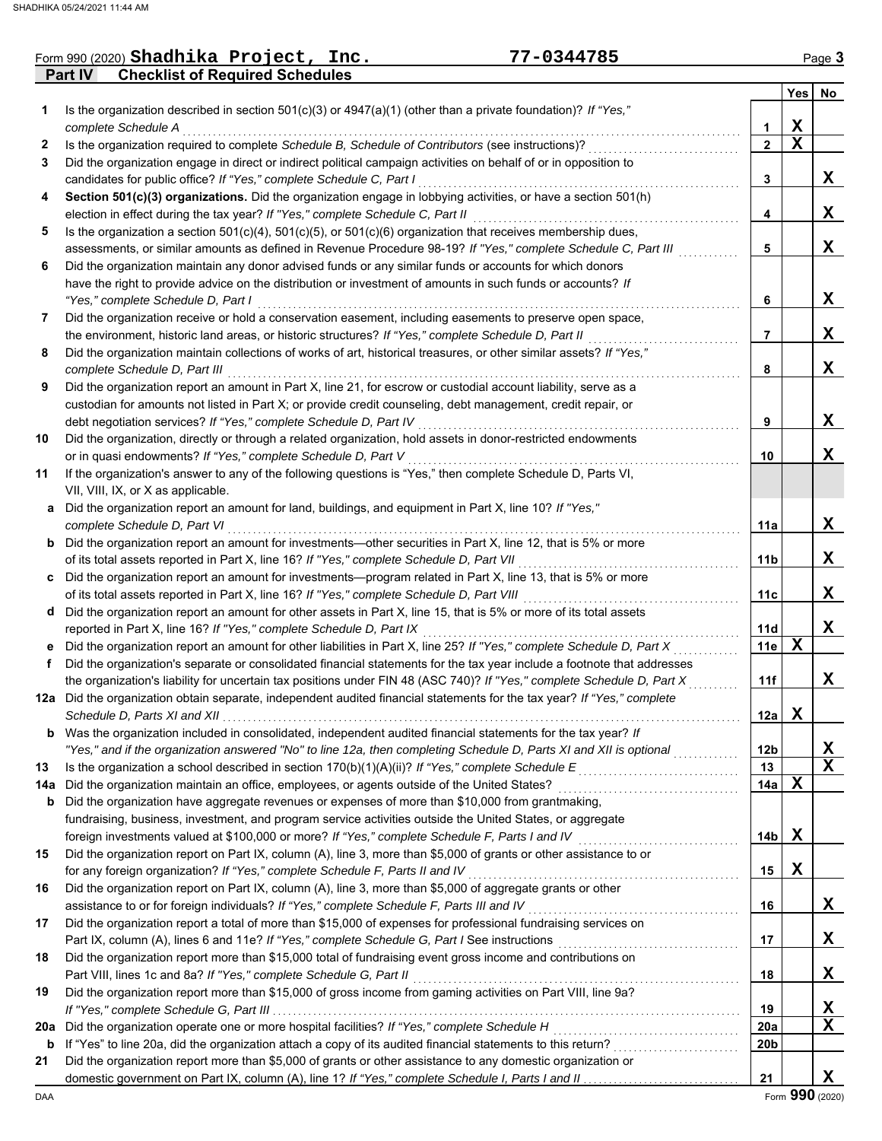|     | 77-0344785<br>Form 990 (2020) Shadhika Project, Inc.                                                                                                                                                             |                 |                         | Page 3       |
|-----|------------------------------------------------------------------------------------------------------------------------------------------------------------------------------------------------------------------|-----------------|-------------------------|--------------|
|     | <b>Checklist of Required Schedules</b><br>Part IV                                                                                                                                                                |                 |                         |              |
|     |                                                                                                                                                                                                                  |                 | Yes                     | No           |
| 1   | Is the organization described in section $501(c)(3)$ or $4947(a)(1)$ (other than a private foundation)? If "Yes,"<br>complete Schedule A                                                                         | 1               | X                       |              |
| 2   | Is the organization required to complete Schedule B, Schedule of Contributors (see instructions)?                                                                                                                | $\overline{2}$  | $\overline{\mathbf{x}}$ |              |
| 3   | Did the organization engage in direct or indirect political campaign activities on behalf of or in opposition to                                                                                                 |                 |                         |              |
|     | candidates for public office? If "Yes," complete Schedule C, Part I                                                                                                                                              | 3               |                         | X            |
| 4   | Section 501(c)(3) organizations. Did the organization engage in lobbying activities, or have a section 501(h)                                                                                                    |                 |                         |              |
|     | election in effect during the tax year? If "Yes," complete Schedule C, Part II                                                                                                                                   | 4               |                         | X            |
| 5   | Is the organization a section $501(c)(4)$ , $501(c)(5)$ , or $501(c)(6)$ organization that receives membership dues,                                                                                             |                 |                         |              |
|     | assessments, or similar amounts as defined in Revenue Procedure 98-19? If "Yes," complete Schedule C, Part III                                                                                                   | 5               |                         | X            |
| 6   | Did the organization maintain any donor advised funds or any similar funds or accounts for which donors                                                                                                          |                 |                         |              |
|     | have the right to provide advice on the distribution or investment of amounts in such funds or accounts? If<br>"Yes," complete Schedule D, Part I                                                                | 6               |                         | X            |
| 7   | Did the organization receive or hold a conservation easement, including easements to preserve open space,                                                                                                        |                 |                         |              |
|     | the environment, historic land areas, or historic structures? If "Yes," complete Schedule D, Part II                                                                                                             | $\overline{7}$  |                         | X            |
| 8   | Did the organization maintain collections of works of art, historical treasures, or other similar assets? If "Yes,"                                                                                              |                 |                         |              |
|     | complete Schedule D, Part III                                                                                                                                                                                    | 8               |                         | X            |
| 9   | Did the organization report an amount in Part X, line 21, for escrow or custodial account liability, serve as a                                                                                                  |                 |                         |              |
|     | custodian for amounts not listed in Part X; or provide credit counseling, debt management, credit repair, or                                                                                                     |                 |                         |              |
|     | debt negotiation services? If "Yes," complete Schedule D, Part IV                                                                                                                                                | 9               |                         | X            |
| 10  | Did the organization, directly or through a related organization, hold assets in donor-restricted endowments                                                                                                     |                 |                         |              |
|     | or in quasi endowments? If "Yes," complete Schedule D, Part V                                                                                                                                                    | 10              |                         | X            |
| 11  | If the organization's answer to any of the following questions is "Yes," then complete Schedule D, Parts VI,                                                                                                     |                 |                         |              |
|     | VII, VIII, IX, or X as applicable.                                                                                                                                                                               |                 |                         |              |
|     | a Did the organization report an amount for land, buildings, and equipment in Part X, line 10? If "Yes,"                                                                                                         |                 |                         |              |
|     | complete Schedule D, Part VI                                                                                                                                                                                     | 11a             |                         | X            |
|     | <b>b</b> Did the organization report an amount for investments—other securities in Part X, line 12, that is 5% or more                                                                                           |                 |                         |              |
|     | of its total assets reported in Part X, line 16? If "Yes," complete Schedule D, Part VII                                                                                                                         | 11 <sub>b</sub> |                         | X            |
|     | c Did the organization report an amount for investments—program related in Part X, line 13, that is 5% or more                                                                                                   |                 |                         | X            |
|     | of its total assets reported in Part X, line 16? If "Yes," complete Schedule D, Part VIII<br>d Did the organization report an amount for other assets in Part X, line 15, that is 5% or more of its total assets | 11c             |                         |              |
|     | reported in Part X, line 16? If "Yes," complete Schedule D, Part IX                                                                                                                                              | 11d             |                         | X            |
|     | e Did the organization report an amount for other liabilities in Part X, line 25? If "Yes," complete Schedule D, Part X                                                                                          | 11e             | $\mathbf x$             |              |
| f   | Did the organization's separate or consolidated financial statements for the tax year include a footnote that addresses                                                                                          |                 |                         |              |
|     | the organization's liability for uncertain tax positions under FIN 48 (ASC 740)? If "Yes," complete Schedule D, Part X                                                                                           | 11f             |                         | X            |
|     | 12a Did the organization obtain separate, independent audited financial statements for the tax year? If "Yes," complete                                                                                          |                 |                         |              |
|     | Schedule D, Parts XI and XII                                                                                                                                                                                     | 12a             | $\mathbf X$             |              |
| b   | Was the organization included in consolidated, independent audited financial statements for the tax year? If                                                                                                     |                 |                         |              |
|     | "Yes," and if the organization answered "No" to line 12a, then completing Schedule D, Parts XI and XII is optional                                                                                               | 12 <sub>b</sub> |                         | X            |
| 13  | Is the organization a school described in section $170(b)(1)(A)(ii)$ ? If "Yes," complete Schedule E                                                                                                             | 13              |                         | $\mathbf x$  |
| 14a | Did the organization maintain an office, employees, or agents outside of the United States?                                                                                                                      | 14a             | $\mathbf X$             |              |
| b   | Did the organization have aggregate revenues or expenses of more than \$10,000 from grantmaking,                                                                                                                 |                 |                         |              |
|     | fundraising, business, investment, and program service activities outside the United States, or aggregate                                                                                                        |                 |                         |              |
|     | foreign investments valued at \$100,000 or more? If "Yes," complete Schedule F, Parts I and IV                                                                                                                   | 14 <sub>b</sub> | X                       |              |
| 15  | Did the organization report on Part IX, column (A), line 3, more than \$5,000 of grants or other assistance to or<br>for any foreign organization? If "Yes," complete Schedule F, Parts II and IV                | 15              | X                       |              |
| 16  | Did the organization report on Part IX, column (A), line 3, more than \$5,000 of aggregate grants or other                                                                                                       |                 |                         |              |
|     | assistance to or for foreign individuals? If "Yes," complete Schedule F, Parts III and IV                                                                                                                        | 16              |                         | X            |
| 17  | Did the organization report a total of more than \$15,000 of expenses for professional fundraising services on                                                                                                   |                 |                         |              |
|     | Part IX, column (A), lines 6 and 11e? If "Yes," complete Schedule G, Part I See instructions                                                                                                                     | 17              |                         | X            |
| 18  | Did the organization report more than \$15,000 total of fundraising event gross income and contributions on                                                                                                      |                 |                         |              |
|     | Part VIII, lines 1c and 8a? If "Yes," complete Schedule G, Part II                                                                                                                                               | 18              |                         | X            |
| 19  | Did the organization report more than \$15,000 of gross income from gaming activities on Part VIII, line 9a?                                                                                                     |                 |                         |              |
|     |                                                                                                                                                                                                                  | 19              |                         | $\mathbf{X}$ |
| 20a | Did the organization operate one or more hospital facilities? If "Yes," complete Schedule H                                                                                                                      | 20a             |                         | $\mathbf X$  |
| b   | If "Yes" to line 20a, did the organization attach a copy of its audited financial statements to this return?                                                                                                     | 20 <sub>b</sub> |                         |              |
| 21  | Did the organization report more than \$5,000 of grants or other assistance to any domestic organization or                                                                                                      |                 |                         |              |
|     |                                                                                                                                                                                                                  | 21              |                         | $\mathbf x$  |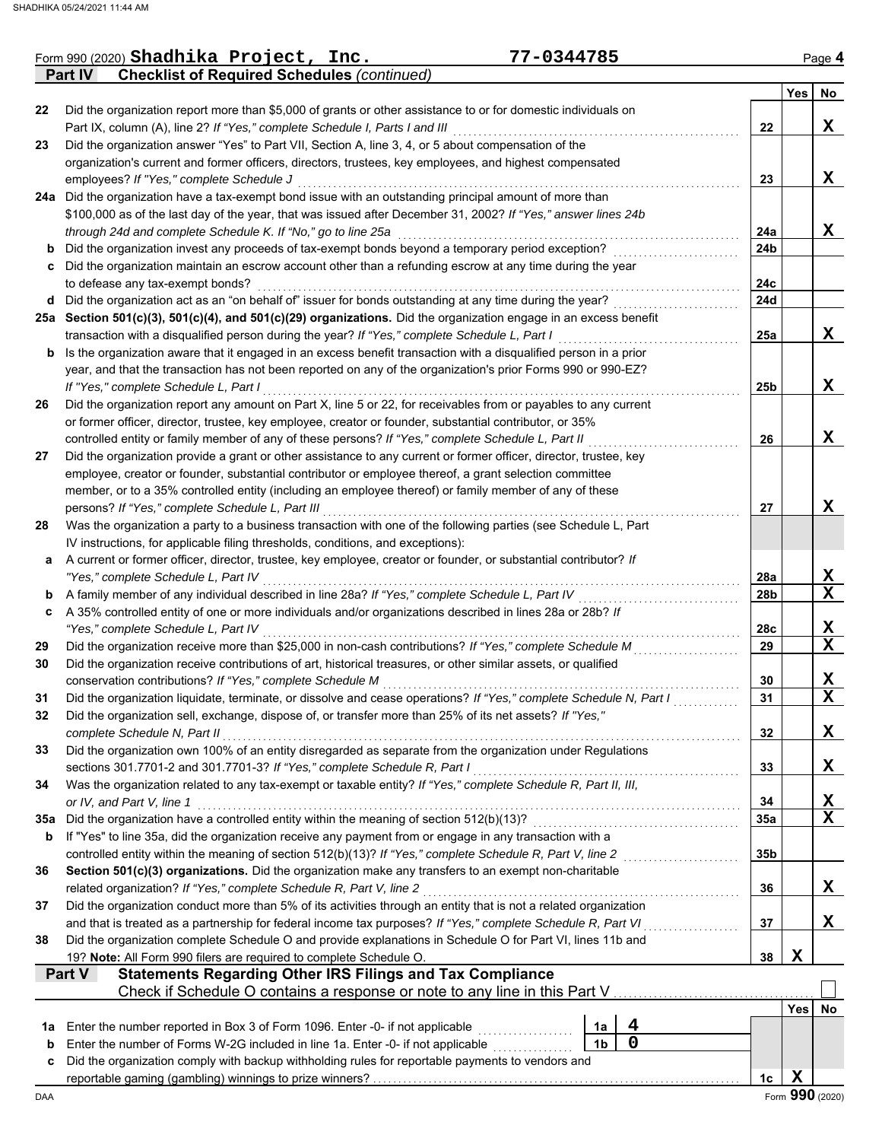|     | 77-0344785<br>Form 990 (2020) Shadhika Project, Inc.                                                                                                                                                          |                 |             | Page 4                  |
|-----|---------------------------------------------------------------------------------------------------------------------------------------------------------------------------------------------------------------|-----------------|-------------|-------------------------|
|     | <b>Checklist of Required Schedules (continued)</b><br><b>Part IV</b>                                                                                                                                          |                 |             |                         |
|     |                                                                                                                                                                                                               |                 | Yes         | No                      |
| 22  | Did the organization report more than \$5,000 of grants or other assistance to or for domestic individuals on                                                                                                 |                 |             |                         |
|     | Part IX, column (A), line 2? If "Yes," complete Schedule I, Parts I and III<br>Did the organization answer "Yes" to Part VII, Section A, line 3, 4, or 5 about compensation of the                            | 22              |             | X                       |
| 23  | organization's current and former officers, directors, trustees, key employees, and highest compensated                                                                                                       |                 |             |                         |
|     | employees? If "Yes," complete Schedule J                                                                                                                                                                      | 23              |             | X                       |
|     | 24a Did the organization have a tax-exempt bond issue with an outstanding principal amount of more than                                                                                                       |                 |             |                         |
|     | \$100,000 as of the last day of the year, that was issued after December 31, 2002? If "Yes," answer lines 24b                                                                                                 |                 |             |                         |
|     | through 24d and complete Schedule K. If "No," go to line 25a                                                                                                                                                  | 24a             |             | X                       |
| b   | Did the organization invest any proceeds of tax-exempt bonds beyond a temporary period exception?                                                                                                             | 24 <sub>b</sub> |             |                         |
|     | c Did the organization maintain an escrow account other than a refunding escrow at any time during the year                                                                                                   |                 |             |                         |
|     | to defease any tax-exempt bonds?                                                                                                                                                                              | 24c             |             |                         |
|     | d Did the organization act as an "on behalf of" issuer for bonds outstanding at any time during the year?                                                                                                     | 24d             |             |                         |
|     | 25a Section 501(c)(3), 501(c)(4), and 501(c)(29) organizations. Did the organization engage in an excess benefit                                                                                              |                 |             |                         |
|     | transaction with a disqualified person during the year? If "Yes," complete Schedule L, Part I                                                                                                                 | 25a             |             | X                       |
| b   | Is the organization aware that it engaged in an excess benefit transaction with a disqualified person in a prior                                                                                              |                 |             |                         |
|     | year, and that the transaction has not been reported on any of the organization's prior Forms 990 or 990-EZ?                                                                                                  |                 |             |                         |
|     | If "Yes," complete Schedule L, Part I                                                                                                                                                                         | 25 <sub>b</sub> |             | X                       |
| 26  | Did the organization report any amount on Part X, line 5 or 22, for receivables from or payables to any current                                                                                               |                 |             |                         |
|     | or former officer, director, trustee, key employee, creator or founder, substantial contributor, or 35%<br>controlled entity or family member of any of these persons? If "Yes," complete Schedule L, Part II | 26              |             | X                       |
| 27  | Did the organization provide a grant or other assistance to any current or former officer, director, trustee, key                                                                                             |                 |             |                         |
|     | employee, creator or founder, substantial contributor or employee thereof, a grant selection committee                                                                                                        |                 |             |                         |
|     | member, or to a 35% controlled entity (including an employee thereof) or family member of any of these                                                                                                        |                 |             |                         |
|     | persons? If "Yes," complete Schedule L, Part III                                                                                                                                                              | 27              |             | X                       |
| 28  | Was the organization a party to a business transaction with one of the following parties (see Schedule L, Part                                                                                                |                 |             |                         |
|     | IV instructions, for applicable filing thresholds, conditions, and exceptions):                                                                                                                               |                 |             |                         |
| a   | A current or former officer, director, trustee, key employee, creator or founder, or substantial contributor? If                                                                                              |                 |             |                         |
|     | "Yes," complete Schedule L, Part IV                                                                                                                                                                           | 28a             |             | X                       |
| b   | A family member of any individual described in line 28a? If "Yes," complete Schedule L, Part IV                                                                                                               | 28 <sub>b</sub> |             | $\mathbf x$             |
| c   | A 35% controlled entity of one or more individuals and/or organizations described in lines 28a or 28b? If                                                                                                     |                 |             |                         |
|     | "Yes," complete Schedule L, Part IV                                                                                                                                                                           | 28c             |             | <u>x</u>                |
| 29  | Did the organization receive more than \$25,000 in non-cash contributions? If "Yes," complete Schedule M                                                                                                      | 29              |             | $\mathbf X$             |
| 30  | Did the organization receive contributions of art, historical treasures, or other similar assets, or qualified                                                                                                |                 |             |                         |
|     | conservation contributions? If "Yes," complete Schedule M                                                                                                                                                     | 30              |             | X                       |
| 31  | Did the organization liquidate, terminate, or dissolve and cease operations? If "Yes," complete Schedule N, Part I                                                                                            | 31              |             | $\overline{\textbf{x}}$ |
| 32  | Did the organization sell, exchange, dispose of, or transfer more than 25% of its net assets? If "Yes,"                                                                                                       |                 |             |                         |
|     | complete Schedule N, Part II                                                                                                                                                                                  | 32              |             | X                       |
| 33  | Did the organization own 100% of an entity disregarded as separate from the organization under Regulations                                                                                                    |                 |             |                         |
|     | sections 301.7701-2 and 301.7701-3? If "Yes," complete Schedule R, Part I                                                                                                                                     | 33              |             | X                       |
| 34  | Was the organization related to any tax-exempt or taxable entity? If "Yes," complete Schedule R, Part II, III,<br>or IV, and Part V, line 1                                                                   | 34              |             | <u>x</u>                |
| 35а | Did the organization have a controlled entity within the meaning of section 512(b)(13)?                                                                                                                       | <b>35a</b>      |             | $\overline{\mathbf{x}}$ |
| b   | If "Yes" to line 35a, did the organization receive any payment from or engage in any transaction with a                                                                                                       |                 |             |                         |
|     | controlled entity within the meaning of section 512(b)(13)? If "Yes," complete Schedule R, Part V, line 2                                                                                                     | 35b             |             |                         |
| 36  | Section 501(c)(3) organizations. Did the organization make any transfers to an exempt non-charitable                                                                                                          |                 |             |                         |
|     | related organization? If "Yes," complete Schedule R, Part V, line 2                                                                                                                                           | 36              |             | X                       |
| 37  | Did the organization conduct more than 5% of its activities through an entity that is not a related organization                                                                                              |                 |             |                         |
|     | and that is treated as a partnership for federal income tax purposes? If "Yes," complete Schedule R, Part VI                                                                                                  | 37              |             | X                       |
| 38  | Did the organization complete Schedule O and provide explanations in Schedule O for Part VI, lines 11b and                                                                                                    |                 |             |                         |
|     | 19? Note: All Form 990 filers are required to complete Schedule O.                                                                                                                                            | 38              | $\mathbf x$ |                         |
|     | <b>Statements Regarding Other IRS Filings and Tax Compliance</b><br>Part V                                                                                                                                    |                 |             |                         |
|     | Check if Schedule O contains a response or note to any line in this Part V                                                                                                                                    |                 |             |                         |
|     |                                                                                                                                                                                                               |                 | Yes         | No                      |
| 1a  | 4<br>Enter the number reported in Box 3 of Form 1096. Enter -0- if not applicable<br>1a                                                                                                                       |                 |             |                         |
| b   | 0<br>Enter the number of Forms W-2G included in line 1a. Enter -0- if not applicable<br>1 <sub>b</sub>                                                                                                        |                 |             |                         |
|     |                                                                                                                                                                                                               |                 |             |                         |
| c   | Did the organization comply with backup withholding rules for reportable payments to vendors and                                                                                                              | 1c              | $\mathbf x$ |                         |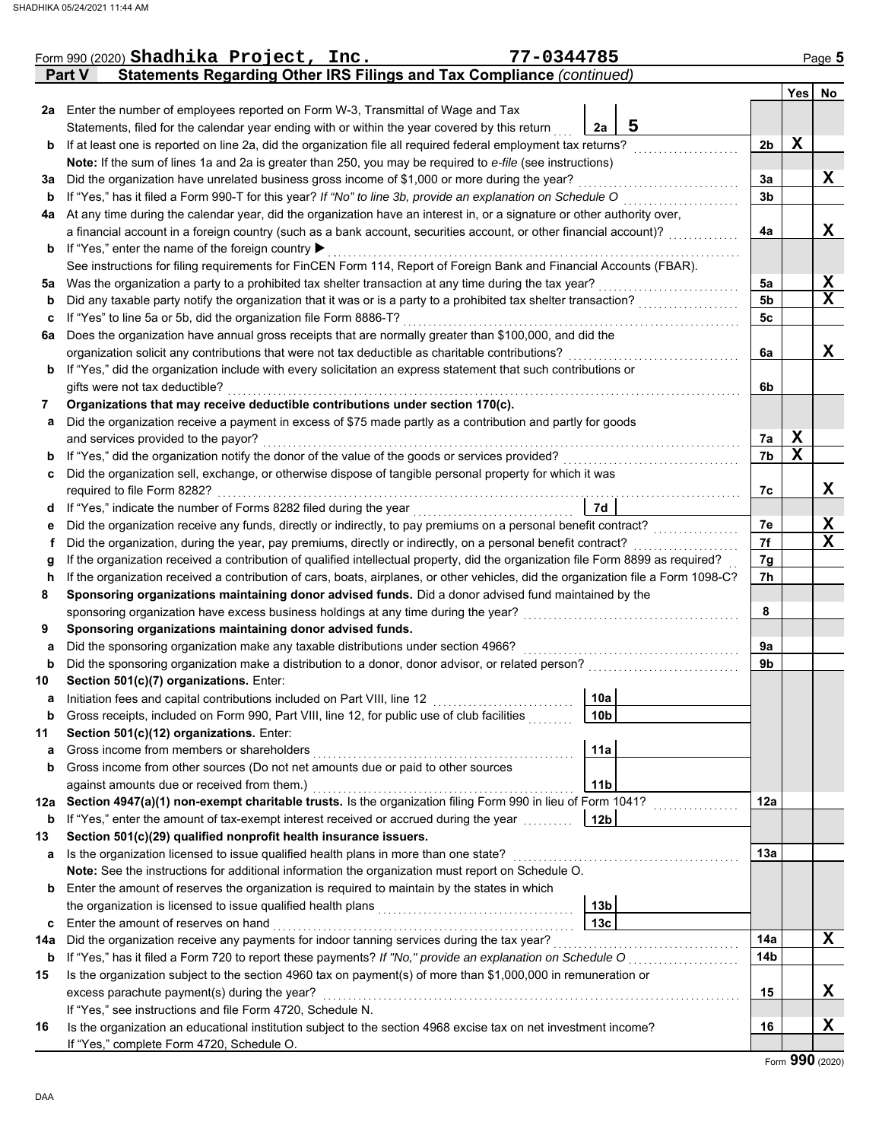|     | Form 990 (2020) Shadhika Project, Inc.                                                                                             | 77-0344785 |                 |   |                |             | Page 5      |
|-----|------------------------------------------------------------------------------------------------------------------------------------|------------|-----------------|---|----------------|-------------|-------------|
|     | Statements Regarding Other IRS Filings and Tax Compliance (continued)<br><b>Part V</b>                                             |            |                 |   |                |             |             |
|     |                                                                                                                                    |            |                 |   |                |             | Yes No      |
|     | 2a Enter the number of employees reported on Form W-3, Transmittal of Wage and Tax                                                 |            |                 |   |                |             |             |
|     | Statements, filed for the calendar year ending with or within the year covered by this return                                      |            | 2a              | 5 |                |             |             |
| b   | If at least one is reported on line 2a, did the organization file all required federal employment tax returns?                     |            |                 |   | 2b             | $\mathbf x$ |             |
|     | Note: If the sum of lines 1a and 2a is greater than 250, you may be required to e-file (see instructions)                          |            |                 |   |                |             |             |
| За  | Did the organization have unrelated business gross income of \$1,000 or more during the year?                                      |            |                 |   | 3a             |             | X           |
| b   | If "Yes," has it filed a Form 990-T for this year? If "No" to line 3b, provide an explanation on Schedule O                        |            |                 |   | 3 <sub>b</sub> |             |             |
| 4a  | At any time during the calendar year, did the organization have an interest in, or a signature or other authority over,            |            |                 |   |                |             |             |
|     | a financial account in a foreign country (such as a bank account, securities account, or other financial account)?                 |            |                 |   | 4a             |             | X           |
| b   | If "Yes," enter the name of the foreign country ▶                                                                                  |            |                 |   |                |             |             |
|     | See instructions for filing requirements for FinCEN Form 114, Report of Foreign Bank and Financial Accounts (FBAR).                |            |                 |   |                |             |             |
| 5a  | Was the organization a party to a prohibited tax shelter transaction at any time during the tax year?                              |            |                 |   | 5a             |             | X           |
| b   | Did any taxable party notify the organization that it was or is a party to a prohibited tax shelter transaction?                   |            |                 |   | 5 <sub>b</sub> |             | X           |
| c   | If "Yes" to line 5a or 5b, did the organization file Form 8886-T?                                                                  |            |                 |   | 5c             |             |             |
| 6a  | Does the organization have annual gross receipts that are normally greater than \$100,000, and did the                             |            |                 |   |                |             |             |
|     | organization solicit any contributions that were not tax deductible as charitable contributions?                                   |            |                 |   | 6a             |             | X           |
| b   | If "Yes," did the organization include with every solicitation an express statement that such contributions or                     |            |                 |   |                |             |             |
|     | gifts were not tax deductible?                                                                                                     |            |                 |   | 6b             |             |             |
| 7   | Organizations that may receive deductible contributions under section 170(c).                                                      |            |                 |   |                |             |             |
| а   | Did the organization receive a payment in excess of \$75 made partly as a contribution and partly for goods                        |            |                 |   |                |             |             |
|     | and services provided to the payor?                                                                                                |            |                 |   | 7a             | X           |             |
| b   | If "Yes," did the organization notify the donor of the value of the goods or services provided?                                    |            |                 |   | 7b             | $\mathbf X$ |             |
| c   | Did the organization sell, exchange, or otherwise dispose of tangible personal property for which it was                           |            |                 |   |                |             |             |
|     | required to file Form 8282?                                                                                                        |            |                 |   | 7с             |             | X           |
| d   | If "Yes," indicate the number of Forms 8282 filed during the year                                                                  |            | 7d              |   |                |             |             |
| е   | Did the organization receive any funds, directly or indirectly, to pay premiums on a personal benefit contract?                    |            |                 |   | 7е             |             | X           |
| f   | Did the organization, during the year, pay premiums, directly or indirectly, on a personal benefit contract?                       |            |                 |   | 7f             |             | $\mathbf X$ |
| g   | If the organization received a contribution of qualified intellectual property, did the organization file Form 8899 as required?   |            |                 |   | 7g             |             |             |
| h   | If the organization received a contribution of cars, boats, airplanes, or other vehicles, did the organization file a Form 1098-C? |            |                 |   | 7h             |             |             |
| 8   | Sponsoring organizations maintaining donor advised funds. Did a donor advised fund maintained by the                               |            |                 |   |                |             |             |
|     | sponsoring organization have excess business holdings at any time during the year?                                                 |            |                 |   | 8              |             |             |
| 9   | Sponsoring organizations maintaining donor advised funds.                                                                          |            |                 |   |                |             |             |
| а   | Did the sponsoring organization make any taxable distributions under section 4966?                                                 |            |                 |   | 9a             |             |             |
| b   | Did the sponsoring organization make a distribution to a donor, donor advisor, or related person?                                  |            |                 |   | 9b             |             |             |
| 10  | Section 501(c)(7) organizations. Enter:                                                                                            |            |                 |   |                |             |             |
|     | Initiation fees and capital contributions included on Part VIII, line 12                                                           |            | 10a             |   |                |             |             |
| b   | Gross receipts, included on Form 990, Part VIII, line 12, for public use of club facilities                                        |            | 10b             |   |                |             |             |
| 11  | Section 501(c)(12) organizations. Enter:                                                                                           |            |                 |   |                |             |             |
| а   | Gross income from members or shareholders                                                                                          |            | 11a             |   |                |             |             |
| b   | Gross income from other sources (Do not net amounts due or paid to other sources                                                   |            |                 |   |                |             |             |
|     | against amounts due or received from them.)                                                                                        |            | 11 <sub>b</sub> |   |                |             |             |
| 12a | Section 4947(a)(1) non-exempt charitable trusts. Is the organization filing Form 990 in lieu of Form 1041?                         |            |                 |   | 12a            |             |             |
| b   | If "Yes," enter the amount of tax-exempt interest received or accrued during the year                                              |            | 12 <sub>b</sub> |   |                |             |             |
| 13  | Section 501(c)(29) qualified nonprofit health insurance issuers.                                                                   |            |                 |   |                |             |             |
| а   | Is the organization licensed to issue qualified health plans in more than one state?                                               |            |                 |   | 13a            |             |             |
|     | Note: See the instructions for additional information the organization must report on Schedule O.                                  |            |                 |   |                |             |             |
| b   | Enter the amount of reserves the organization is required to maintain by the states in which                                       |            |                 |   |                |             |             |
|     | the organization is licensed to issue qualified health plans                                                                       |            | 13b             |   |                |             |             |
| c   | Enter the amount of reserves on hand                                                                                               |            | 13 <sub>c</sub> |   |                |             |             |
| 14a | Did the organization receive any payments for indoor tanning services during the tax year?                                         |            |                 |   | 14a            |             | x           |
| b   | If "Yes," has it filed a Form 720 to report these payments? If "No," provide an explanation on Schedule O                          |            |                 |   | 14b            |             |             |
| 15  | Is the organization subject to the section 4960 tax on payment(s) of more than \$1,000,000 in remuneration or                      |            |                 |   |                |             |             |
|     | excess parachute payment(s) during the year?                                                                                       |            |                 |   | 15             |             | x           |
|     | If "Yes," see instructions and file Form 4720, Schedule N.                                                                         |            |                 |   |                |             |             |
| 16  | Is the organization an educational institution subject to the section 4968 excise tax on net investment income?                    |            |                 |   | 16             |             | X           |
|     | If "Yes," complete Form 4720, Schedule O.                                                                                          |            |                 |   |                |             |             |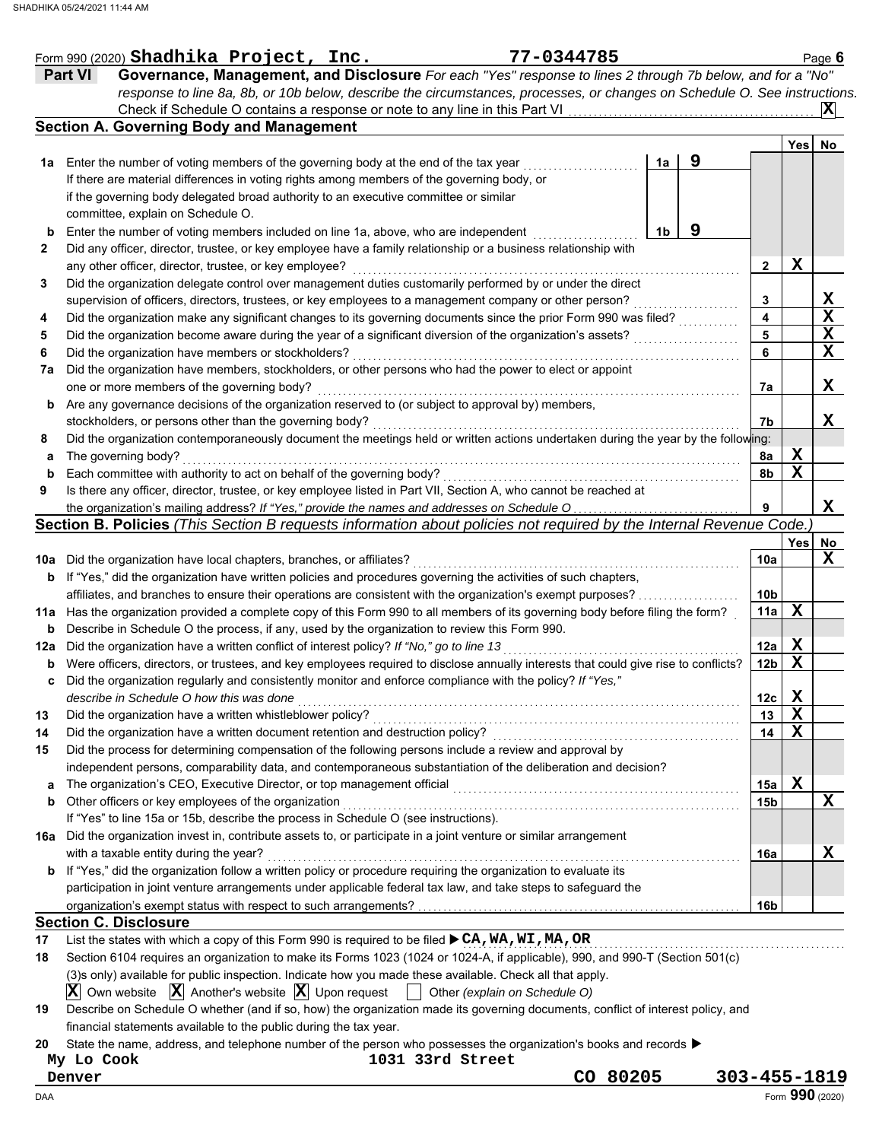|     | 77-0344785<br>Form 990 (2020) Shadhika Project, Inc.                                                                                                                                     |              |                         |             | Page 6      |
|-----|------------------------------------------------------------------------------------------------------------------------------------------------------------------------------------------|--------------|-------------------------|-------------|-------------|
|     | Governance, Management, and Disclosure For each "Yes" response to lines 2 through 7b below, and for a "No"<br><b>Part VI</b>                                                             |              |                         |             |             |
|     | response to line 8a, 8b, or 10b below, describe the circumstances, processes, or changes on Schedule O. See instructions.                                                                |              |                         |             |             |
|     | Check if Schedule O contains a response or note to any line in this Part VI                                                                                                              |              |                         |             | ΙXΙ         |
|     | <b>Section A. Governing Body and Management</b>                                                                                                                                          |              |                         |             |             |
|     |                                                                                                                                                                                          |              |                         | Yes         | No          |
| 1a  | 1a<br>Enter the number of voting members of the governing body at the end of the tax year                                                                                                | 9            |                         |             |             |
|     | If there are material differences in voting rights among members of the governing body, or                                                                                               |              |                         |             |             |
|     | if the governing body delegated broad authority to an executive committee or similar                                                                                                     |              |                         |             |             |
|     | committee, explain on Schedule O.                                                                                                                                                        |              |                         |             |             |
| b   | 1 <sub>b</sub><br>Enter the number of voting members included on line 1a, above, who are independent                                                                                     | 9            |                         |             |             |
| 2   | Did any officer, director, trustee, or key employee have a family relationship or a business relationship with                                                                           |              |                         |             |             |
|     | any other officer, director, trustee, or key employee?                                                                                                                                   |              | $\mathbf{2}$            | Х           |             |
| 3   | Did the organization delegate control over management duties customarily performed by or under the direct                                                                                |              |                         |             |             |
|     | supervision of officers, directors, trustees, or key employees to a management company or other person?                                                                                  |              | 3                       |             | X           |
| 4   | Did the organization make any significant changes to its governing documents since the prior Form 990 was filed?                                                                         |              | $\overline{\mathbf{4}}$ |             | $\mathbf X$ |
| 5   | Did the organization become aware during the year of a significant diversion of the organization's assets?                                                                               |              | 5                       |             | X           |
| 6   | Did the organization have members or stockholders?                                                                                                                                       |              | 6                       |             | X           |
| 7a  | Did the organization have members, stockholders, or other persons who had the power to elect or appoint                                                                                  |              |                         |             |             |
|     | one or more members of the governing body?                                                                                                                                               |              | 7a                      |             | X           |
| b   | Are any governance decisions of the organization reserved to (or subject to approval by) members,                                                                                        |              |                         |             |             |
|     | stockholders, or persons other than the governing body?                                                                                                                                  |              | 7b                      |             | x           |
| 8   | Did the organization contemporaneously document the meetings held or written actions undertaken during the year by the following:                                                        |              |                         |             |             |
| а   | The governing body?                                                                                                                                                                      |              | 8a                      | X           |             |
| b   | Each committee with authority to act on behalf of the governing body?                                                                                                                    |              | 8b                      | $\mathbf X$ |             |
| 9   | Is there any officer, director, trustee, or key employee listed in Part VII, Section A, who cannot be reached at                                                                         |              |                         |             |             |
|     | the organization's mailing address? If "Yes," provide the names and addresses on Schedule O                                                                                              |              | 9                       |             | x           |
|     | Section B. Policies (This Section B requests information about policies not required by the Internal Revenue Code.                                                                       |              |                         |             |             |
|     |                                                                                                                                                                                          |              |                         | Yes         | No          |
| 10a | Did the organization have local chapters, branches, or affiliates?                                                                                                                       |              | 10a                     |             | X           |
| b   | If "Yes," did the organization have written policies and procedures governing the activities of such chapters,                                                                           |              |                         |             |             |
|     | affiliates, and branches to ensure their operations are consistent with the organization's exempt purposes?                                                                              |              | 10 <sub>b</sub>         |             |             |
| 11a | Has the organization provided a complete copy of this Form 990 to all members of its governing body before filing the form?                                                              |              | 11a                     | $\mathbf x$ |             |
| b   | Describe in Schedule O the process, if any, used by the organization to review this Form 990.                                                                                            |              |                         |             |             |
| 12a | Did the organization have a written conflict of interest policy? If "No," go to line 13                                                                                                  |              | 12a                     | X           |             |
| b   | Were officers, directors, or trustees, and key employees required to disclose annually interests that could give rise to conflicts?                                                      |              | 12 <sub>b</sub>         | $\mathbf x$ |             |
|     | Did the organization regularly and consistently monitor and enforce compliance with the policy? If "Yes,"                                                                                |              |                         |             |             |
|     | describe in Schedule O how this was done                                                                                                                                                 |              | 12c                     | X           |             |
| 13  | Did the organization have a written whistleblower policy?                                                                                                                                |              | 13                      | X           |             |
| 14  | Did the organization have a written document retention and destruction policy?                                                                                                           |              | 14                      | Х           |             |
| 15  | Did the process for determining compensation of the following persons include a review and approval by                                                                                   |              |                         |             |             |
|     | independent persons, comparability data, and contemporaneous substantiation of the deliberation and decision?                                                                            |              |                         |             |             |
| a   | The organization's CEO, Executive Director, or top management official<br>and a complete the contract of the complete the complete the complete the complete the complete the complete t |              | 15a                     | X           |             |
| b   | Other officers or key employees of the organization                                                                                                                                      |              | 15 <sub>b</sub>         |             | X           |
|     | If "Yes" to line 15a or 15b, describe the process in Schedule O (see instructions).                                                                                                      |              |                         |             |             |
|     | 16a Did the organization invest in, contribute assets to, or participate in a joint venture or similar arrangement                                                                       |              |                         |             |             |
|     | with a taxable entity during the year?                                                                                                                                                   |              | 16a                     |             | X           |
|     | <b>b</b> If "Yes," did the organization follow a written policy or procedure requiring the organization to evaluate its                                                                  |              |                         |             |             |
|     | participation in joint venture arrangements under applicable federal tax law, and take steps to safeguard the                                                                            |              |                         |             |             |
|     |                                                                                                                                                                                          |              | 16b                     |             |             |
|     | <b>Section C. Disclosure</b>                                                                                                                                                             |              |                         |             |             |
| 17  | List the states with which a copy of this Form 990 is required to be filed $\triangleright$ CA, WA, WI, MA, OR                                                                           |              |                         |             |             |
| 18  | Section 6104 requires an organization to make its Forms 1023 (1024 or 1024-A, if applicable), 990, and 990-T (Section 501(c)                                                             |              |                         |             |             |
|     | (3)s only) available for public inspection. Indicate how you made these available. Check all that apply.                                                                                 |              |                         |             |             |
|     | $ \mathbf{X} $ Own website $ \mathbf{X} $ Another's website $ \mathbf{X} $ Upon request $ \cdot $ Other (explain on Schedule O)                                                          |              |                         |             |             |
| 19  | Describe on Schedule O whether (and if so, how) the organization made its governing documents, conflict of interest policy, and                                                          |              |                         |             |             |
|     | financial statements available to the public during the tax year.                                                                                                                        |              |                         |             |             |
| 20  | State the name, address, and telephone number of the person who possesses the organization's books and records $\blacktriangleright$                                                     |              |                         |             |             |
|     | 1031 33rd Street<br>My Lo Cook                                                                                                                                                           |              |                         |             |             |
|     | CO 80205<br>Denver                                                                                                                                                                       | 303-455-1819 |                         |             |             |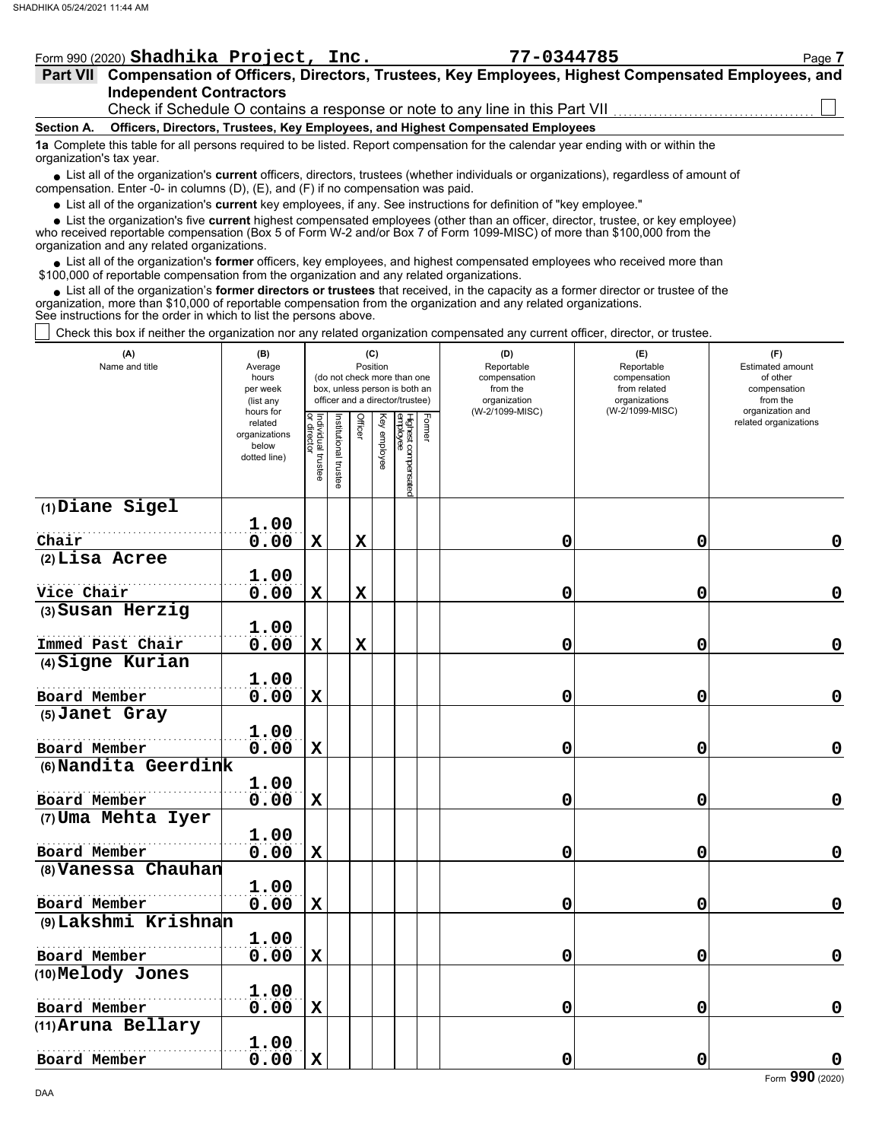| Form 990 (2020) Shadhika Project, Inc.                                                                                                                                                                                              | 77-0344785                                                                   | Page 7 |
|-------------------------------------------------------------------------------------------------------------------------------------------------------------------------------------------------------------------------------------|------------------------------------------------------------------------------|--------|
| Part VII Compensation of Officers, Directors, Trustees, Key Employees, Highest Compensated Employees, and                                                                                                                           |                                                                              |        |
| <b>Independent Contractors</b>                                                                                                                                                                                                      |                                                                              |        |
|                                                                                                                                                                                                                                     | Check if Schedule O contains a response or note to any line in this Part VII |        |
| Officers, Directors, Trustees, Key Employees, and Highest Compensated Employees<br><b>Section A.</b>                                                                                                                                |                                                                              |        |
| 1a Complete this table for all persons required to be listed. Report compensation for the calendar year ending with or within the<br>organization's tax year.                                                                       |                                                                              |        |
| • List all of the organization's current officers, directors, trustees (whether individuals or organizations), regardless of amount of<br>compensation. Enter -0- in columns $(D)$ , $(E)$ , and $(F)$ if no compensation was paid. |                                                                              |        |
| • List all of the organization's current key employees, if any. See instructions for definition of "key employee."                                                                                                                  |                                                                              |        |

who received reportable compensation (Box 5 of Form W-2 and/or Box 7 of Form 1099-MISC) of more than \$100,000 from the organization and any related organizations. ■ List all of the organization's **current** key employees, if any. See instructions for definition of "key employee."<br>■ List the organization's five **current** highest compensated employees (other than an officer, director,

• List all of the organization's **former** officers, key employees, and highest compensated employees who received more than<br>00,000 of reportable compensation from the organization and any related erganizations. \$100,000 of reportable compensation from the organization and any related organizations.

List all of the organization's **former directors or trustees** that received, in the capacity as a former director or trustee of the organization, more than \$10,000 of reportable compensation from the organization and any related organizations. See instructions for the order in which to list the persons above. **•**

Check this box if neither the organization nor any related organization compensated any current officer, director, or trustee.

| (A)<br>Name and title | (B)<br>Average<br>hours<br>per week<br>(list any<br>hours for<br>related<br>organizations<br>below | Individual trustee<br>or director | stitutional trustee | Position<br>Officer | (C)<br>Key employee | (do not check more than one<br>box, unless person is both an<br>officer and a director/trustee) | Former | (D)<br>Reportable<br>compensation<br>from the<br>organization<br>(W-2/1099-MISC) | (E)<br>Reportable<br>compensation<br>from related<br>organizations<br>(W-2/1099-MISC) | (F)<br>Estimated amount<br>of other<br>compensation<br>from the<br>organization and<br>related organizations |
|-----------------------|----------------------------------------------------------------------------------------------------|-----------------------------------|---------------------|---------------------|---------------------|-------------------------------------------------------------------------------------------------|--------|----------------------------------------------------------------------------------|---------------------------------------------------------------------------------------|--------------------------------------------------------------------------------------------------------------|
|                       | dotted line)                                                                                       |                                   |                     |                     |                     | Highest compensated<br>employee                                                                 |        |                                                                                  |                                                                                       |                                                                                                              |
| (1) Diane Sigel       |                                                                                                    |                                   |                     |                     |                     |                                                                                                 |        |                                                                                  |                                                                                       |                                                                                                              |
| Chair                 | 1.00<br>0.00                                                                                       | $\mathbf x$                       |                     | $\mathbf x$         |                     |                                                                                                 |        | 0                                                                                | 0                                                                                     | 0                                                                                                            |
| $(2)$ Lisa Acree      |                                                                                                    |                                   |                     |                     |                     |                                                                                                 |        |                                                                                  |                                                                                       |                                                                                                              |
|                       | 1.00                                                                                               |                                   |                     |                     |                     |                                                                                                 |        |                                                                                  |                                                                                       |                                                                                                              |
| Vice Chair            | 0.00                                                                                               | $\mathbf x$                       |                     | $\mathbf x$         |                     |                                                                                                 |        | 0                                                                                | 0                                                                                     | $\mathbf 0$                                                                                                  |
| (3) Susan Herzig      |                                                                                                    |                                   |                     |                     |                     |                                                                                                 |        |                                                                                  |                                                                                       |                                                                                                              |
| Immed Past Chair      | 1.00<br>0.00                                                                                       | $\mathbf x$                       |                     | $\mathbf x$         |                     |                                                                                                 |        | 0                                                                                | 0                                                                                     | $\mathbf 0$                                                                                                  |
| (4) Signe Kurian      |                                                                                                    |                                   |                     |                     |                     |                                                                                                 |        |                                                                                  |                                                                                       |                                                                                                              |
| Board Member          | 1.00<br>0.00                                                                                       | $\mathbf X$                       |                     |                     |                     |                                                                                                 |        | 0                                                                                | 0                                                                                     | $\mathbf 0$                                                                                                  |
| (5) Janet Gray        |                                                                                                    |                                   |                     |                     |                     |                                                                                                 |        |                                                                                  |                                                                                       |                                                                                                              |
| Board Member          | 1.00<br>0.00                                                                                       | $\mathbf x$                       |                     |                     |                     |                                                                                                 |        | 0                                                                                | 0                                                                                     | $\mathbf 0$                                                                                                  |
| (6) Nandita Geerdink  |                                                                                                    |                                   |                     |                     |                     |                                                                                                 |        |                                                                                  |                                                                                       |                                                                                                              |
|                       | 1.00                                                                                               |                                   |                     |                     |                     |                                                                                                 |        |                                                                                  |                                                                                       |                                                                                                              |
| Board Member          | 0.00                                                                                               | $\mathbf x$                       |                     |                     |                     |                                                                                                 |        | 0                                                                                | 0                                                                                     | $\pmb{0}$                                                                                                    |
| (7) Uma Mehta Iyer    |                                                                                                    |                                   |                     |                     |                     |                                                                                                 |        |                                                                                  |                                                                                       |                                                                                                              |
|                       | 1.00                                                                                               |                                   |                     |                     |                     |                                                                                                 |        |                                                                                  |                                                                                       |                                                                                                              |
| Board Member          | 0.00                                                                                               | $\mathbf x$                       |                     |                     |                     |                                                                                                 |        | 0                                                                                | 0                                                                                     | $\mathbf 0$                                                                                                  |
| (8) Vanessa Chauhan   |                                                                                                    |                                   |                     |                     |                     |                                                                                                 |        |                                                                                  |                                                                                       |                                                                                                              |
|                       | 1.00                                                                                               |                                   |                     |                     |                     |                                                                                                 |        |                                                                                  |                                                                                       |                                                                                                              |
| Board Member          | 0.00                                                                                               | $\mathbf x$                       |                     |                     |                     |                                                                                                 |        | 0                                                                                | 0                                                                                     | $\mathbf 0$                                                                                                  |
| (9) Lakshmi Krishnan  |                                                                                                    |                                   |                     |                     |                     |                                                                                                 |        |                                                                                  |                                                                                       |                                                                                                              |
|                       | 1.00                                                                                               |                                   |                     |                     |                     |                                                                                                 |        |                                                                                  |                                                                                       |                                                                                                              |
| Board Member          | 0.00                                                                                               | $\mathbf X$                       |                     |                     |                     |                                                                                                 |        | 0                                                                                | 0                                                                                     | $\mathbf 0$                                                                                                  |
| (10) Melody Jones     |                                                                                                    |                                   |                     |                     |                     |                                                                                                 |        |                                                                                  |                                                                                       |                                                                                                              |
| Board Member          | 1.00<br>0.00                                                                                       | $\mathbf x$                       |                     |                     |                     |                                                                                                 |        | 0                                                                                | 0                                                                                     | 0                                                                                                            |
| (11) Aruna Bellary    |                                                                                                    |                                   |                     |                     |                     |                                                                                                 |        |                                                                                  |                                                                                       |                                                                                                              |
|                       | 1.00                                                                                               |                                   |                     |                     |                     |                                                                                                 |        |                                                                                  |                                                                                       |                                                                                                              |
| Board Member          | 0.00                                                                                               | $\mathbf x$                       |                     |                     |                     |                                                                                                 |        | 0                                                                                | 0                                                                                     | $\mathbf 0$                                                                                                  |
|                       |                                                                                                    |                                   |                     |                     |                     |                                                                                                 |        |                                                                                  |                                                                                       |                                                                                                              |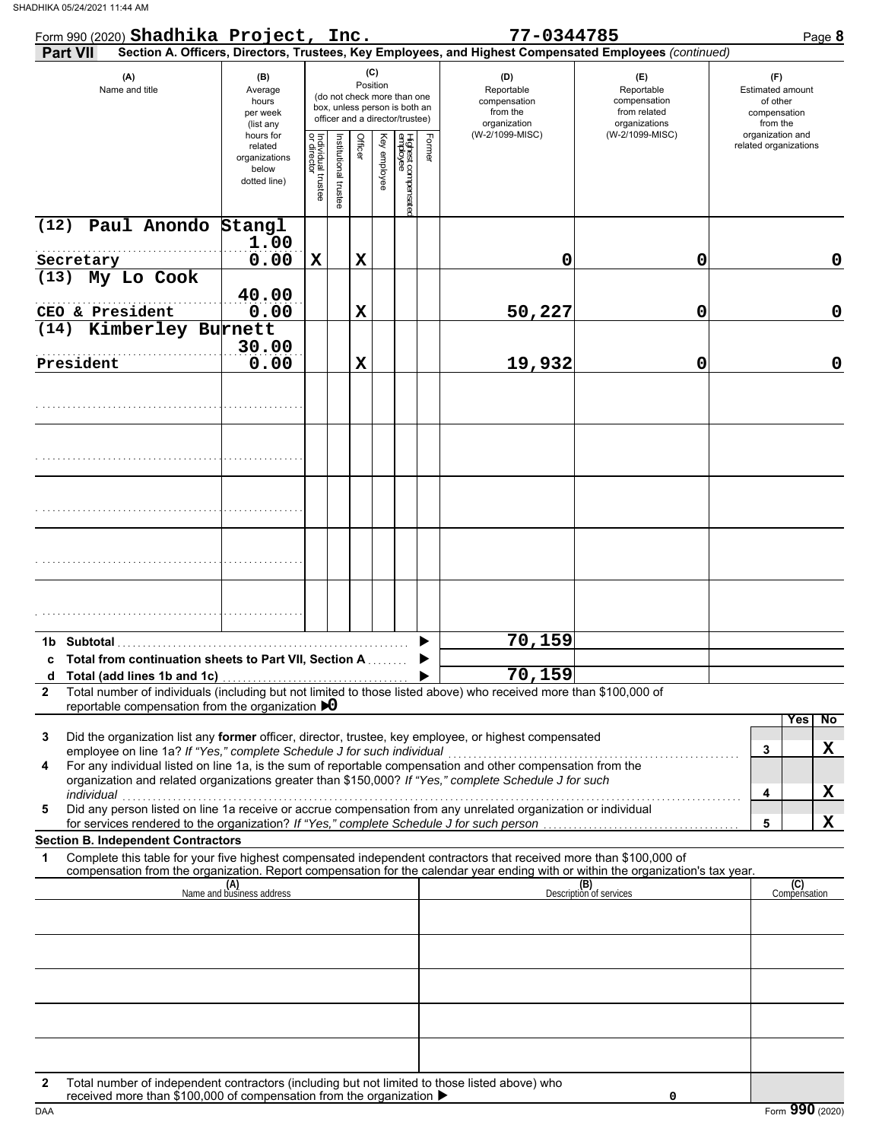| Form 990 (2020) Shadhika Project, Inc.                                                                                                                                                                                                                      |                                                                |                                   |                       |         |                 |                                                                                                 |        | 77-0344785                                                                                             |                                                                    | Page 8                                                                 |
|-------------------------------------------------------------------------------------------------------------------------------------------------------------------------------------------------------------------------------------------------------------|----------------------------------------------------------------|-----------------------------------|-----------------------|---------|-----------------|-------------------------------------------------------------------------------------------------|--------|--------------------------------------------------------------------------------------------------------|--------------------------------------------------------------------|------------------------------------------------------------------------|
| Part VII                                                                                                                                                                                                                                                    |                                                                |                                   |                       |         |                 |                                                                                                 |        | Section A. Officers, Directors, Trustees, Key Employees, and Highest Compensated Employees (continued) |                                                                    |                                                                        |
| (A)<br>Name and title                                                                                                                                                                                                                                       | (B)<br>Average<br>hours<br>per week<br>(list any               |                                   |                       |         | (C)<br>Position | (do not check more than one<br>box, unless person is both an<br>officer and a director/trustee) |        | (D)<br>Reportable<br>compensation<br>from the<br>organization                                          | (E)<br>Reportable<br>compensation<br>from related<br>organizations | (F)<br><b>Estimated amount</b><br>of other<br>compensation<br>from the |
|                                                                                                                                                                                                                                                             | hours for<br>related<br>organizations<br>below<br>dotted line) | Individual trustee<br>or director | Institutional trustee | Officer | Key employee    | Highest compensate<br>employee                                                                  | Former | (W-2/1099-MISC)                                                                                        | (W-2/1099-MISC)                                                    | organization and<br>related organizations                              |
| Paul Anondo Stangl<br>(12)                                                                                                                                                                                                                                  | 1.00                                                           |                                   |                       |         |                 |                                                                                                 |        |                                                                                                        |                                                                    |                                                                        |
| Secretary                                                                                                                                                                                                                                                   | 0.00                                                           | $\mathbf X$                       |                       | X       |                 |                                                                                                 |        | 0                                                                                                      | 0                                                                  | 0                                                                      |
| My Lo Cook<br>(13)                                                                                                                                                                                                                                          |                                                                |                                   |                       |         |                 |                                                                                                 |        |                                                                                                        |                                                                    |                                                                        |
|                                                                                                                                                                                                                                                             | 40.00                                                          |                                   |                       |         |                 |                                                                                                 |        |                                                                                                        |                                                                    |                                                                        |
| CEO & President                                                                                                                                                                                                                                             | 0.00                                                           |                                   |                       | X       |                 |                                                                                                 |        | 50,227                                                                                                 | $\mathbf 0$                                                        | $\mathbf 0$                                                            |
| Kimberley Burnett<br>(14)                                                                                                                                                                                                                                   |                                                                |                                   |                       |         |                 |                                                                                                 |        |                                                                                                        |                                                                    |                                                                        |
|                                                                                                                                                                                                                                                             | 30.00                                                          |                                   |                       |         |                 |                                                                                                 |        |                                                                                                        |                                                                    |                                                                        |
| President                                                                                                                                                                                                                                                   | 0.00                                                           |                                   |                       | X       |                 |                                                                                                 |        | 19,932                                                                                                 | 0                                                                  | $\mathbf 0$                                                            |
|                                                                                                                                                                                                                                                             |                                                                |                                   |                       |         |                 |                                                                                                 |        |                                                                                                        |                                                                    |                                                                        |
|                                                                                                                                                                                                                                                             |                                                                |                                   |                       |         |                 |                                                                                                 |        |                                                                                                        |                                                                    |                                                                        |
|                                                                                                                                                                                                                                                             |                                                                |                                   |                       |         |                 |                                                                                                 |        |                                                                                                        |                                                                    |                                                                        |
|                                                                                                                                                                                                                                                             |                                                                |                                   |                       |         |                 |                                                                                                 |        |                                                                                                        |                                                                    |                                                                        |
|                                                                                                                                                                                                                                                             |                                                                |                                   |                       |         |                 |                                                                                                 |        |                                                                                                        |                                                                    |                                                                        |
| 1b Subtotal                                                                                                                                                                                                                                                 |                                                                |                                   |                       |         |                 |                                                                                                 |        | 70,159                                                                                                 |                                                                    |                                                                        |
| c Total from continuation sheets to Part VII, Section A                                                                                                                                                                                                     |                                                                |                                   |                       |         |                 |                                                                                                 |        |                                                                                                        |                                                                    |                                                                        |
|                                                                                                                                                                                                                                                             |                                                                |                                   |                       |         |                 |                                                                                                 |        | 70, 159                                                                                                |                                                                    |                                                                        |
| Total number of individuals (including but not limited to those listed above) who received more than \$100,000 of<br>$\mathbf{2}$<br>reportable compensation from the organization $\bigtriangledown$                                                       |                                                                |                                   |                       |         |                 |                                                                                                 |        |                                                                                                        |                                                                    |                                                                        |
| Did the organization list any former officer, director, trustee, key employee, or highest compensated<br>3<br>employee on line 1a? If "Yes," complete Schedule J for such individual                                                                        |                                                                |                                   |                       |         |                 |                                                                                                 |        |                                                                                                        |                                                                    | No<br>Yes<br>X<br>3                                                    |
| For any individual listed on line 1a, is the sum of reportable compensation and other compensation from the<br>4<br>organization and related organizations greater than \$150,000? If "Yes," complete Schedule J for such<br>individual                     |                                                                |                                   |                       |         |                 |                                                                                                 |        |                                                                                                        |                                                                    | X<br>4                                                                 |
| narviauar<br>Did any person listed on line 1a receive or accrue compensation from any unrelated organization or individual<br>5<br>for services rendered to the organization? If "Yes," complete Schedule J for such person                                 |                                                                |                                   |                       |         |                 |                                                                                                 |        |                                                                                                        |                                                                    | X<br>5                                                                 |
| <b>Section B. Independent Contractors</b>                                                                                                                                                                                                                   |                                                                |                                   |                       |         |                 |                                                                                                 |        |                                                                                                        |                                                                    |                                                                        |
| Complete this table for your five highest compensated independent contractors that received more than \$100,000 of<br>1<br>compensation from the organization. Report compensation for the calendar year ending with or within the organization's tax year. |                                                                |                                   |                       |         |                 |                                                                                                 |        |                                                                                                        |                                                                    |                                                                        |
|                                                                                                                                                                                                                                                             | (A)<br>Name and business address                               |                                   |                       |         |                 |                                                                                                 |        |                                                                                                        | (B)<br>Description of services                                     | (C)<br>Compensation                                                    |
|                                                                                                                                                                                                                                                             |                                                                |                                   |                       |         |                 |                                                                                                 |        |                                                                                                        |                                                                    |                                                                        |
|                                                                                                                                                                                                                                                             |                                                                |                                   |                       |         |                 |                                                                                                 |        |                                                                                                        |                                                                    |                                                                        |
|                                                                                                                                                                                                                                                             |                                                                |                                   |                       |         |                 |                                                                                                 |        |                                                                                                        |                                                                    |                                                                        |
|                                                                                                                                                                                                                                                             |                                                                |                                   |                       |         |                 |                                                                                                 |        |                                                                                                        |                                                                    |                                                                        |
|                                                                                                                                                                                                                                                             |                                                                |                                   |                       |         |                 |                                                                                                 |        |                                                                                                        |                                                                    |                                                                        |
| Total number of independent contractors (including but not limited to those listed above) who<br>2<br>received more than \$100,000 of compensation from the organization ▶                                                                                  |                                                                |                                   |                       |         |                 |                                                                                                 |        |                                                                                                        | 0                                                                  |                                                                        |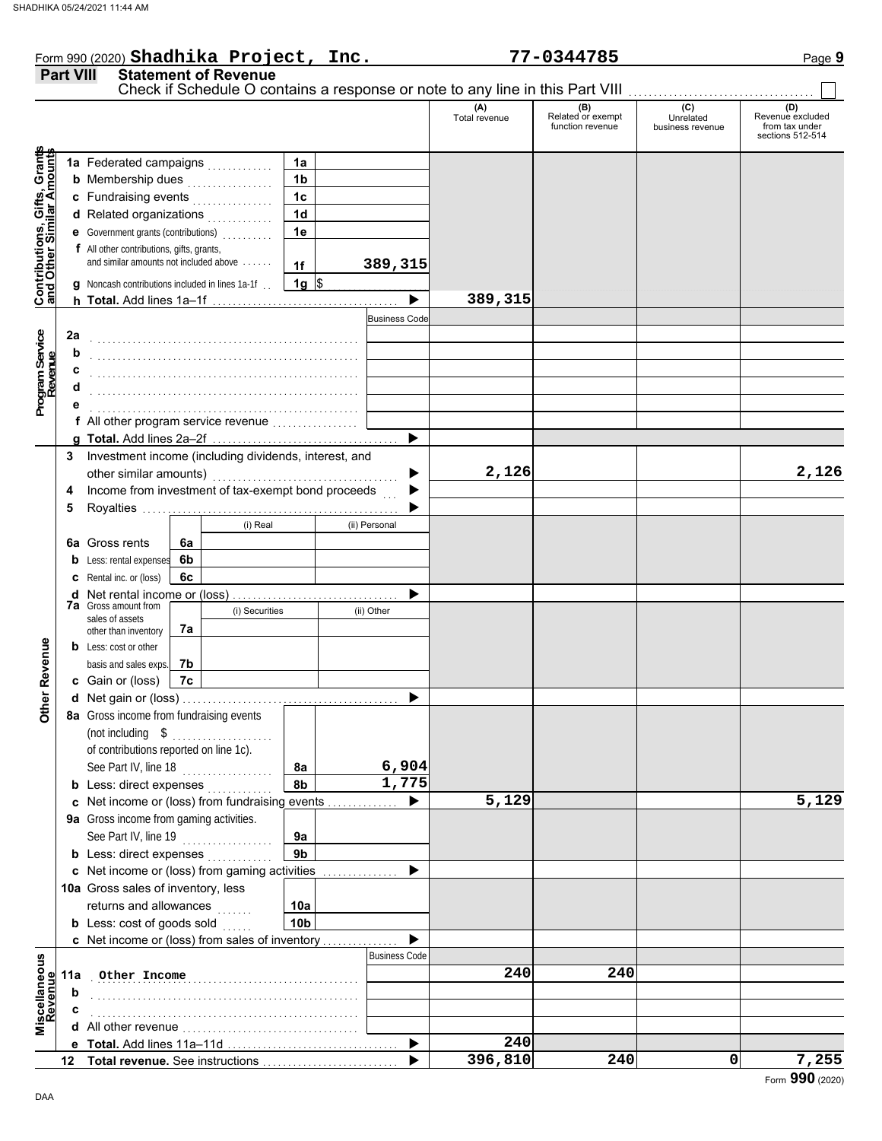|                                                           |                                                                                     |    |                |                |                       | (A)<br>Total revenue | (B)<br>Related or exempt<br>function revenue | (C)<br>Unrelated<br>business revenue | (D)<br>Revenue excluded<br>from tax under<br>sections 512-514 |
|-----------------------------------------------------------|-------------------------------------------------------------------------------------|----|----------------|----------------|-----------------------|----------------------|----------------------------------------------|--------------------------------------|---------------------------------------------------------------|
|                                                           | 1a Federated campaigns                                                              |    |                | 1a             |                       |                      |                                              |                                      |                                                               |
|                                                           | <b>b</b> Membership dues                                                            |    |                | 1 <sub>b</sub> |                       |                      |                                              |                                      |                                                               |
|                                                           | c Fundraising events                                                                |    |                | 1 <sub>c</sub> |                       |                      |                                              |                                      |                                                               |
|                                                           | d Related organizations                                                             |    |                | 1 <sub>d</sub> |                       |                      |                                              |                                      |                                                               |
|                                                           | <b>e</b> Government grants (contributions)                                          |    |                | 1e             |                       |                      |                                              |                                      |                                                               |
| Contributions, Gifts, Grants<br>and Other Similar Amounts | f All other contributions, gifts, grants,<br>and similar amounts not included above |    |                | 1f             | 389,315               |                      |                                              |                                      |                                                               |
|                                                           | g Noncash contributions included in lines 1a-1f.                                    |    |                | $1g$ \$        |                       |                      |                                              |                                      |                                                               |
|                                                           |                                                                                     |    |                |                | $\blacktriangleright$ | 389,315              |                                              |                                      |                                                               |
|                                                           |                                                                                     |    |                |                | <b>Business Code</b>  |                      |                                              |                                      |                                                               |
| 2a                                                        |                                                                                     |    |                |                |                       |                      |                                              |                                      |                                                               |
|                                                           | b                                                                                   |    |                |                |                       |                      |                                              |                                      |                                                               |
|                                                           | с                                                                                   |    |                |                |                       |                      |                                              |                                      |                                                               |
|                                                           |                                                                                     |    |                |                |                       |                      |                                              |                                      |                                                               |
|                                                           |                                                                                     |    |                |                |                       |                      |                                              |                                      |                                                               |
|                                                           |                                                                                     |    |                |                |                       |                      |                                              |                                      |                                                               |
|                                                           |                                                                                     |    |                |                | ▶                     |                      |                                              |                                      |                                                               |
|                                                           | 3 Investment income (including dividends, interest, and                             |    |                |                |                       |                      |                                              |                                      |                                                               |
|                                                           |                                                                                     |    |                |                | ▶                     | 2,126                |                                              |                                      | 2,126                                                         |
| 4                                                         | Income from investment of tax-exempt bond proceeds                                  |    |                |                | ▶                     |                      |                                              |                                      |                                                               |
| 5                                                         |                                                                                     |    |                |                |                       |                      |                                              |                                      |                                                               |
|                                                           |                                                                                     |    | (i) Real       |                | (ii) Personal         |                      |                                              |                                      |                                                               |
|                                                           | <b>6a</b> Gross rents                                                               | 6a |                |                |                       |                      |                                              |                                      |                                                               |
|                                                           | <b>b</b> Less: rental expenses                                                      | 6b |                |                |                       |                      |                                              |                                      |                                                               |
|                                                           | <b>c</b> Rental inc. or (loss)                                                      | 6c |                |                |                       |                      |                                              |                                      |                                                               |
|                                                           | <b>d</b> Net rental income or (loss)                                                |    |                |                | ▶                     |                      |                                              |                                      |                                                               |
|                                                           | <b>7a</b> Gross amount from<br>sales of assets                                      |    | (i) Securities |                | (ii) Other            |                      |                                              |                                      |                                                               |
|                                                           | other than inventory                                                                | 7a |                |                |                       |                      |                                              |                                      |                                                               |
|                                                           | <b>b</b> Less: cost or other                                                        |    |                |                |                       |                      |                                              |                                      |                                                               |
|                                                           | basis and sales exps.                                                               | 7b |                |                |                       |                      |                                              |                                      |                                                               |
|                                                           | c Gain or (loss)                                                                    | 7c |                |                |                       |                      |                                              |                                      |                                                               |
|                                                           |                                                                                     |    |                |                | ▶                     |                      |                                              |                                      |                                                               |
|                                                           | 8a Gross income from fundraising events                                             |    |                |                |                       |                      |                                              |                                      |                                                               |
|                                                           |                                                                                     |    |                |                |                       |                      |                                              |                                      |                                                               |
|                                                           | of contributions reported on line 1c).                                              |    |                |                |                       |                      |                                              |                                      |                                                               |
|                                                           | See Part IV, line 18                                                                |    |                | 8a             | 6,904                 |                      |                                              |                                      |                                                               |
|                                                           | <b>b</b> Less: direct expenses                                                      |    |                | 8b             | 1,775                 |                      |                                              |                                      |                                                               |
|                                                           | c Net income or (loss) from fundraising events                                      |    |                |                | ▶                     | 5,129                |                                              |                                      | 5,129                                                         |
|                                                           | 9a Gross income from gaming activities.                                             |    |                |                |                       |                      |                                              |                                      |                                                               |
|                                                           | See Part IV, line 19                                                                |    |                | 9а             |                       |                      |                                              |                                      |                                                               |
|                                                           | <b>b</b> Less: direct expenses                                                      |    |                | 9b             |                       |                      |                                              |                                      |                                                               |
|                                                           | c Net income or (loss) from gaming activities                                       |    |                |                | ▶                     |                      |                                              |                                      |                                                               |
|                                                           | 10a Gross sales of inventory, less                                                  |    |                |                |                       |                      |                                              |                                      |                                                               |
|                                                           | returns and allowances                                                              |    |                | 10a            |                       |                      |                                              |                                      |                                                               |
|                                                           | <b>b</b> Less: cost of goods sold                                                   |    |                | 10b            | ▶                     |                      |                                              |                                      |                                                               |
|                                                           | c Net income or (loss) from sales of inventory                                      |    |                |                | <b>Business Code</b>  |                      |                                              |                                      |                                                               |
|                                                           | 11a Other Income                                                                    |    |                |                |                       | 240                  | 240                                          |                                      |                                                               |
|                                                           |                                                                                     |    |                |                |                       |                      |                                              |                                      |                                                               |
| scellaneous<br>Revenue                                    | b                                                                                   |    |                |                |                       |                      |                                              |                                      |                                                               |

 $\blacktriangleright$ 

 $\blacktriangleright$ 

**240**

**396,810 240 0 7,255**

**e Total.** Add lines 11a–11d . . . . . . . . . . . . . . . . . . . . . . . . . . . . . . . . . . **12 Total revenue.** See instructions ............................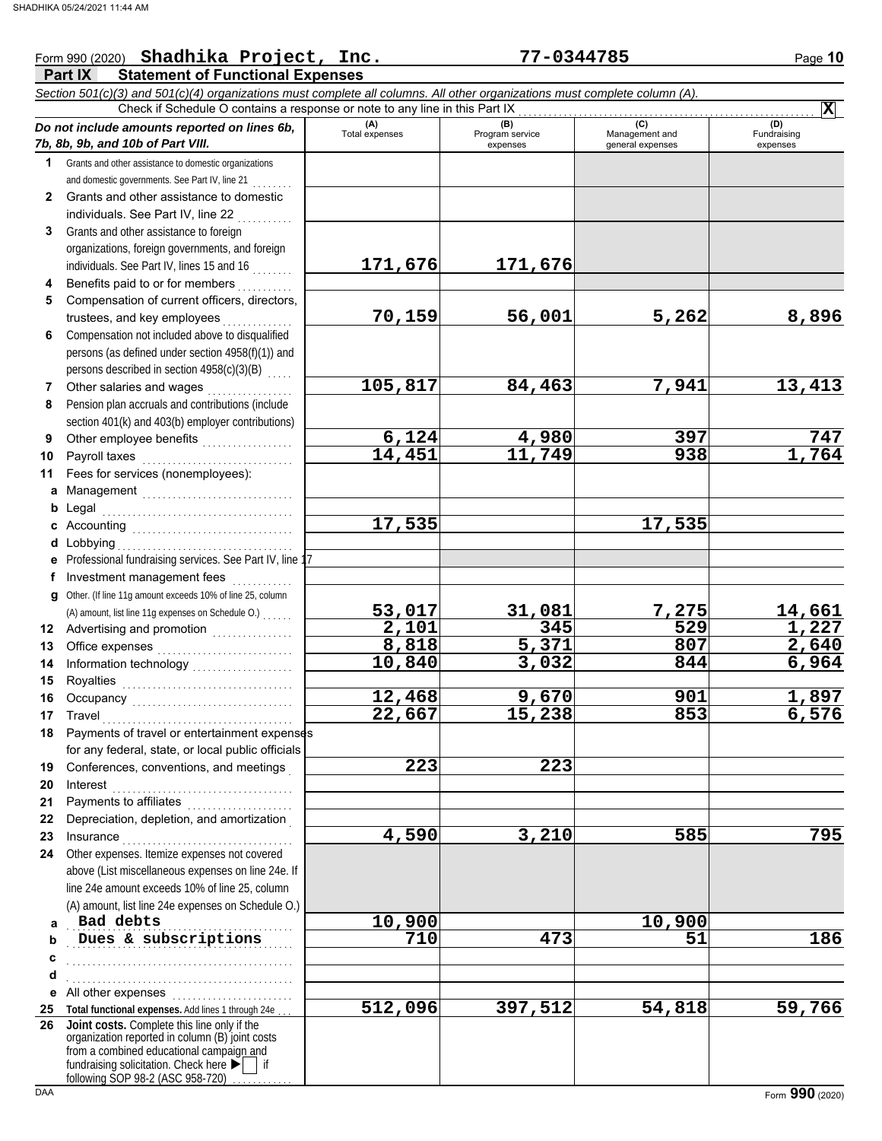#### **Part IX Statement of Functional Expenses** Form 990 (2020) Page **10 Shadhika Project, Inc. 77-0344785** *Section 501(c)(3) and 501(c)(4) organizations must complete all columns. All other organizations must complete column (A). Do not include amounts reported on lines 6b, 7b, 8b, 9b, and 10b of Part VIII.* **1 2 3 4 5 6 7 8 9 10 11 a** Management .............................. **b** Legal **c** Accounting . . . . . . . . . . . . . . . . . . . . . . . . . . . . . . . . **d** Lobbying . . . . . . . . . . . . . . . . . . . . . . . . . . . . . . . . . . . **e** Professional fundraising services. See Part IV, line 17 **f g** Other. (If line 11g amount exceeds 10% of line 25, column **12** Advertising and promotion **. . . . . . . . . . . .** . . **13 14 15 16 17 18 19 20 21 22 23 24 a b c d e** All other expenses . . . . . . . . . . . . . . . . . . . . . . . . **25 Total functional expenses.** Add lines 1 through 24e . . . **26** Grants and other assistance to domestic organizations and domestic governments. See Part IV, line 21 Grants and other assistance to domestic individuals. See Part IV, line 22 Grants and other assistance to foreign organizations, foreign governments, and foreign individuals. See Part IV, lines 15 and 16 . . . . . . . . Benefits paid to or for members . . . . . . . . . . Compensation of current officers, directors, trustees, and key employees . . . . . . . Compensation not included above to disqualified persons (as defined under section 4958(f)(1)) and persons described in section 4958(c)(3)(B) Other salaries and wages .................. Pension plan accruals and contributions (include section 401(k) and 403(b) employer contributions) Other employee benefits ................... Payroll taxes Fees for services (nonemployees): Legal . . . . . . . . . . . . . . . . . . . . . . . . . . . . . . . . . . . . . . Investment management fees ............. Office expenses . . . . . . . . . . . . . . . . . . . . . . . . . . . Information technology . . . . . . . . . . . . . . . . . . . . Royalties . . . . . . . . . . . . . . . . . . . . . . . . . . . . . . . . . . Occupancy . . . . . . . . . . . . . . . . . . . . . . . . . . . . . . . . Travel . . . . . . . . . . . . . . . . . . . . . . . . . . . . . . . . . . . . . . Payments of travel or entertainment expenses for any federal, state, or local public officials Conferences, conventions, and meetings . Interest . . . . . . . . . . . . . . . . . . . . . . . . . . . . . . . . . . . . Payments to affiliates . . . . . . . . . . . . . . . Depreciation, depletion, and amortization . Insurance . . . . . . . . . . . . . . . . . . . . . . . . . . . . . . . . . . Other expenses. Itemize expenses not covered above (List miscellaneous expenses on line 24e. If line 24e amount exceeds 10% of line 25, column (A) amount, list line 24e expenses on Schedule O.) fundraising solicitation. Check here  $\blacktriangleright$  | if organization reported in column (B) joint costs from a combined educational campaign and following SOP 98-2 (ASC 958-720) **(A) (B)** (B) (B) (C) (C) (A) (D)<br>Total expenses Program service Management and Fundrai expenses and general expenses (D)<br>Fundraising expenses . . . . . . . . . . . . . . . . . . . . . . . . . . . . . . . . . . . . . . . . . . . . . **Dues & subscriptions 710** 473 51 51 5 . . . . . . . . . . . . . . . . . . . . . . . . . . . . . . . . . . . . . . . . . . . . . . . . . . . . . . . . . . . . . . . . . . . . . . . . . . . . . . . . . . . . . . . . . . Check if Schedule O contains a response or note to any line in this Part IX **Joint costs.** Complete this line only if the (A) amount, list line 11g expenses on Schedule O.) . . . . . . . **X 171,676 171,676 70,159 56,001 5,262 8,896 105,817 84,463 7,941 13,413 6,124 4,980 397 747 14,451 11,749 938 1,764 17,535 17,535 53,017 31,081 7,275 14,661 2,101 345 529 1,227 8,818 5,371 807 2,640 10,840 3,032 844 6,964 12,468 9,670 901 1,897 22,667 15,238 853 6,576 223 223 4,590 3,210 585 795 Bad debts 10,900 10,900 512,096 397,512 54,818 59,766**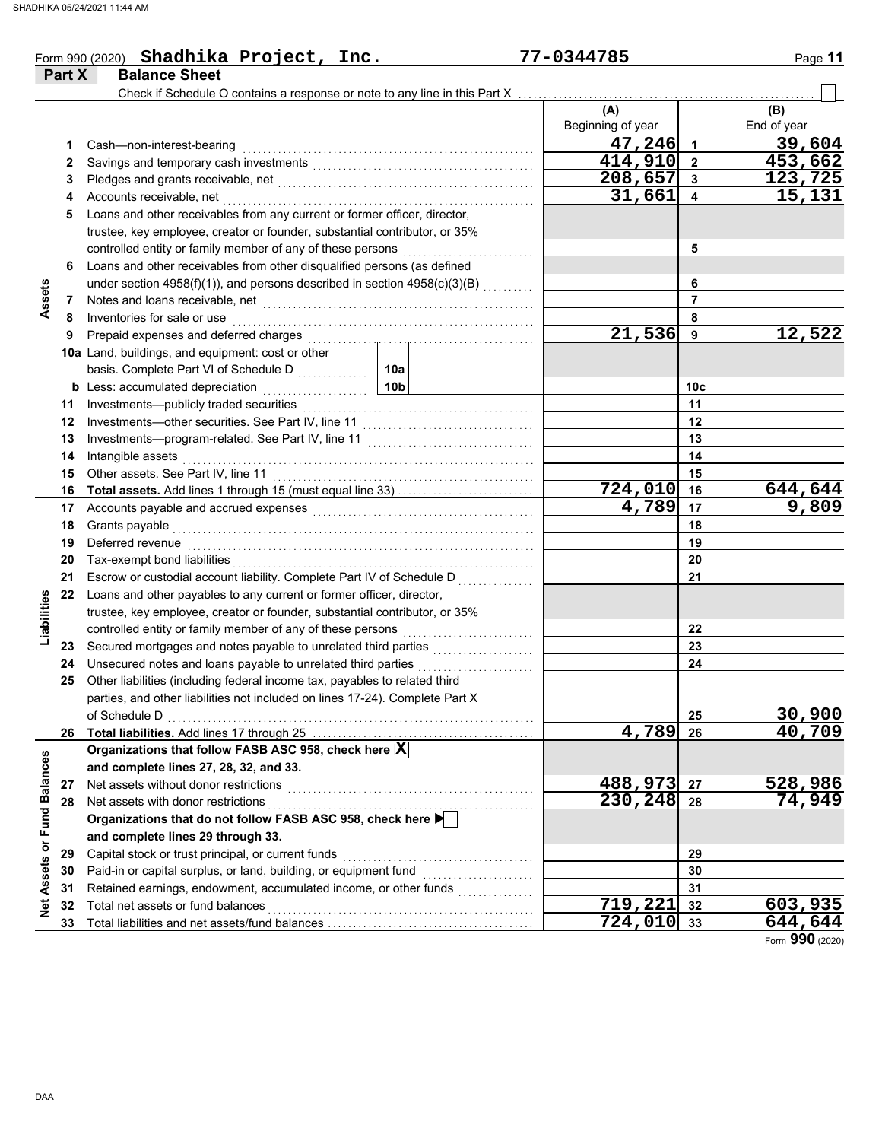|             |        | Form 990 (2020) Shadhika Project, Inc.                                                                                                                                                                                               | 77-0344785               |                 | Page 11            |
|-------------|--------|--------------------------------------------------------------------------------------------------------------------------------------------------------------------------------------------------------------------------------------|--------------------------|-----------------|--------------------|
|             | Part X | <b>Balance Sheet</b>                                                                                                                                                                                                                 |                          |                 |                    |
|             |        | Check if Schedule O contains a response or note to any line in this Part X                                                                                                                                                           |                          |                 |                    |
|             |        |                                                                                                                                                                                                                                      | (A)<br>Beginning of year |                 | (B)<br>End of year |
|             | 1      | Cash-non-interest-bearing                                                                                                                                                                                                            | 47,246                   | $\mathbf{1}$    | 39,604             |
|             | 2      |                                                                                                                                                                                                                                      | 414,910                  | $\overline{2}$  | 453,662            |
|             | 3      |                                                                                                                                                                                                                                      | 208,657                  | 3               | 123,725            |
|             | 4      | Accounts receivable, net                                                                                                                                                                                                             | 31,661                   | 4               | 15,131             |
| Assets      | 5      | Loans and other receivables from any current or former officer, director,                                                                                                                                                            |                          |                 |                    |
|             |        | trustee, key employee, creator or founder, substantial contributor, or 35%                                                                                                                                                           |                          |                 |                    |
|             |        |                                                                                                                                                                                                                                      |                          | 5               |                    |
|             | 6      | Loans and other receivables from other disqualified persons (as defined                                                                                                                                                              |                          |                 |                    |
|             |        | under section 4958(f)(1)), and persons described in section 4958(c)(3)(B)                                                                                                                                                            |                          | 6               |                    |
|             | 7      | Notes and loans receivable, net <b>consider the constant of the constant of the constant of the constant of the constant of the constant of the constant of the constant of the constant of the constant of the constant of the </b> |                          | $\overline{7}$  |                    |
|             | 8      | Inventories for sale or use                                                                                                                                                                                                          |                          | 8               |                    |
|             | 9      |                                                                                                                                                                                                                                      | 21,536                   | 9               | 12,522             |
|             |        | 10a Land, buildings, and equipment: cost or other                                                                                                                                                                                    |                          |                 |                    |
|             |        |                                                                                                                                                                                                                                      |                          |                 |                    |
|             |        | 10 <sub>b</sub><br><b>b</b> Less: accumulated depreciation <b>container</b>                                                                                                                                                          |                          | 10 <sub>c</sub> |                    |
|             | 11     | Investments-publicly traded securities                                                                                                                                                                                               |                          | 11              |                    |
|             | 12     |                                                                                                                                                                                                                                      |                          | 12              |                    |
|             | 13     |                                                                                                                                                                                                                                      |                          | 13              |                    |
|             | 14     | Intangible assets                                                                                                                                                                                                                    |                          | 14              |                    |
|             | 15     | Other assets. See Part IV, line 11                                                                                                                                                                                                   |                          | 15              |                    |
|             | 16     | Total assets. Add lines 1 through 15 (must equal line 33)                                                                                                                                                                            | 724,010                  | 16              | 644,644            |
|             | 17     | Accounts payable and accrued expenses [[11] [11] Accounts payable and accrued expenses [[11] [11] Accounts are not accredited a contract and accrued a contract a contract a contract and accrued a contract a contract a cont       | 4,789                    | 17              | 9,809              |
|             | 18     |                                                                                                                                                                                                                                      |                          | 18              |                    |
|             | 19     | Deferred revenue                                                                                                                                                                                                                     |                          | 19              |                    |
|             | 20     | Tax-exempt bond liabilities                                                                                                                                                                                                          |                          | 20              |                    |
|             | 21     | Escrow or custodial account liability. Complete Part IV of Schedule D                                                                                                                                                                |                          | 21              |                    |
| Liabilities | 22     | Loans and other payables to any current or former officer, director,                                                                                                                                                                 |                          |                 |                    |
|             |        | trustee, key employee, creator or founder, substantial contributor, or 35%                                                                                                                                                           |                          |                 |                    |
|             |        | controlled entity or family member of any of these persons                                                                                                                                                                           |                          | 22              |                    |
|             | 23     |                                                                                                                                                                                                                                      |                          | 23              |                    |
|             | 24     | Unsecured notes and loans payable to unrelated third parties                                                                                                                                                                         | .                        | 24              |                    |
|             | 25     | Other liabilities (including federal income tax, payables to related third                                                                                                                                                           |                          |                 |                    |
|             |        | parties, and other liabilities not included on lines 17-24). Complete Part X                                                                                                                                                         |                          |                 | 30,900             |
|             |        | of Schedule D                                                                                                                                                                                                                        | 4,789                    | 25<br>26        | 40,709             |
|             | 26     |                                                                                                                                                                                                                                      |                          |                 |                    |

Form **990** (2020) **724,010 644,644**

**29**

**28 27**

**488,973 528,986 230,248 74,949**

**719, 221** 32 603, 935<br>724, 010 33 644, 644

**27 28** **Organizations that follow FASB ASC 958, check here X**

**Organizations that do not follow FASB ASC 958, check here** 

Capital stock or trust principal, or current funds . . . . . . . . . . . . . . . . . . . . . . . . . . . . . . . . . . . . . . Paid-in or capital surplus, or land, building, or equipment fund  $\begin{array}{ccc} \dots & \dots & \dots \dots \end{array}$ 

Retained earnings, endowment, accumulated income, or other funds ........<br>Total net assets or fund balances Total net assets or fund balances . . . . . . . . . . . . . . . . . . . . . . . . . . . . . . . . . . . . . . . . . . . . . . . . . . . . .  $\sf Total~liabilities$  and net assets/fund balances  $\ldots\ldots\ldots\ldots\ldots\ldots\ldots\ldots\ldots\ldots\ldots$ 

Net assets without donor restrictions . . . . . . . . . . . . . . . . . . . . . . . . . . . . . . . . . . . . . . . . . . . . . . . . .

**and complete lines 27, 28, 32, and 33.**

Net assets with donor restrictions

**and complete lines 29 through 33.**

**Net Assets or Fund Balances**

Net Assets or Fund Balances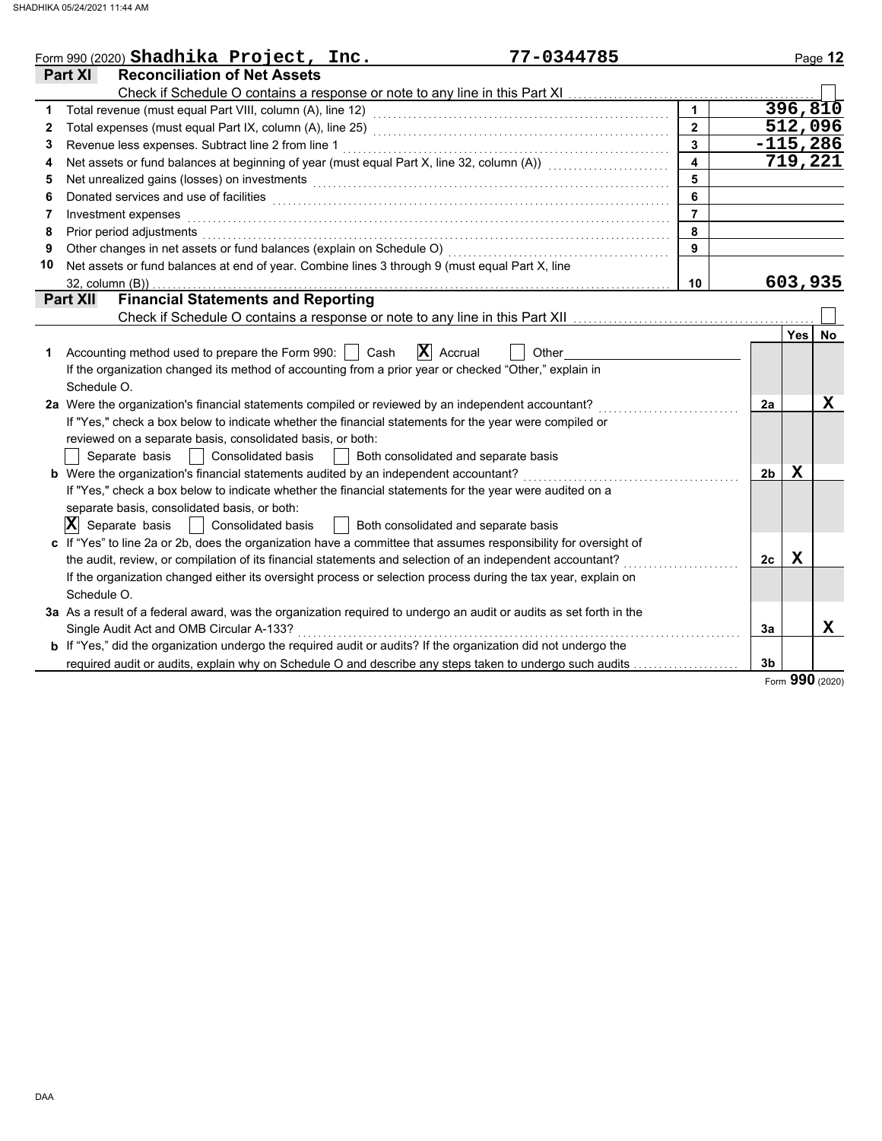|    | Form 990 (2020) $\texttt{Shadhika Project}, \texttt{Inc.}$<br>77-0344785                                                                                                                                                       |                         |                |             | Page 12   |
|----|--------------------------------------------------------------------------------------------------------------------------------------------------------------------------------------------------------------------------------|-------------------------|----------------|-------------|-----------|
|    | <b>Part XI</b><br><b>Reconciliation of Net Assets</b>                                                                                                                                                                          |                         |                |             |           |
|    |                                                                                                                                                                                                                                |                         |                |             |           |
| 1  |                                                                                                                                                                                                                                | $\mathbf{1}$            |                | 396,810     |           |
| 2  |                                                                                                                                                                                                                                | $\overline{2}$          |                | 512,096     |           |
| 3  | Revenue less expenses. Subtract line 2 from line 1                                                                                                                                                                             | $\overline{\mathbf{3}}$ |                | $-115,286$  |           |
| 4  | Net assets or fund balances at beginning of year (must equal Part X, line 32, column (A)) [[[[[[[[[[[[[[[[[[[                                                                                                                  | $\overline{\mathbf{A}}$ |                | 719,221     |           |
| 5  | Net unrealized gains (losses) on investments [11] with the content of the content of the content of the content of the content of the content of the content of the content of the content of the content of the content of th | 5                       |                |             |           |
| 6  |                                                                                                                                                                                                                                | 6                       |                |             |           |
| 7  | Investment expenses                                                                                                                                                                                                            | $\overline{7}$          |                |             |           |
| 8  | Prior period adjustments                                                                                                                                                                                                       | 8                       |                |             |           |
| 9  |                                                                                                                                                                                                                                | 9                       |                |             |           |
| 10 | Net assets or fund balances at end of year. Combine lines 3 through 9 (must equal Part X, line                                                                                                                                 |                         |                |             |           |
|    | 32, column (B))                                                                                                                                                                                                                | 10                      |                | 603,935     |           |
|    | <b>Financial Statements and Reporting</b><br><b>Part XII</b>                                                                                                                                                                   |                         |                |             |           |
|    | Check if Schedule O contains a response or note to any line in this Part XII                                                                                                                                                   |                         |                |             |           |
|    |                                                                                                                                                                                                                                |                         |                | <b>Yes</b>  | <b>No</b> |
| 1  | $\mathbf{X}$ Accrual<br>Accounting method used to prepare the Form 990:     Cash<br>Other                                                                                                                                      |                         |                |             |           |
|    | If the organization changed its method of accounting from a prior year or checked "Other," explain in                                                                                                                          |                         |                |             |           |
|    | Schedule O.                                                                                                                                                                                                                    |                         |                |             |           |
|    | 2a Were the organization's financial statements compiled or reviewed by an independent accountant?                                                                                                                             |                         | 2a             |             | x         |
|    | If "Yes," check a box below to indicate whether the financial statements for the year were compiled or                                                                                                                         |                         |                |             |           |
|    | reviewed on a separate basis, consolidated basis, or both:                                                                                                                                                                     |                         |                |             |           |
|    | Separate basis<br>Consolidated basis<br>Both consolidated and separate basis<br>$\mathcal{L}$                                                                                                                                  |                         |                |             |           |
|    | <b>b</b> Were the organization's financial statements audited by an independent accountant?                                                                                                                                    |                         | 2 <sub>b</sub> | x           |           |
|    | If "Yes," check a box below to indicate whether the financial statements for the year were audited on a                                                                                                                        |                         |                |             |           |
|    | separate basis, consolidated basis, or both:                                                                                                                                                                                   |                         |                |             |           |
|    | $ \mathbf{X} $ Separate basis<br>Consolidated basis<br>Both consolidated and separate basis                                                                                                                                    |                         |                |             |           |
|    | c If "Yes" to line 2a or 2b, does the organization have a committee that assumes responsibility for oversight of                                                                                                               |                         |                |             |           |
|    | the audit, review, or compilation of its financial statements and selection of an independent accountant?                                                                                                                      |                         | 2c             | $\mathbf x$ |           |
|    | If the organization changed either its oversight process or selection process during the tax year, explain on                                                                                                                  |                         |                |             |           |
|    | Schedule O.                                                                                                                                                                                                                    |                         |                |             |           |
|    | 3a As a result of a federal award, was the organization required to undergo an audit or audits as set forth in the                                                                                                             |                         |                |             |           |
|    | Single Audit Act and OMB Circular A-133?                                                                                                                                                                                       |                         | 3a             |             | X         |
|    | <b>b</b> If "Yes," did the organization undergo the required audit or audits? If the organization did not undergo the                                                                                                          |                         |                |             |           |
|    | required audit or audits, explain why on Schedule O and describe any steps taken to undergo such audits                                                                                                                        |                         | 3 <sub>b</sub> |             |           |
|    |                                                                                                                                                                                                                                |                         |                |             |           |

Form **990** (2020)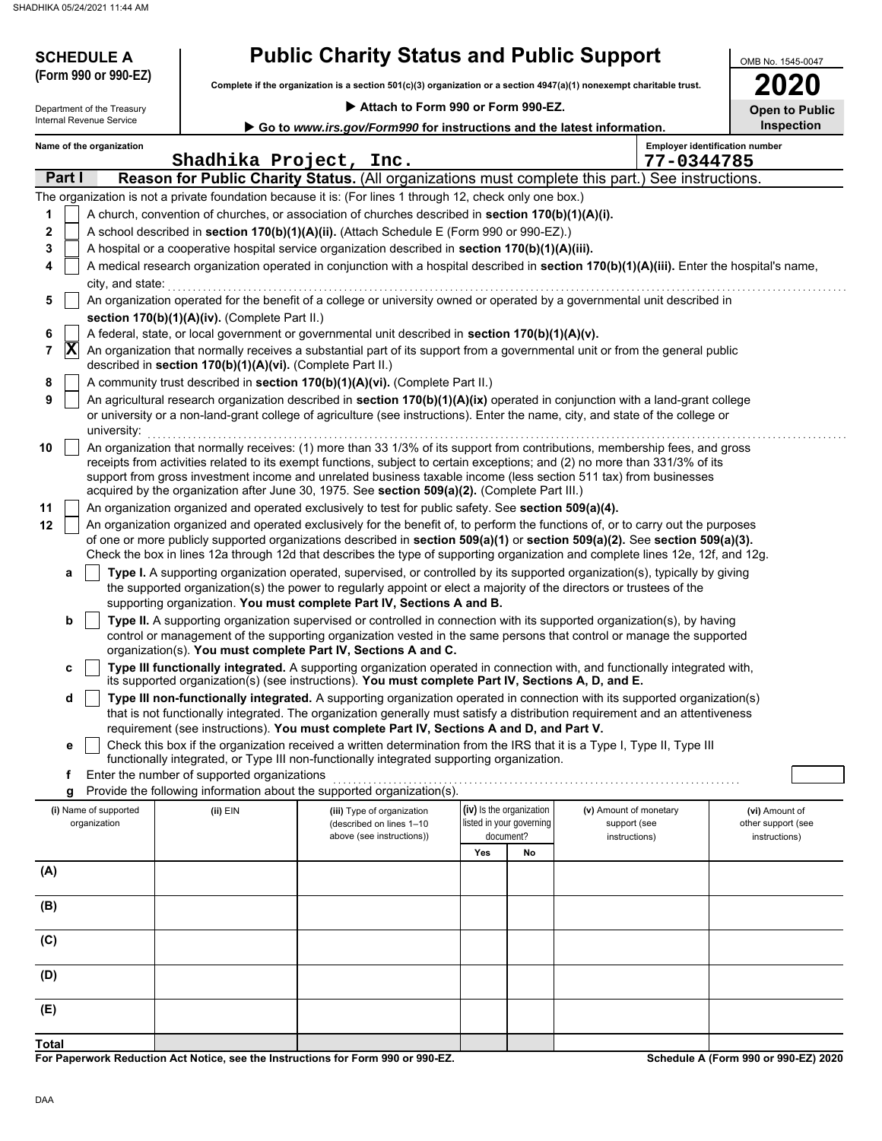**SCHEDULE A** 

**Complete if the organization is a section 501(c)(3) organization or a section 4947(a)(1) nonexempt charitable trust. (Form 990 or 990-EZ)**

| Attach to Form 990 or Form 990-EZ. |  |  |  |  |
|------------------------------------|--|--|--|--|
|                                    |  |  |  |  |

| 2020          |  |
|---------------|--|
| pen to Public |  |

OMB No. 1545-0047

|                                                                                                    | Department of the Treasury |                                                            | Attach to Form 990 or Form 990-EZ.                                                                                                                                                                                                                                                                                                                |                          |    |                        | <b>Open to Public</b>                 |
|----------------------------------------------------------------------------------------------------|----------------------------|------------------------------------------------------------|---------------------------------------------------------------------------------------------------------------------------------------------------------------------------------------------------------------------------------------------------------------------------------------------------------------------------------------------------|--------------------------|----|------------------------|---------------------------------------|
| Internal Revenue Service<br>Go to www.irs.gov/Form990 for instructions and the latest information. |                            |                                                            |                                                                                                                                                                                                                                                                                                                                                   |                          |    |                        | <b>Inspection</b>                     |
|                                                                                                    | Name of the organization   | Shadhika Project, Inc.                                     |                                                                                                                                                                                                                                                                                                                                                   |                          |    | 77-0344785             | <b>Employer identification number</b> |
|                                                                                                    | Part I                     |                                                            | Reason for Public Charity Status. (All organizations must complete this part.) See instructions.                                                                                                                                                                                                                                                  |                          |    |                        |                                       |
|                                                                                                    |                            |                                                            | The organization is not a private foundation because it is: (For lines 1 through 12, check only one box.)                                                                                                                                                                                                                                         |                          |    |                        |                                       |
| 1                                                                                                  |                            |                                                            | A church, convention of churches, or association of churches described in section 170(b)(1)(A)(i).                                                                                                                                                                                                                                                |                          |    |                        |                                       |
| $\mathbf 2$                                                                                        |                            |                                                            | A school described in section 170(b)(1)(A)(ii). (Attach Schedule E (Form 990 or 990-EZ).)                                                                                                                                                                                                                                                         |                          |    |                        |                                       |
| 3                                                                                                  |                            |                                                            | A hospital or a cooperative hospital service organization described in section 170(b)(1)(A)(iii).                                                                                                                                                                                                                                                 |                          |    |                        |                                       |
| 4                                                                                                  |                            |                                                            | A medical research organization operated in conjunction with a hospital described in section 170(b)(1)(A)(iii). Enter the hospital's name,                                                                                                                                                                                                        |                          |    |                        |                                       |
|                                                                                                    | city, and state:           |                                                            | An organization operated for the benefit of a college or university owned or operated by a governmental unit described in                                                                                                                                                                                                                         |                          |    |                        |                                       |
| 5                                                                                                  |                            |                                                            |                                                                                                                                                                                                                                                                                                                                                   |                          |    |                        |                                       |
| 6                                                                                                  |                            | section 170(b)(1)(A)(iv). (Complete Part II.)              | A federal, state, or local government or governmental unit described in section 170(b)(1)(A)(v).                                                                                                                                                                                                                                                  |                          |    |                        |                                       |
| 7                                                                                                  | $ {\bf X} $                | described in section 170(b)(1)(A)(vi). (Complete Part II.) | An organization that normally receives a substantial part of its support from a governmental unit or from the general public                                                                                                                                                                                                                      |                          |    |                        |                                       |
| 8                                                                                                  |                            |                                                            | A community trust described in section 170(b)(1)(A)(vi). (Complete Part II.)                                                                                                                                                                                                                                                                      |                          |    |                        |                                       |
| 9                                                                                                  |                            |                                                            | An agricultural research organization described in section 170(b)(1)(A)(ix) operated in conjunction with a land-grant college                                                                                                                                                                                                                     |                          |    |                        |                                       |
|                                                                                                    | university:                |                                                            | or university or a non-land-grant college of agriculture (see instructions). Enter the name, city, and state of the college or                                                                                                                                                                                                                    |                          |    |                        |                                       |
| 10                                                                                                 |                            |                                                            | An organization that normally receives: (1) more than 33 1/3% of its support from contributions, membership fees, and gross                                                                                                                                                                                                                       |                          |    |                        |                                       |
|                                                                                                    |                            |                                                            | receipts from activities related to its exempt functions, subject to certain exceptions; and (2) no more than 331/3% of its<br>support from gross investment income and unrelated business taxable income (less section 511 tax) from businesses<br>acquired by the organization after June 30, 1975. See section 509(a)(2). (Complete Part III.) |                          |    |                        |                                       |
| 11                                                                                                 |                            |                                                            | An organization organized and operated exclusively to test for public safety. See section 509(a)(4).                                                                                                                                                                                                                                              |                          |    |                        |                                       |
| 12                                                                                                 |                            |                                                            | An organization organized and operated exclusively for the benefit of, to perform the functions of, or to carry out the purposes                                                                                                                                                                                                                  |                          |    |                        |                                       |
|                                                                                                    |                            |                                                            | of one or more publicly supported organizations described in section 509(a)(1) or section 509(a)(2). See section 509(a)(3).                                                                                                                                                                                                                       |                          |    |                        |                                       |
|                                                                                                    |                            |                                                            | Check the box in lines 12a through 12d that describes the type of supporting organization and complete lines 12e, 12f, and 12g.                                                                                                                                                                                                                   |                          |    |                        |                                       |
|                                                                                                    | a                          |                                                            | Type I. A supporting organization operated, supervised, or controlled by its supported organization(s), typically by giving                                                                                                                                                                                                                       |                          |    |                        |                                       |
|                                                                                                    |                            |                                                            | the supported organization(s) the power to regularly appoint or elect a majority of the directors or trustees of the                                                                                                                                                                                                                              |                          |    |                        |                                       |
|                                                                                                    |                            |                                                            | supporting organization. You must complete Part IV, Sections A and B.                                                                                                                                                                                                                                                                             |                          |    |                        |                                       |
|                                                                                                    | b                          |                                                            | Type II. A supporting organization supervised or controlled in connection with its supported organization(s), by having<br>control or management of the supporting organization vested in the same persons that control or manage the supported                                                                                                   |                          |    |                        |                                       |
|                                                                                                    |                            |                                                            | organization(s). You must complete Part IV, Sections A and C.<br>Type III functionally integrated. A supporting organization operated in connection with, and functionally integrated with,                                                                                                                                                       |                          |    |                        |                                       |
|                                                                                                    | c                          |                                                            | its supported organization(s) (see instructions). You must complete Part IV, Sections A, D, and E.                                                                                                                                                                                                                                                |                          |    |                        |                                       |
|                                                                                                    | d                          |                                                            | Type III non-functionally integrated. A supporting organization operated in connection with its supported organization(s)                                                                                                                                                                                                                         |                          |    |                        |                                       |
|                                                                                                    |                            |                                                            | that is not functionally integrated. The organization generally must satisfy a distribution requirement and an attentiveness                                                                                                                                                                                                                      |                          |    |                        |                                       |
|                                                                                                    |                            |                                                            | requirement (see instructions). You must complete Part IV, Sections A and D, and Part V.                                                                                                                                                                                                                                                          |                          |    |                        |                                       |
|                                                                                                    | е                          |                                                            | Check this box if the organization received a written determination from the IRS that it is a Type I, Type II, Type III<br>functionally integrated, or Type III non-functionally integrated supporting organization.                                                                                                                              |                          |    |                        |                                       |
|                                                                                                    | f                          | Enter the number of supported organizations                |                                                                                                                                                                                                                                                                                                                                                   |                          |    |                        |                                       |
|                                                                                                    | g                          |                                                            | Provide the following information about the supported organization(s).                                                                                                                                                                                                                                                                            |                          |    |                        |                                       |
|                                                                                                    | (i) Name of supported      | (ii) EIN                                                   | (iii) Type of organization                                                                                                                                                                                                                                                                                                                        | (iv) Is the organization |    | (v) Amount of monetary | (vi) Amount of                        |
|                                                                                                    | organization               |                                                            | (described on lines 1-10                                                                                                                                                                                                                                                                                                                          | listed in your governing |    | support (see           | other support (see                    |
|                                                                                                    |                            |                                                            | above (see instructions))                                                                                                                                                                                                                                                                                                                         | document?                |    | instructions)          | instructions)                         |
|                                                                                                    |                            |                                                            |                                                                                                                                                                                                                                                                                                                                                   | Yes                      | No |                        |                                       |
| (A)                                                                                                |                            |                                                            |                                                                                                                                                                                                                                                                                                                                                   |                          |    |                        |                                       |
| (B)                                                                                                |                            |                                                            |                                                                                                                                                                                                                                                                                                                                                   |                          |    |                        |                                       |
| (C)                                                                                                |                            |                                                            |                                                                                                                                                                                                                                                                                                                                                   |                          |    |                        |                                       |
| (D)                                                                                                |                            |                                                            |                                                                                                                                                                                                                                                                                                                                                   |                          |    |                        |                                       |
| (E)                                                                                                |                            |                                                            |                                                                                                                                                                                                                                                                                                                                                   |                          |    |                        |                                       |

**For Paperwork Reduction Act Notice, see the Instructions for Form 990 or 990-EZ.**

**Schedule A (Form 990 or 990-EZ) 2020**

**Total**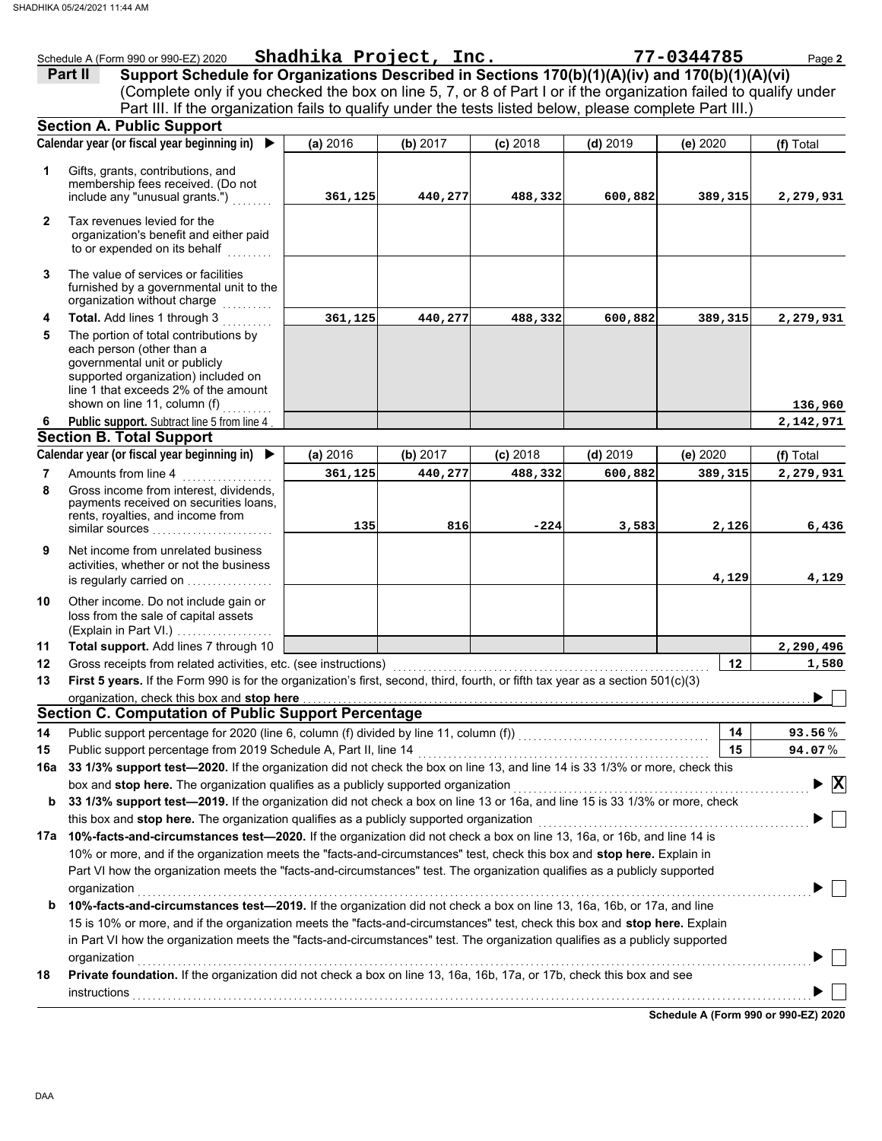|              | Schedule A (Form 990 or 990-EZ) 2020                                                                                                                                                                                           | Shadhika Project, Inc. |          |            |            | 77-0344785 | Page 2         |
|--------------|--------------------------------------------------------------------------------------------------------------------------------------------------------------------------------------------------------------------------------|------------------------|----------|------------|------------|------------|----------------|
|              | Support Schedule for Organizations Described in Sections 170(b)(1)(A)(iv) and 170(b)(1)(A)(vi)<br>Part II                                                                                                                      |                        |          |            |            |            |                |
|              | (Complete only if you checked the box on line 5, 7, or 8 of Part I or if the organization failed to qualify under                                                                                                              |                        |          |            |            |            |                |
|              | Part III. If the organization fails to qualify under the tests listed below, please complete Part III.)                                                                                                                        |                        |          |            |            |            |                |
|              | <b>Section A. Public Support</b>                                                                                                                                                                                               |                        |          |            |            |            |                |
|              | Calendar year (or fiscal year beginning in) $\blacktriangleright$                                                                                                                                                              | (a) 2016               | (b) 2017 | $(c)$ 2018 | $(d)$ 2019 | (e) 2020   | (f) Total      |
| 1            | Gifts, grants, contributions, and<br>membership fees received. (Do not<br>include any "unusual grants.")                                                                                                                       | 361,125                | 440,277  | 488,332    | 600,882    | 389,315    | 2,279,931      |
| $\mathbf{2}$ | Tax revenues levied for the<br>organization's benefit and either paid<br>to or expended on its behalf                                                                                                                          |                        |          |            |            |            |                |
| 3            | The value of services or facilities<br>furnished by a governmental unit to the<br>organization without charge                                                                                                                  |                        |          |            |            |            |                |
| 4            | Total. Add lines 1 through 3                                                                                                                                                                                                   | 361,125                | 440,277  | 488,332    | 600,882    | 389,315    | 2,279,931      |
| 5            | The portion of total contributions by<br>each person (other than a<br>governmental unit or publicly<br>supported organization) included on<br>line 1 that exceeds 2% of the amount<br>shown on line 11, column (f)             |                        |          |            |            |            | 136,960        |
| 6            | Public support. Subtract line 5 from line 4                                                                                                                                                                                    |                        |          |            |            |            | 2,142,971      |
|              | <b>Section B. Total Support</b>                                                                                                                                                                                                |                        |          |            |            |            |                |
|              | Calendar year (or fiscal year beginning in) ▶                                                                                                                                                                                  | (a) 2016               | (b) 2017 | $(c)$ 2018 | $(d)$ 2019 | (e) 2020   | (f) Total      |
| 7            | Amounts from line 4                                                                                                                                                                                                            | 361,125                | 440,277  | 488,332    | 600,882    | 389,315    | 2,279,931      |
| 8            | Gross income from interest, dividends,<br>payments received on securities loans,<br>rents, royalties, and income from<br>similar sources                                                                                       | 135                    | 816      | $-224$     | 3,583      | 2,126      | 6,436          |
| 9            | Net income from unrelated business<br>activities, whether or not the business<br>is regularly carried on                                                                                                                       |                        |          |            |            | 4,129      | 4,129          |
| 10           | Other income. Do not include gain or<br>loss from the sale of capital assets<br>(Explain in Part VI.)                                                                                                                          |                        |          |            |            |            |                |
| 11           | Total support. Add lines 7 through 10                                                                                                                                                                                          |                        |          |            |            |            | 2,290,496      |
| 12           | Gross receipts from related activities, etc. (see instructions)                                                                                                                                                                |                        |          |            |            | 12         | 1,580          |
| 13           | First 5 years. If the Form 990 is for the organization's first, second, third, fourth, or fifth tax year as a section 501(c)(3)                                                                                                |                        |          |            |            |            |                |
|              | organization, check this box and stop here                                                                                                                                                                                     |                        |          |            |            |            |                |
|              | <b>Section C. Computation of Public Support Percentage</b>                                                                                                                                                                     |                        |          |            |            |            |                |
| 14           | Public support percentage for 2020 (line 6, column (f) divided by line 11, column (f)) [[[[[[[[[[[[[[[[[[[[[[                                                                                                                  |                        |          |            |            | 14         | 93.56%         |
| 15           | Public support percentage from 2019 Schedule A, Part II, line 14                                                                                                                                                               |                        |          |            |            | 15         | 94.07%         |
| 16a          | 33 1/3% support test-2020. If the organization did not check the box on line 13, and line 14 is 33 1/3% or more, check this                                                                                                    |                        |          |            |            |            |                |
|              | box and stop here. The organization qualifies as a publicly supported organization<br>33 1/3% support test-2019. If the organization did not check a box on line 13 or 16a, and line 15 is 33 1/3% or more, check              |                        |          |            |            |            | $ \mathbf{x} $ |
| b            | this box and stop here. The organization qualifies as a publicly supported organization                                                                                                                                        |                        |          |            |            |            |                |
|              | 17a 10%-facts-and-circumstances test-2020. If the organization did not check a box on line 13, 16a, or 16b, and line 14 is                                                                                                     |                        |          |            |            |            |                |
|              | 10% or more, and if the organization meets the "facts-and-circumstances" test, check this box and stop here. Explain in                                                                                                        |                        |          |            |            |            |                |
|              | Part VI how the organization meets the "facts-and-circumstances" test. The organization qualifies as a publicly supported                                                                                                      |                        |          |            |            |            |                |
|              | organization                                                                                                                                                                                                                   |                        |          |            |            |            |                |
|              | 10%-facts-and-circumstances test-2019. If the organization did not check a box on line 13, 16a, 16b, or 17a, and line                                                                                                          |                        |          |            |            |            |                |
| b            | 15 is 10% or more, and if the organization meets the "facts-and-circumstances" test, check this box and stop here. Explain                                                                                                     |                        |          |            |            |            |                |
|              | in Part VI how the organization meets the "facts-and-circumstances" test. The organization qualifies as a publicly supported                                                                                                   |                        |          |            |            |            |                |
|              | organization                                                                                                                                                                                                                   |                        |          |            |            |            |                |
| 18           | Private foundation. If the organization did not check a box on line 13, 16a, 16b, 17a, or 17b, check this box and see                                                                                                          |                        |          |            |            |            |                |
|              | instructions with a construction of the construction of the construction of the construction of the construction of the construction of the construction of the construction of the construction of the construction of the co |                        |          |            |            |            |                |
|              |                                                                                                                                                                                                                                |                        |          |            |            |            |                |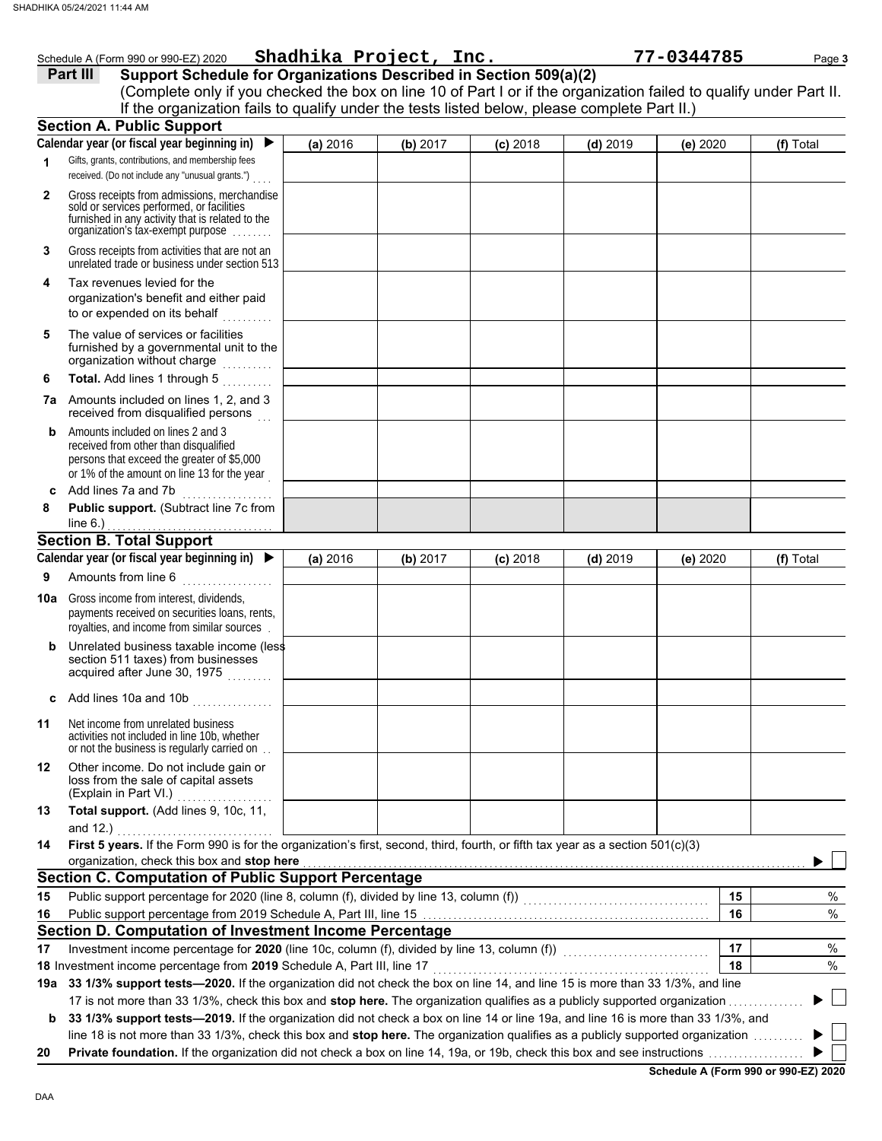|              | Schedule A (Form 990 or 990-EZ) 2020 Shadhika Project, Inc.                                                                                                                                                                                                          |          |          |            |            | 77-0344785 |           | Page 3 |
|--------------|----------------------------------------------------------------------------------------------------------------------------------------------------------------------------------------------------------------------------------------------------------------------|----------|----------|------------|------------|------------|-----------|--------|
|              | Support Schedule for Organizations Described in Section 509(a)(2)<br>Part III                                                                                                                                                                                        |          |          |            |            |            |           |        |
|              | (Complete only if you checked the box on line 10 of Part I or if the organization failed to qualify under Part II.                                                                                                                                                   |          |          |            |            |            |           |        |
|              | If the organization fails to qualify under the tests listed below, please complete Part II.)                                                                                                                                                                         |          |          |            |            |            |           |        |
|              | <b>Section A. Public Support</b>                                                                                                                                                                                                                                     |          |          |            |            |            |           |        |
|              | Calendar year (or fiscal year beginning in) $\blacktriangleright$                                                                                                                                                                                                    | (a) 2016 | (b) 2017 | $(c)$ 2018 | $(d)$ 2019 | (e) 2020   | (f) Total |        |
| 1            | Gifts, grants, contributions, and membership fees<br>received. (Do not include any "unusual grants.")                                                                                                                                                                |          |          |            |            |            |           |        |
| $\mathbf{2}$ | Gross receipts from admissions, merchandise<br>sold or services performed, or facilities<br>furnished in any activity that is related to the<br>organization's tax-exempt purpose                                                                                    |          |          |            |            |            |           |        |
| 3            | Gross receipts from activities that are not an<br>unrelated trade or business under section 513                                                                                                                                                                      |          |          |            |            |            |           |        |
| 4            | Tax revenues levied for the<br>organization's benefit and either paid<br>to or expended on its behalf                                                                                                                                                                |          |          |            |            |            |           |        |
| 5            | The value of services or facilities<br>furnished by a governmental unit to the<br>organization without charge                                                                                                                                                        |          |          |            |            |            |           |        |
| 6            | Total. Add lines 1 through 5                                                                                                                                                                                                                                         |          |          |            |            |            |           |        |
|              | <b>7a</b> Amounts included on lines 1, 2, and 3<br>received from disqualified persons                                                                                                                                                                                |          |          |            |            |            |           |        |
| b            | Amounts included on lines 2 and 3<br>received from other than disqualified<br>persons that exceed the greater of \$5,000<br>or 1% of the amount on line 13 for the year                                                                                              |          |          |            |            |            |           |        |
| c            | Add lines 7a and 7b                                                                                                                                                                                                                                                  |          |          |            |            |            |           |        |
| 8            | Public support. (Subtract line 7c from<br>line $6$ .)                                                                                                                                                                                                                |          |          |            |            |            |           |        |
|              | <b>Section B. Total Support</b>                                                                                                                                                                                                                                      |          |          |            |            |            |           |        |
|              | Calendar year (or fiscal year beginning in) $\blacktriangleright$                                                                                                                                                                                                    | (a) 2016 | (b) 2017 | $(c)$ 2018 | $(d)$ 2019 | (e) 2020   | (f) Total |        |
| 9            | Amounts from line 6                                                                                                                                                                                                                                                  |          |          |            |            |            |           |        |
|              | <b>10a</b> Gross income from interest, dividends,<br>payments received on securities loans, rents,<br>royalties, and income from similar sources                                                                                                                     |          |          |            |            |            |           |        |
| b            | Unrelated business taxable income (less<br>section 511 taxes) from businesses<br>acquired after June 30, 1975                                                                                                                                                        |          |          |            |            |            |           |        |
| c            | Add lines 10a and 10b<br>and a service of the service of the service of the service of the service of the service of the service of the<br>Service of the service of the service of the service of the service of the service of the service of the servic           |          |          |            |            |            |           |        |
| 11           | Net income from unrelated business<br>activities not included in line 10b, whether<br>or not the business is regularly carried on                                                                                                                                    |          |          |            |            |            |           |        |
| 12           | Other income. Do not include gain or<br>loss from the sale of capital assets<br>(Explain in Part VI.)                                                                                                                                                                |          |          |            |            |            |           |        |
| 13           | Total support. (Add lines 9, 10c, 11,<br>and $12.$ )                                                                                                                                                                                                                 |          |          |            |            |            |           |        |
| 14           | First 5 years. If the Form 990 is for the organization's first, second, third, fourth, or fifth tax year as a section 501(c)(3)                                                                                                                                      |          |          |            |            |            |           |        |
|              | organization, check this box and stop here                                                                                                                                                                                                                           |          |          |            |            |            |           |        |
|              | <b>Section C. Computation of Public Support Percentage</b>                                                                                                                                                                                                           |          |          |            |            |            |           |        |
| 15           |                                                                                                                                                                                                                                                                      |          |          |            |            |            | 15        | %      |
| 16           | Public support percentage from 2019 Schedule A, Part III, line 15 [11] [11] Concentration contracts are provided by Public Support percentage from 2019 Schedule A, Part III, line 15 [11] $\alpha$                                                                  |          |          |            |            |            | 16        | $\%$   |
|              | Section D. Computation of Investment Income Percentage                                                                                                                                                                                                               |          |          |            |            |            |           |        |
| 17           |                                                                                                                                                                                                                                                                      |          |          |            |            |            | 17        | %      |
|              | 18 Investment income percentage from 2019 Schedule A, Part III, line 17                                                                                                                                                                                              |          |          |            |            |            | 18        | $\%$   |
|              | 19a 33 1/3% support tests-2020. If the organization did not check the box on line 14, and line 15 is more than 33 1/3%, and line                                                                                                                                     |          |          |            |            |            |           |        |
|              | 17 is not more than 33 1/3%, check this box and stop here. The organization qualifies as a publicly supported organization <i></i> .                                                                                                                                 |          |          |            |            |            |           |        |
| b            | 33 1/3% support tests-2019. If the organization did not check a box on line 14 or line 19a, and line 16 is more than 33 1/3%, and<br>line 18 is not more than 33 1/3%, check this box and stop here. The organization qualifies as a publicly supported organization |          |          |            |            |            |           |        |
| 20           |                                                                                                                                                                                                                                                                      |          |          |            |            |            |           |        |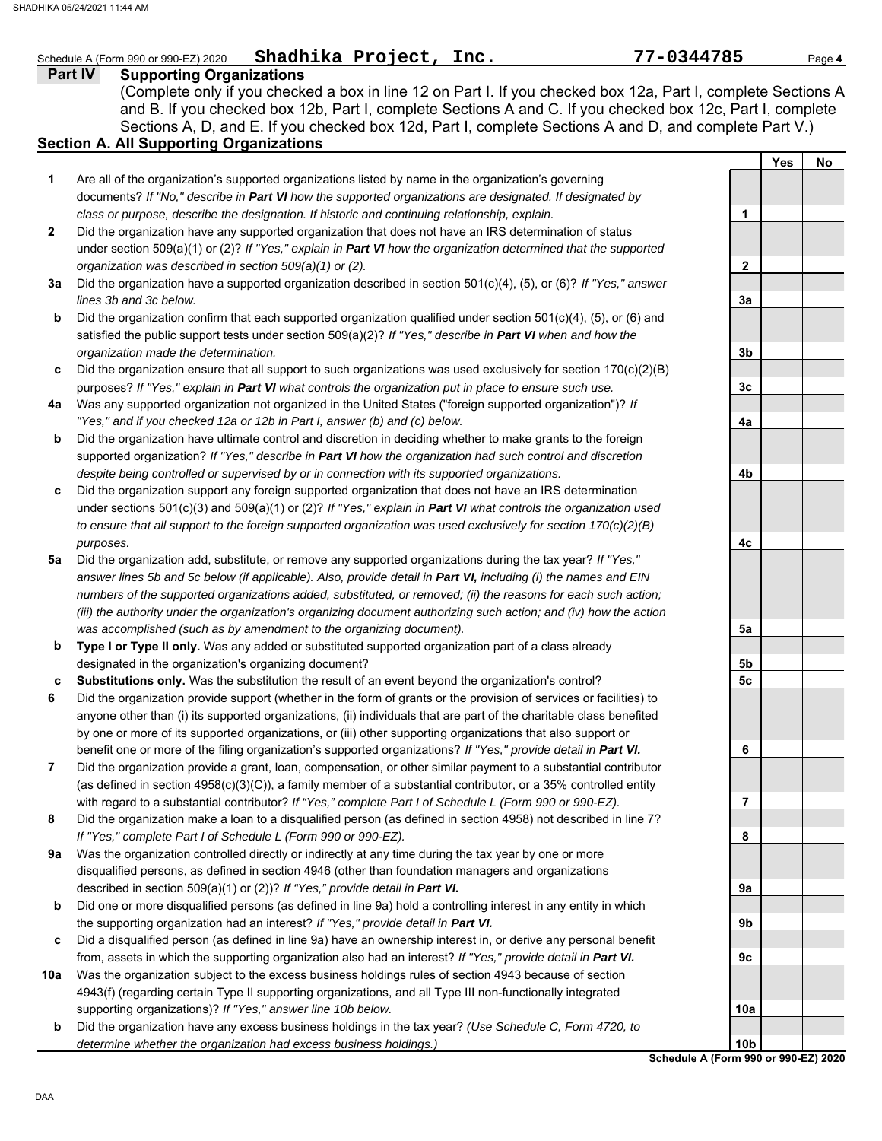| <b>Part IV</b> | Shadhika Project, Inc.<br><b>Supporting Organizations</b>                                                                                                                                                                                                                                                                             |                |            | Page 4 |
|----------------|---------------------------------------------------------------------------------------------------------------------------------------------------------------------------------------------------------------------------------------------------------------------------------------------------------------------------------------|----------------|------------|--------|
|                | (Complete only if you checked a box in line 12 on Part I. If you checked box 12a, Part I, complete Sections A<br>and B. If you checked box 12b, Part I, complete Sections A and C. If you checked box 12c, Part I, complete<br>Sections A, D, and E. If you checked box 12d, Part I, complete Sections A and D, and complete Part V.) |                |            |        |
|                | <b>Section A. All Supporting Organizations</b>                                                                                                                                                                                                                                                                                        |                | <b>Yes</b> | No     |
| 1              | Are all of the organization's supported organizations listed by name in the organization's governing                                                                                                                                                                                                                                  |                |            |        |
|                | documents? If "No," describe in Part VI how the supported organizations are designated. If designated by                                                                                                                                                                                                                              |                |            |        |
|                | class or purpose, describe the designation. If historic and continuing relationship, explain.                                                                                                                                                                                                                                         | 1              |            |        |
| $\mathbf{2}$   | Did the organization have any supported organization that does not have an IRS determination of status                                                                                                                                                                                                                                |                |            |        |
|                | under section 509(a)(1) or (2)? If "Yes," explain in Part VI how the organization determined that the supported                                                                                                                                                                                                                       |                |            |        |
| За             | organization was described in section 509(a)(1) or (2).<br>Did the organization have a supported organization described in section 501(c)(4), (5), or (6)? If "Yes," answer                                                                                                                                                           | $\mathbf{2}$   |            |        |
|                | lines 3b and 3c below.                                                                                                                                                                                                                                                                                                                | 3a             |            |        |
| b              | Did the organization confirm that each supported organization qualified under section 501(c)(4), (5), or (6) and                                                                                                                                                                                                                      |                |            |        |
|                | satisfied the public support tests under section $509(a)(2)$ ? If "Yes," describe in Part VI when and how the                                                                                                                                                                                                                         |                |            |        |
|                | organization made the determination.                                                                                                                                                                                                                                                                                                  | 3b             |            |        |
| c              | Did the organization ensure that all support to such organizations was used exclusively for section $170(c)(2)(B)$                                                                                                                                                                                                                    |                |            |        |
|                | purposes? If "Yes," explain in Part VI what controls the organization put in place to ensure such use.                                                                                                                                                                                                                                | 3 <sub>c</sub> |            |        |
| 4a             | Was any supported organization not organized in the United States ("foreign supported organization")? If                                                                                                                                                                                                                              |                |            |        |
|                | "Yes," and if you checked 12a or 12b in Part I, answer (b) and (c) below.                                                                                                                                                                                                                                                             | 4a             |            |        |
| b              | Did the organization have ultimate control and discretion in deciding whether to make grants to the foreign                                                                                                                                                                                                                           |                |            |        |
|                | supported organization? If "Yes," describe in Part VI how the organization had such control and discretion<br>despite being controlled or supervised by or in connection with its supported organizations.                                                                                                                            | 4b             |            |        |
| c              | Did the organization support any foreign supported organization that does not have an IRS determination                                                                                                                                                                                                                               |                |            |        |
|                | under sections 501(c)(3) and 509(a)(1) or (2)? If "Yes," explain in Part VI what controls the organization used                                                                                                                                                                                                                       |                |            |        |
|                | to ensure that all support to the foreign supported organization was used exclusively for section $170(c)(2)(B)$                                                                                                                                                                                                                      |                |            |        |
|                | purposes.                                                                                                                                                                                                                                                                                                                             | 4с             |            |        |
| 5a             | Did the organization add, substitute, or remove any supported organizations during the tax year? If "Yes,"                                                                                                                                                                                                                            |                |            |        |
|                | answer lines 5b and 5c below (if applicable). Also, provide detail in Part VI, including (i) the names and EIN                                                                                                                                                                                                                        |                |            |        |
|                | numbers of the supported organizations added, substituted, or removed; (ii) the reasons for each such action;                                                                                                                                                                                                                         |                |            |        |
|                | (iii) the authority under the organization's organizing document authorizing such action; and (iv) how the action                                                                                                                                                                                                                     |                |            |        |
|                | was accomplished (such as by amendment to the organizing document).                                                                                                                                                                                                                                                                   | 5a             |            |        |
| b              | Type I or Type II only. Was any added or substituted supported organization part of a class already<br>designated in the organization's organizing document?                                                                                                                                                                          | 5b             |            |        |
| с              | Substitutions only. Was the substitution the result of an event beyond the organization's control?                                                                                                                                                                                                                                    | 5C             |            |        |
| 6              | Did the organization provide support (whether in the form of grants or the provision of services or facilities) to                                                                                                                                                                                                                    |                |            |        |
|                | anyone other than (i) its supported organizations, (ii) individuals that are part of the charitable class benefited                                                                                                                                                                                                                   |                |            |        |
|                | by one or more of its supported organizations, or (iii) other supporting organizations that also support or                                                                                                                                                                                                                           |                |            |        |
|                | benefit one or more of the filing organization's supported organizations? If "Yes," provide detail in Part VI.                                                                                                                                                                                                                        | 6              |            |        |
| $\overline{7}$ | Did the organization provide a grant, loan, compensation, or other similar payment to a substantial contributor                                                                                                                                                                                                                       |                |            |        |
|                | (as defined in section $4958(c)(3)(C)$ ), a family member of a substantial contributor, or a 35% controlled entity                                                                                                                                                                                                                    |                |            |        |
|                | with regard to a substantial contributor? If "Yes," complete Part I of Schedule L (Form 990 or 990-EZ).                                                                                                                                                                                                                               | 7              |            |        |
| 8              | Did the organization make a loan to a disqualified person (as defined in section 4958) not described in line 7?                                                                                                                                                                                                                       |                |            |        |
| 9а             | If "Yes," complete Part I of Schedule L (Form 990 or 990-EZ).<br>Was the organization controlled directly or indirectly at any time during the tax year by one or more                                                                                                                                                                | 8              |            |        |
|                | disqualified persons, as defined in section 4946 (other than foundation managers and organizations                                                                                                                                                                                                                                    |                |            |        |
|                | described in section 509(a)(1) or (2))? If "Yes," provide detail in Part VI.                                                                                                                                                                                                                                                          | 9a             |            |        |
| b              | Did one or more disqualified persons (as defined in line 9a) hold a controlling interest in any entity in which                                                                                                                                                                                                                       |                |            |        |
|                | the supporting organization had an interest? If "Yes," provide detail in Part VI.                                                                                                                                                                                                                                                     | 9b             |            |        |
| c              | Did a disqualified person (as defined in line 9a) have an ownership interest in, or derive any personal benefit                                                                                                                                                                                                                       |                |            |        |
|                | from, assets in which the supporting organization also had an interest? If "Yes," provide detail in Part VI.                                                                                                                                                                                                                          | 9c             |            |        |
| 10a            | Was the organization subject to the excess business holdings rules of section 4943 because of section                                                                                                                                                                                                                                 |                |            |        |
|                | 4943(f) (regarding certain Type II supporting organizations, and all Type III non-functionally integrated                                                                                                                                                                                                                             |                |            |        |
|                | supporting organizations)? If "Yes," answer line 10b below.                                                                                                                                                                                                                                                                           | 10a            |            |        |
| b              | Did the organization have any excess business holdings in the tax year? (Use Schedule C, Form 4720, to<br>determine whether the organization had excess business holdings.)                                                                                                                                                           | 10b            |            |        |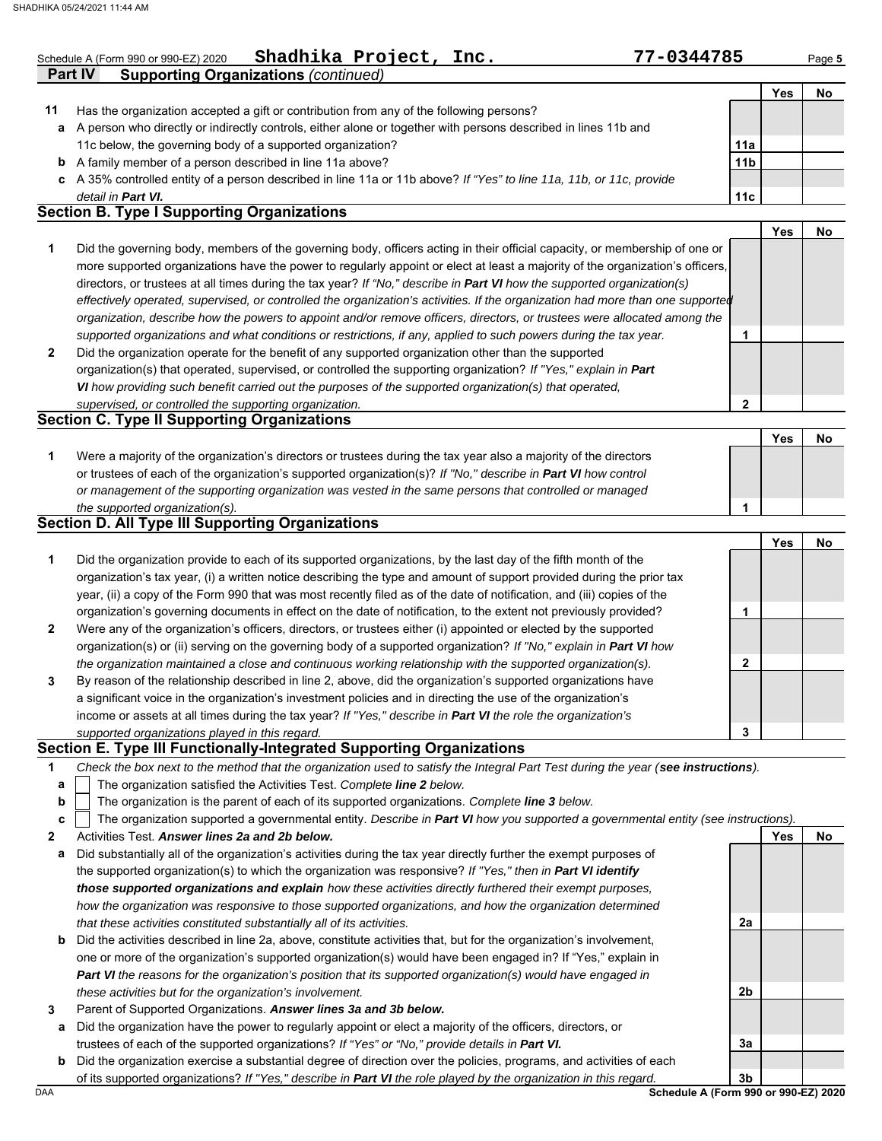|              | Shadhika Project, Inc.<br>77-0344785<br>Schedule A (Form 990 or 990-EZ) 2020                                                                                                                                                                                |                 |            | Page 5 |
|--------------|-------------------------------------------------------------------------------------------------------------------------------------------------------------------------------------------------------------------------------------------------------------|-----------------|------------|--------|
|              | <b>Supporting Organizations (continued)</b><br><b>Part IV</b>                                                                                                                                                                                               |                 |            |        |
|              |                                                                                                                                                                                                                                                             |                 | <b>Yes</b> | No     |
| 11           | Has the organization accepted a gift or contribution from any of the following persons?                                                                                                                                                                     |                 |            |        |
| a            | A person who directly or indirectly controls, either alone or together with persons described in lines 11b and                                                                                                                                              |                 |            |        |
|              | 11c below, the governing body of a supported organization?                                                                                                                                                                                                  | 11a             |            |        |
|              | <b>b</b> A family member of a person described in line 11a above?                                                                                                                                                                                           | 11 <sub>b</sub> |            |        |
|              | c A 35% controlled entity of a person described in line 11a or 11b above? If "Yes" to line 11a, 11b, or 11c, provide                                                                                                                                        |                 |            |        |
|              | detail in Part VI.<br><b>Section B. Type I Supporting Organizations</b>                                                                                                                                                                                     | 11 <sub>c</sub> |            |        |
|              |                                                                                                                                                                                                                                                             |                 | <b>Yes</b> | No     |
| 1            |                                                                                                                                                                                                                                                             |                 |            |        |
|              | Did the governing body, members of the governing body, officers acting in their official capacity, or membership of one or<br>more supported organizations have the power to regularly appoint or elect at least a majority of the organization's officers, |                 |            |        |
|              |                                                                                                                                                                                                                                                             |                 |            |        |
|              | directors, or trustees at all times during the tax year? If "No," describe in Part VI how the supported organization(s)                                                                                                                                     |                 |            |        |
|              | effectively operated, supervised, or controlled the organization's activities. If the organization had more than one supported                                                                                                                              |                 |            |        |
|              | organization, describe how the powers to appoint and/or remove officers, directors, or trustees were allocated among the                                                                                                                                    |                 |            |        |
| $\mathbf{2}$ | supported organizations and what conditions or restrictions, if any, applied to such powers during the tax year.                                                                                                                                            | 1               |            |        |
|              | Did the organization operate for the benefit of any supported organization other than the supported                                                                                                                                                         |                 |            |        |
|              | organization(s) that operated, supervised, or controlled the supporting organization? If "Yes," explain in Part                                                                                                                                             |                 |            |        |
|              | VI how providing such benefit carried out the purposes of the supported organization(s) that operated,                                                                                                                                                      |                 |            |        |
|              | supervised, or controlled the supporting organization.<br><b>Section C. Type II Supporting Organizations</b>                                                                                                                                                | 2               |            |        |
|              |                                                                                                                                                                                                                                                             |                 | Yes        | No     |
| 1            |                                                                                                                                                                                                                                                             |                 |            |        |
|              | Were a majority of the organization's directors or trustees during the tax year also a majority of the directors<br>or trustees of each of the organization's supported organization(s)? If "No," describe in Part VI how control                           |                 |            |        |
|              | or management of the supporting organization was vested in the same persons that controlled or managed                                                                                                                                                      |                 |            |        |
|              |                                                                                                                                                                                                                                                             | 1               |            |        |
|              | the supported organization(s).<br><b>Section D. All Type III Supporting Organizations</b>                                                                                                                                                                   |                 |            |        |
|              |                                                                                                                                                                                                                                                             |                 | <b>Yes</b> | No     |
|              | Did the organization provide to each of its supported organizations, by the last day of the fifth month of the                                                                                                                                              |                 |            |        |
| 1            | organization's tax year, (i) a written notice describing the type and amount of support provided during the prior tax                                                                                                                                       |                 |            |        |
|              | year, (ii) a copy of the Form 990 that was most recently filed as of the date of notification, and (iii) copies of the                                                                                                                                      |                 |            |        |
|              | organization's governing documents in effect on the date of notification, to the extent not previously provided?                                                                                                                                            | 1               |            |        |
| 2            | Were any of the organization's officers, directors, or trustees either (i) appointed or elected by the supported                                                                                                                                            |                 |            |        |
|              | organization(s) or (ii) serving on the governing body of a supported organization? If "No," explain in Part VI how                                                                                                                                          |                 |            |        |
|              | the organization maintained a close and continuous working relationship with the supported organization(s).                                                                                                                                                 | $\mathbf{2}$    |            |        |
|              | By reason of the relationship described in line 2, above, did the organization's supported organizations have                                                                                                                                               |                 |            |        |
| 3            |                                                                                                                                                                                                                                                             |                 |            |        |
|              | a significant voice in the organization's investment policies and in directing the use of the organization's<br>income or assets at all times during the tax year? If "Yes," describe in Part VI the role the organization's                                |                 |            |        |
|              |                                                                                                                                                                                                                                                             |                 |            |        |
|              | supported organizations played in this regard.<br>Section E. Type III Functionally-Integrated Supporting Organizations                                                                                                                                      | 3               |            |        |
|              | Check the box next to the method that the organization used to satisfy the Integral Part Test during the year (see instructions).                                                                                                                           |                 |            |        |
| 1            |                                                                                                                                                                                                                                                             |                 |            |        |
| a            | The organization satisfied the Activities Test. Complete line 2 below.                                                                                                                                                                                      |                 |            |        |

⊢

|  | The organization supported a governmental entity. Describe in Part VI how you supported a governmental entity (see instructions). |  |  |  |
|--|-----------------------------------------------------------------------------------------------------------------------------------|--|--|--|
|  |                                                                                                                                   |  |  |  |

**2** Activities Test. *Answer lines 2a and 2b below.*

- **a** Did substantially all of the organization's activities during the tax year directly further the exempt purposes of the supported organization(s) to which the organization was responsive? *If "Yes," then in Part VI identify those supported organizations and explain how these activities directly furthered their exempt purposes, how the organization was responsive to those supported organizations, and how the organization determined that these activities constituted substantially all of its activities.*
- **b** Did the activities described in line 2a, above, constitute activities that, but for the organization's involvement, one or more of the organization's supported organization(s) would have been engaged in? If "Yes," explain in *Part VI the reasons for the organization's position that its supported organization(s) would have engaged in these activities but for the organization's involvement.*
- **3** Parent of Supported Organizations. *Answer lines 3a and 3b below.*
- **a** Did the organization have the power to regularly appoint or elect a majority of the officers, directors, or trustees of each of the supported organizations? *If "Yes" or "No," provide details in Part VI.*
- **b** Did the organization exercise a substantial degree of direction over the policies, programs, and activities of each of its supported organizations? *If "Yes," describe in Part VI the role played by the organization in this regard.*

DAA **Schedule A (Form 990 or 990-EZ) 2020 3b**

**2a**

**2b**

**3a**

**Yes No**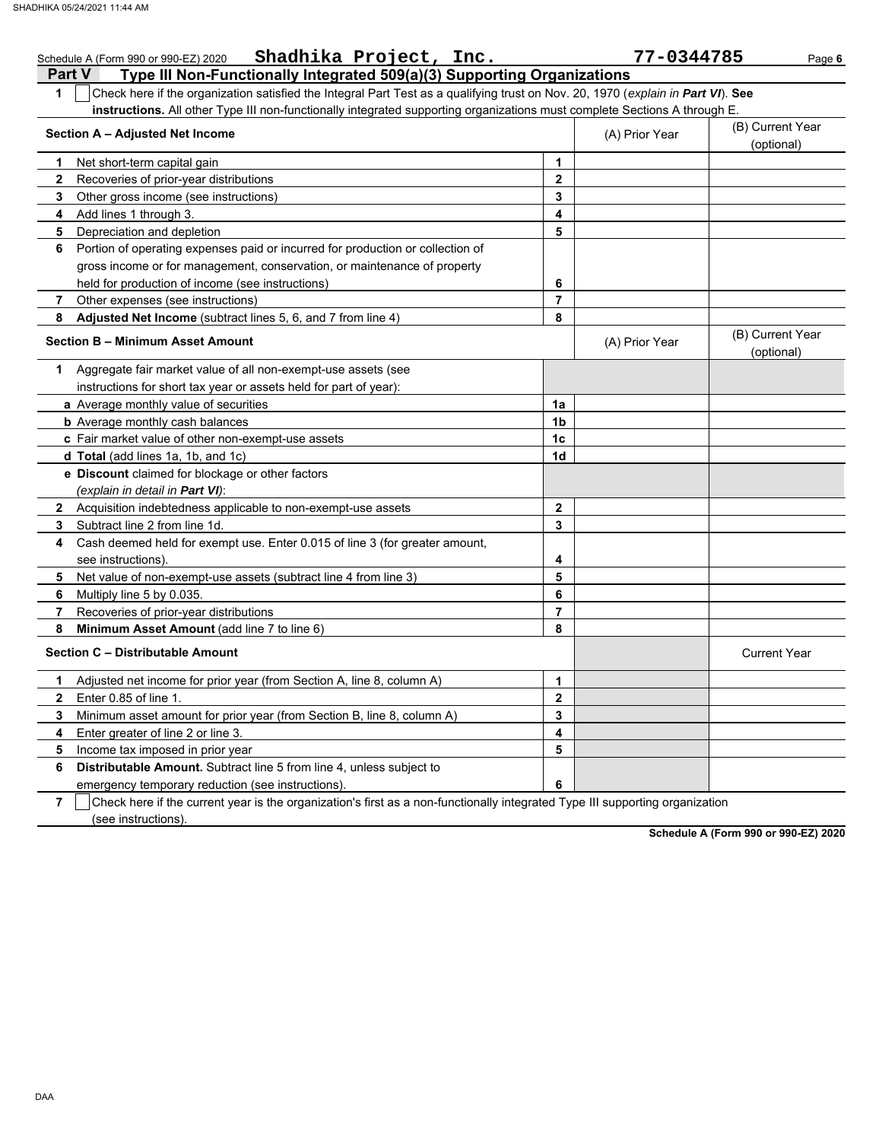|                | Shadhika Project, Inc.<br>Schedule A (Form 990 or 990-EZ) 2020                                                                   |              | 77-0344785     | Page 6                         |
|----------------|----------------------------------------------------------------------------------------------------------------------------------|--------------|----------------|--------------------------------|
|                | Type III Non-Functionally Integrated 509(a)(3) Supporting Organizations<br><b>Part V</b>                                         |              |                |                                |
| 1              | Check here if the organization satisfied the Integral Part Test as a qualifying trust on Nov. 20, 1970 (explain in Part VI). See |              |                |                                |
|                | instructions. All other Type III non-functionally integrated supporting organizations must complete Sections A through E.        |              |                |                                |
|                | Section A - Adjusted Net Income                                                                                                  |              | (A) Prior Year | (B) Current Year               |
|                |                                                                                                                                  |              |                | (optional)                     |
| 1.             | Net short-term capital gain                                                                                                      | 1            |                |                                |
| $\mathbf{2}$   | Recoveries of prior-year distributions                                                                                           | $\mathbf{2}$ |                |                                |
| 3              | Other gross income (see instructions)                                                                                            | 3            |                |                                |
| 4              | Add lines 1 through 3.                                                                                                           | 4            |                |                                |
| 5              | Depreciation and depletion                                                                                                       | 5            |                |                                |
| 6              | Portion of operating expenses paid or incurred for production or collection of                                                   |              |                |                                |
|                | gross income or for management, conservation, or maintenance of property                                                         |              |                |                                |
|                | held for production of income (see instructions)                                                                                 | 6            |                |                                |
| 7              | Other expenses (see instructions)                                                                                                | 7            |                |                                |
| 8              | Adjusted Net Income (subtract lines 5, 6, and 7 from line 4)                                                                     | 8            |                |                                |
|                | Section B - Minimum Asset Amount                                                                                                 |              | (A) Prior Year | (B) Current Year<br>(optional) |
| 1.             | Aggregate fair market value of all non-exempt-use assets (see                                                                    |              |                |                                |
|                | instructions for short tax year or assets held for part of year):                                                                |              |                |                                |
|                | a Average monthly value of securities                                                                                            | 1a           |                |                                |
|                | <b>b</b> Average monthly cash balances                                                                                           | 1b           |                |                                |
|                | c Fair market value of other non-exempt-use assets                                                                               | 1c           |                |                                |
|                | d Total (add lines 1a, 1b, and 1c)                                                                                               | 1d           |                |                                |
|                | e Discount claimed for blockage or other factors                                                                                 |              |                |                                |
|                | (explain in detail in Part VI):                                                                                                  |              |                |                                |
| $\mathbf{2}$   | Acquisition indebtedness applicable to non-exempt-use assets                                                                     | $\mathbf{2}$ |                |                                |
| 3              | Subtract line 2 from line 1d.                                                                                                    | 3            |                |                                |
| 4              | Cash deemed held for exempt use. Enter 0.015 of line 3 (for greater amount,                                                      |              |                |                                |
|                | see instructions).                                                                                                               | 4            |                |                                |
| 5              | Net value of non-exempt-use assets (subtract line 4 from line 3)                                                                 | 5            |                |                                |
| 6              | Multiply line 5 by 0.035.                                                                                                        | 6            |                |                                |
| 7              | Recoveries of prior-year distributions                                                                                           | 7            |                |                                |
| 8              | Minimum Asset Amount (add line 7 to line 6)                                                                                      | 8            |                |                                |
|                | Section C - Distributable Amount                                                                                                 |              |                | <b>Current Year</b>            |
| 1.             | Adjusted net income for prior year (from Section A, line 8, column A)                                                            | 1            |                |                                |
| 2              | Enter 0.85 of line 1.                                                                                                            | 2            |                |                                |
| 3              | Minimum asset amount for prior year (from Section B, line 8, column A)                                                           | 3            |                |                                |
| 4              | Enter greater of line 2 or line 3.                                                                                               | 4            |                |                                |
| 5              | Income tax imposed in prior year                                                                                                 | 5            |                |                                |
| 6              | Distributable Amount. Subtract line 5 from line 4, unless subject to                                                             |              |                |                                |
|                | emergency temporary reduction (see instructions)                                                                                 | 6            |                |                                |
| $\overline{7}$ | Check here if the current year is the organization's first as a non-functionally integrated Type III supporting organization     |              |                |                                |

(see instructions).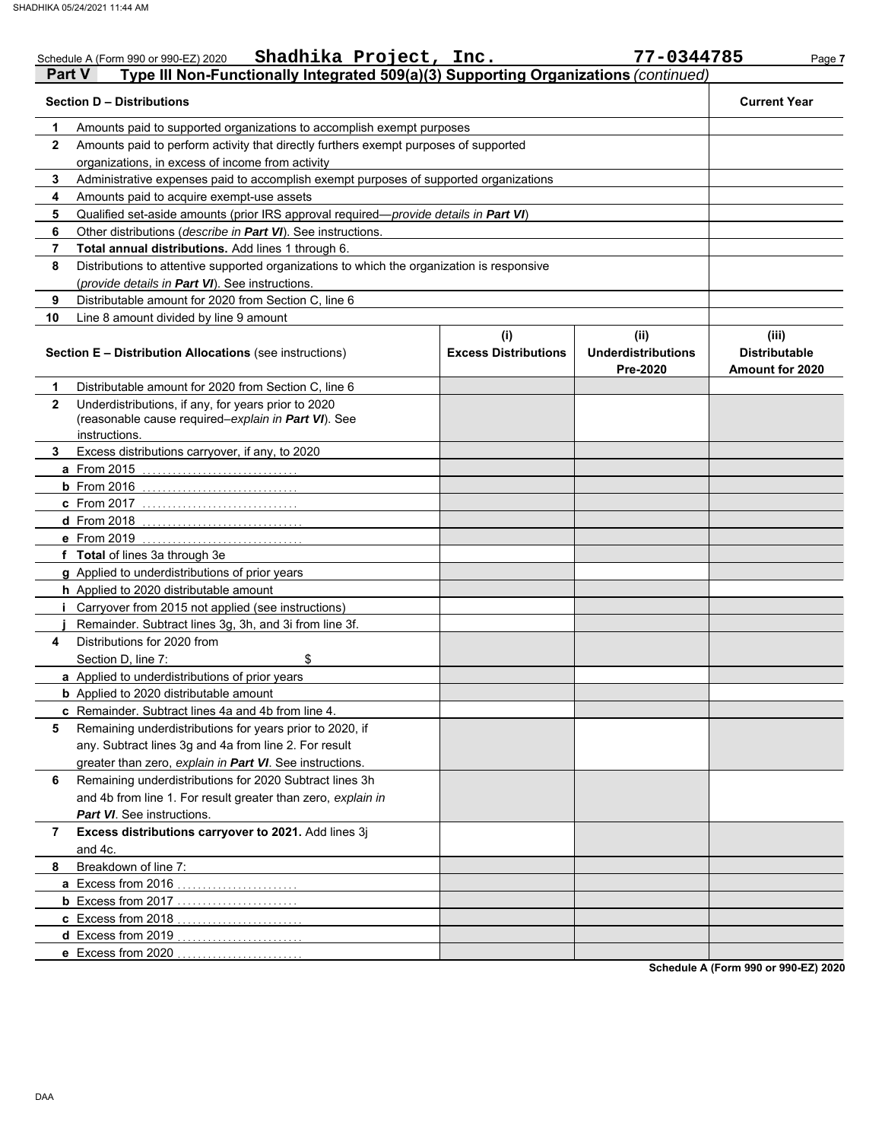|              | Shadhika Project, Inc.<br>Schedule A (Form 990 or 990-EZ) 2020                                             |                                    | 77-0344785                                    | Page 7                                           |  |  |  |
|--------------|------------------------------------------------------------------------------------------------------------|------------------------------------|-----------------------------------------------|--------------------------------------------------|--|--|--|
|              | Type III Non-Functionally Integrated 509(a)(3) Supporting Organizations (continued)<br><b>Part V</b>       |                                    |                                               |                                                  |  |  |  |
|              | <b>Section D - Distributions</b>                                                                           |                                    |                                               | <b>Current Year</b>                              |  |  |  |
| 1            | Amounts paid to supported organizations to accomplish exempt purposes                                      |                                    |                                               |                                                  |  |  |  |
| $\mathbf{2}$ | Amounts paid to perform activity that directly furthers exempt purposes of supported                       |                                    |                                               |                                                  |  |  |  |
|              | organizations, in excess of income from activity                                                           |                                    |                                               |                                                  |  |  |  |
| 3            | Administrative expenses paid to accomplish exempt purposes of supported organizations                      |                                    |                                               |                                                  |  |  |  |
| 4            | Amounts paid to acquire exempt-use assets                                                                  |                                    |                                               |                                                  |  |  |  |
| 5            | Qualified set-aside amounts (prior IRS approval required-provide details in Part VI)                       |                                    |                                               |                                                  |  |  |  |
| 6            | Other distributions (describe in Part VI). See instructions.                                               |                                    |                                               |                                                  |  |  |  |
| 7            | Total annual distributions. Add lines 1 through 6.                                                         |                                    |                                               |                                                  |  |  |  |
| 8            | Distributions to attentive supported organizations to which the organization is responsive                 |                                    |                                               |                                                  |  |  |  |
|              | (provide details in Part VI). See instructions.                                                            |                                    |                                               |                                                  |  |  |  |
| 9            | Distributable amount for 2020 from Section C, line 6                                                       |                                    |                                               |                                                  |  |  |  |
| 10           | Line 8 amount divided by line 9 amount                                                                     |                                    |                                               |                                                  |  |  |  |
|              | <b>Section E - Distribution Allocations (see instructions)</b>                                             | (i)<br><b>Excess Distributions</b> | (ii)<br><b>Underdistributions</b><br>Pre-2020 | (iii)<br><b>Distributable</b><br>Amount for 2020 |  |  |  |
| 1            | Distributable amount for 2020 from Section C, line 6                                                       |                                    |                                               |                                                  |  |  |  |
| $\mathbf{2}$ | Underdistributions, if any, for years prior to 2020<br>(reasonable cause required-explain in Part VI). See |                                    |                                               |                                                  |  |  |  |
| 3            | instructions.<br>Excess distributions carryover, if any, to 2020                                           |                                    |                                               |                                                  |  |  |  |
|              | <b>a</b> From 2015                                                                                         |                                    |                                               |                                                  |  |  |  |
|              | $b$ From 2016                                                                                              |                                    |                                               |                                                  |  |  |  |
|              | c From 2017                                                                                                |                                    |                                               |                                                  |  |  |  |
|              | <b>d</b> From 2018                                                                                         |                                    |                                               |                                                  |  |  |  |
|              | e From 2019                                                                                                |                                    |                                               |                                                  |  |  |  |
|              | f Total of lines 3a through 3e                                                                             |                                    |                                               |                                                  |  |  |  |
|              | g Applied to underdistributions of prior years                                                             |                                    |                                               |                                                  |  |  |  |
|              | h Applied to 2020 distributable amount                                                                     |                                    |                                               |                                                  |  |  |  |
|              | Carryover from 2015 not applied (see instructions)<br>Ť.                                                   |                                    |                                               |                                                  |  |  |  |
|              | Remainder. Subtract lines 3g, 3h, and 3i from line 3f.                                                     |                                    |                                               |                                                  |  |  |  |
| 4            | Distributions for 2020 from                                                                                |                                    |                                               |                                                  |  |  |  |
|              | Section D, line 7:<br>\$                                                                                   |                                    |                                               |                                                  |  |  |  |
|              | a Applied to underdistributions of prior years                                                             |                                    |                                               |                                                  |  |  |  |
|              | <b>b</b> Applied to 2020 distributable amount                                                              |                                    |                                               |                                                  |  |  |  |
|              | c Remainder. Subtract lines 4a and 4b from line 4.                                                         |                                    |                                               |                                                  |  |  |  |
| 5            | Remaining underdistributions for years prior to 2020, if                                                   |                                    |                                               |                                                  |  |  |  |
|              | any. Subtract lines 3g and 4a from line 2. For result                                                      |                                    |                                               |                                                  |  |  |  |
|              | greater than zero, explain in Part VI. See instructions.                                                   |                                    |                                               |                                                  |  |  |  |
| 6            | Remaining underdistributions for 2020 Subtract lines 3h                                                    |                                    |                                               |                                                  |  |  |  |
|              | and 4b from line 1. For result greater than zero, explain in                                               |                                    |                                               |                                                  |  |  |  |
|              | Part VI. See instructions.                                                                                 |                                    |                                               |                                                  |  |  |  |
| 7            | Excess distributions carryover to 2021. Add lines 3j                                                       |                                    |                                               |                                                  |  |  |  |
|              | and 4c.                                                                                                    |                                    |                                               |                                                  |  |  |  |
| 8            | Breakdown of line 7:                                                                                       |                                    |                                               |                                                  |  |  |  |
|              | a Excess from 2016<br>.                                                                                    |                                    |                                               |                                                  |  |  |  |
|              | <b>b</b> Excess from 2017                                                                                  |                                    |                                               |                                                  |  |  |  |
|              | c Excess from 2018                                                                                         |                                    |                                               |                                                  |  |  |  |
|              | d Excess from 2019                                                                                         |                                    |                                               |                                                  |  |  |  |
|              | e Excess from 2020                                                                                         |                                    |                                               |                                                  |  |  |  |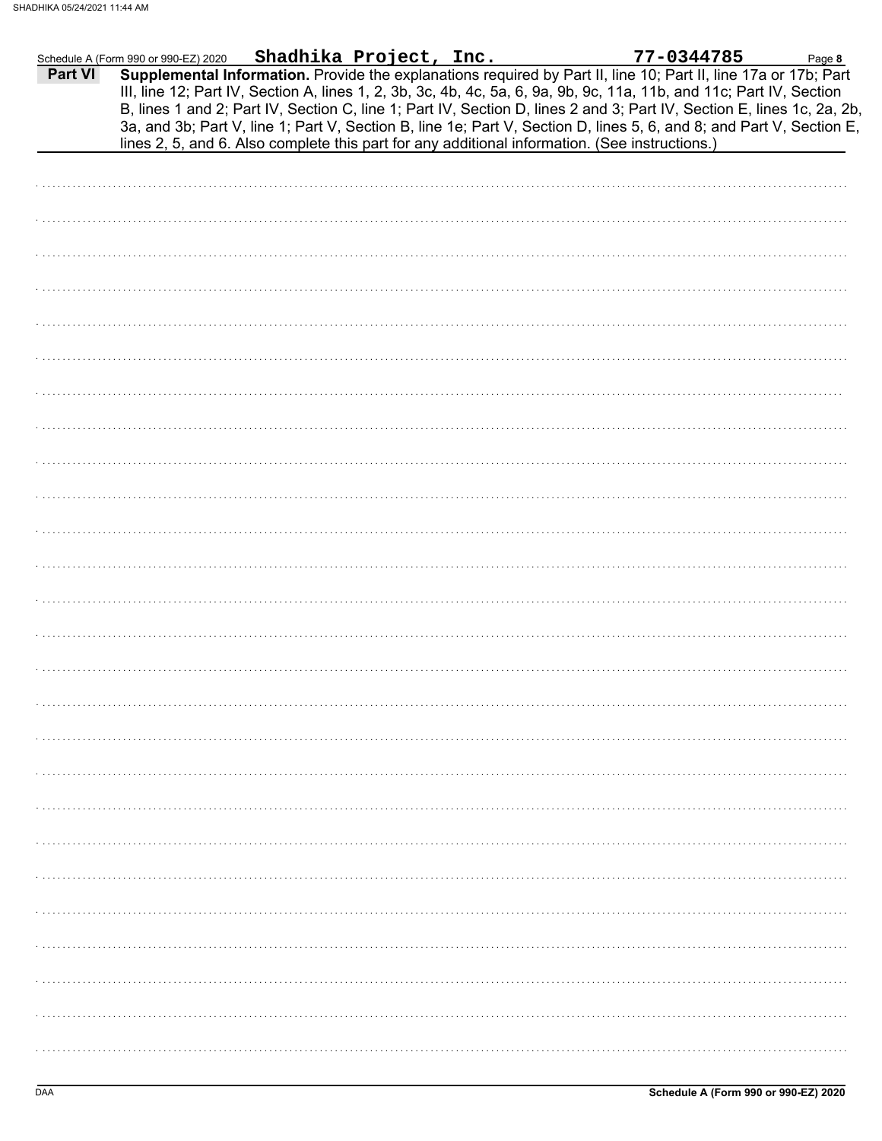|         | Schedule A (Form 990 or 990-EZ) 2020 | Shadhika Project, Inc. | 77-0344785                                                                                                                                                                                                                                                                                                                                                                                                                                                                                                                                                                                  | Page 8 |
|---------|--------------------------------------|------------------------|---------------------------------------------------------------------------------------------------------------------------------------------------------------------------------------------------------------------------------------------------------------------------------------------------------------------------------------------------------------------------------------------------------------------------------------------------------------------------------------------------------------------------------------------------------------------------------------------|--------|
| Part VI |                                      |                        | Supplemental Information. Provide the explanations required by Part II, line 10; Part II, line 17a or 17b; Part<br>III, line 12; Part IV, Section A, lines 1, 2, 3b, 3c, 4b, 4c, 5a, 6, 9a, 9b, 9c, 11a, 11b, and 11c; Part IV, Section<br>B, lines 1 and 2; Part IV, Section C, line 1; Part IV, Section D, lines 2 and 3; Part IV, Section E, lines 1c, 2a, 2b,<br>3a, and 3b; Part V, line 1; Part V, Section B, line 1e; Part V, Section D, lines 5, 6, and 8; and Part V, Section E,<br>lines 2, 5, and 6. Also complete this part for any additional information. (See instructions.) |        |
|         |                                      |                        |                                                                                                                                                                                                                                                                                                                                                                                                                                                                                                                                                                                             |        |
|         |                                      |                        |                                                                                                                                                                                                                                                                                                                                                                                                                                                                                                                                                                                             |        |
|         |                                      |                        |                                                                                                                                                                                                                                                                                                                                                                                                                                                                                                                                                                                             |        |
|         |                                      |                        |                                                                                                                                                                                                                                                                                                                                                                                                                                                                                                                                                                                             |        |
|         |                                      |                        |                                                                                                                                                                                                                                                                                                                                                                                                                                                                                                                                                                                             |        |
|         |                                      |                        |                                                                                                                                                                                                                                                                                                                                                                                                                                                                                                                                                                                             |        |
|         |                                      |                        |                                                                                                                                                                                                                                                                                                                                                                                                                                                                                                                                                                                             |        |
|         |                                      |                        |                                                                                                                                                                                                                                                                                                                                                                                                                                                                                                                                                                                             |        |
|         |                                      |                        |                                                                                                                                                                                                                                                                                                                                                                                                                                                                                                                                                                                             |        |
|         |                                      |                        |                                                                                                                                                                                                                                                                                                                                                                                                                                                                                                                                                                                             |        |
|         |                                      |                        |                                                                                                                                                                                                                                                                                                                                                                                                                                                                                                                                                                                             |        |
|         |                                      |                        |                                                                                                                                                                                                                                                                                                                                                                                                                                                                                                                                                                                             |        |
|         |                                      |                        |                                                                                                                                                                                                                                                                                                                                                                                                                                                                                                                                                                                             |        |
|         |                                      |                        |                                                                                                                                                                                                                                                                                                                                                                                                                                                                                                                                                                                             |        |
|         |                                      |                        |                                                                                                                                                                                                                                                                                                                                                                                                                                                                                                                                                                                             |        |
|         |                                      |                        |                                                                                                                                                                                                                                                                                                                                                                                                                                                                                                                                                                                             |        |
|         |                                      |                        |                                                                                                                                                                                                                                                                                                                                                                                                                                                                                                                                                                                             |        |
|         |                                      |                        |                                                                                                                                                                                                                                                                                                                                                                                                                                                                                                                                                                                             |        |
|         |                                      |                        |                                                                                                                                                                                                                                                                                                                                                                                                                                                                                                                                                                                             |        |
|         |                                      |                        |                                                                                                                                                                                                                                                                                                                                                                                                                                                                                                                                                                                             |        |
|         |                                      |                        |                                                                                                                                                                                                                                                                                                                                                                                                                                                                                                                                                                                             |        |
|         |                                      |                        |                                                                                                                                                                                                                                                                                                                                                                                                                                                                                                                                                                                             |        |
|         |                                      |                        |                                                                                                                                                                                                                                                                                                                                                                                                                                                                                                                                                                                             |        |
|         |                                      |                        |                                                                                                                                                                                                                                                                                                                                                                                                                                                                                                                                                                                             |        |
|         |                                      |                        |                                                                                                                                                                                                                                                                                                                                                                                                                                                                                                                                                                                             |        |
|         |                                      |                        |                                                                                                                                                                                                                                                                                                                                                                                                                                                                                                                                                                                             |        |
|         |                                      |                        |                                                                                                                                                                                                                                                                                                                                                                                                                                                                                                                                                                                             |        |
|         |                                      |                        |                                                                                                                                                                                                                                                                                                                                                                                                                                                                                                                                                                                             |        |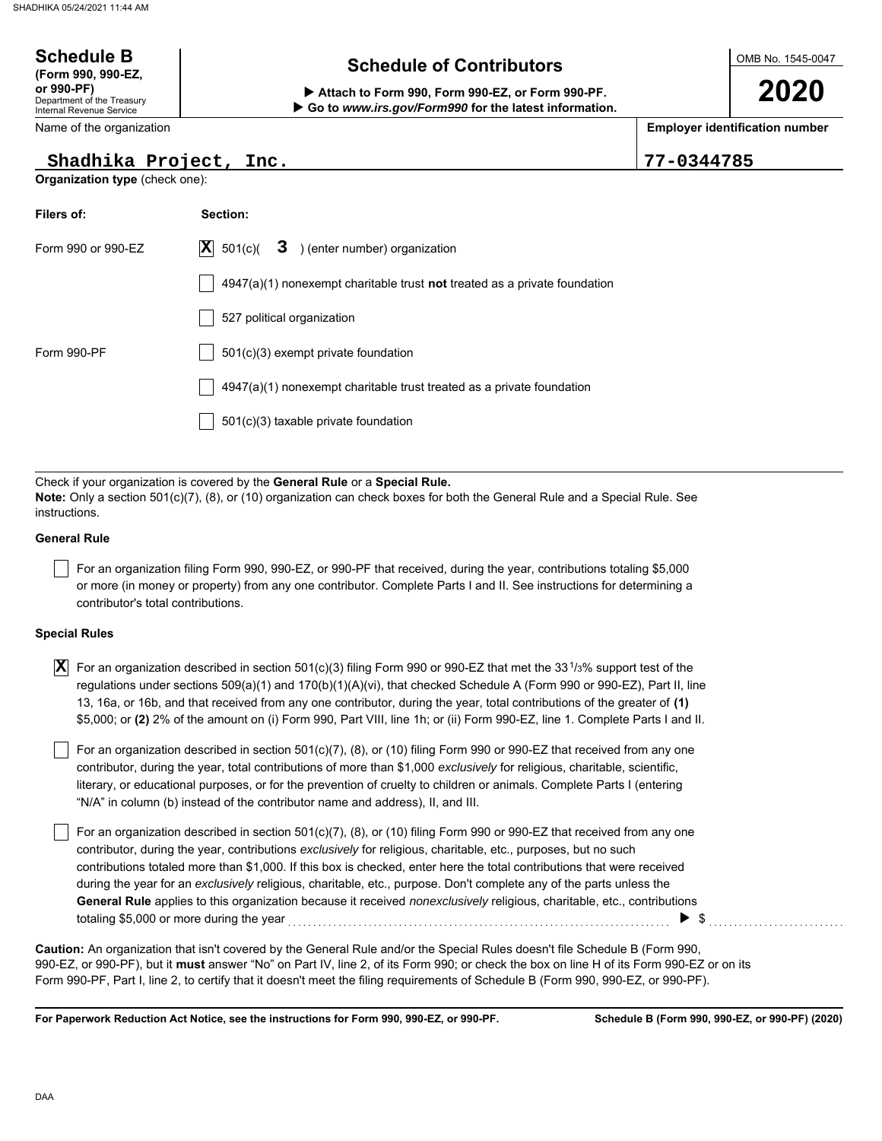#### OMB No. 1545-0047 Department of the Treasury Internal Revenue Service Name of the organization **2020 Schedule of Contributors Schedule B (Form 990, 990-EZ, or 990-PF) Attach to Form 990, Form 990-EZ, or Form 990-PF. Employer identification number Organization type** (check one): **Filers of: Section: Go to** *www.irs.gov/Form990* **for the latest information. Shadhika Project, Inc. 77-0344785**

| Filers of:         | Section:                                                                    |
|--------------------|-----------------------------------------------------------------------------|
| Form 990 or 990-EZ | $ \mathbf{X} $ 501(c)(<br>$3$ ) (enter number) organization                 |
|                    | $4947(a)(1)$ nonexempt charitable trust not treated as a private foundation |
|                    | 527 political organization                                                  |
| Form 990-PF        | $501(c)(3)$ exempt private foundation                                       |
|                    | $4947(a)(1)$ nonexempt charitable trust treated as a private foundation     |
|                    | 501(c)(3) taxable private foundation                                        |
|                    |                                                                             |

Check if your organization is covered by the **General Rule** or a **Special Rule. Note:** Only a section 501(c)(7), (8), or (10) organization can check boxes for both the General Rule and a Special Rule. See instructions.

### **General Rule**

For an organization filing Form 990, 990-EZ, or 990-PF that received, during the year, contributions totaling \$5,000 or more (in money or property) from any one contributor. Complete Parts I and II. See instructions for determining a contributor's total contributions.

#### **Special Rules**

| $\vert \overline{\textbf{X}} \vert$ For an organization described in section 501(c)(3) filing Form 990 or 990-EZ that met the 33 <sup>1</sup> /3% support test of the |
|-----------------------------------------------------------------------------------------------------------------------------------------------------------------------|
| regulations under sections 509(a)(1) and 170(b)(1)(A)(vi), that checked Schedule A (Form 990 or 990-EZ), Part II, line                                                |
| 13, 16a, or 16b, and that received from any one contributor, during the year, total contributions of the greater of (1)                                               |
| \$5,000; or (2) 2% of the amount on (i) Form 990, Part VIII, line 1h; or (ii) Form 990-EZ, line 1. Complete Parts I and II.                                           |

literary, or educational purposes, or for the prevention of cruelty to children or animals. Complete Parts I (entering For an organization described in section 501(c)(7), (8), or (10) filing Form 990 or 990-EZ that received from any one contributor, during the year, total contributions of more than \$1,000 *exclusively* for religious, charitable, scientific, "N/A" in column (b) instead of the contributor name and address), II, and III.

For an organization described in section 501(c)(7), (8), or (10) filing Form 990 or 990-EZ that received from any one contributor, during the year, contributions *exclusively* for religious, charitable, etc., purposes, but no such contributions totaled more than \$1,000. If this box is checked, enter here the total contributions that were received during the year for an *exclusively* religious, charitable, etc., purpose. Don't complete any of the parts unless the **General Rule** applies to this organization because it received *nonexclusively* religious, charitable, etc., contributions totaling \$5,000 or more during the year <sub>…………………………………………………………………………</sub> ▶ \$……………………

990-EZ, or 990-PF), but it **must** answer "No" on Part IV, line 2, of its Form 990; or check the box on line H of its Form 990-EZ or on its Form 990-PF, Part I, line 2, to certify that it doesn't meet the filing requirements of Schedule B (Form 990, 990-EZ, or 990-PF). **Caution:** An organization that isn't covered by the General Rule and/or the Special Rules doesn't file Schedule B (Form 990,

**For Paperwork Reduction Act Notice, see the instructions for Form 990, 990-EZ, or 990-PF.**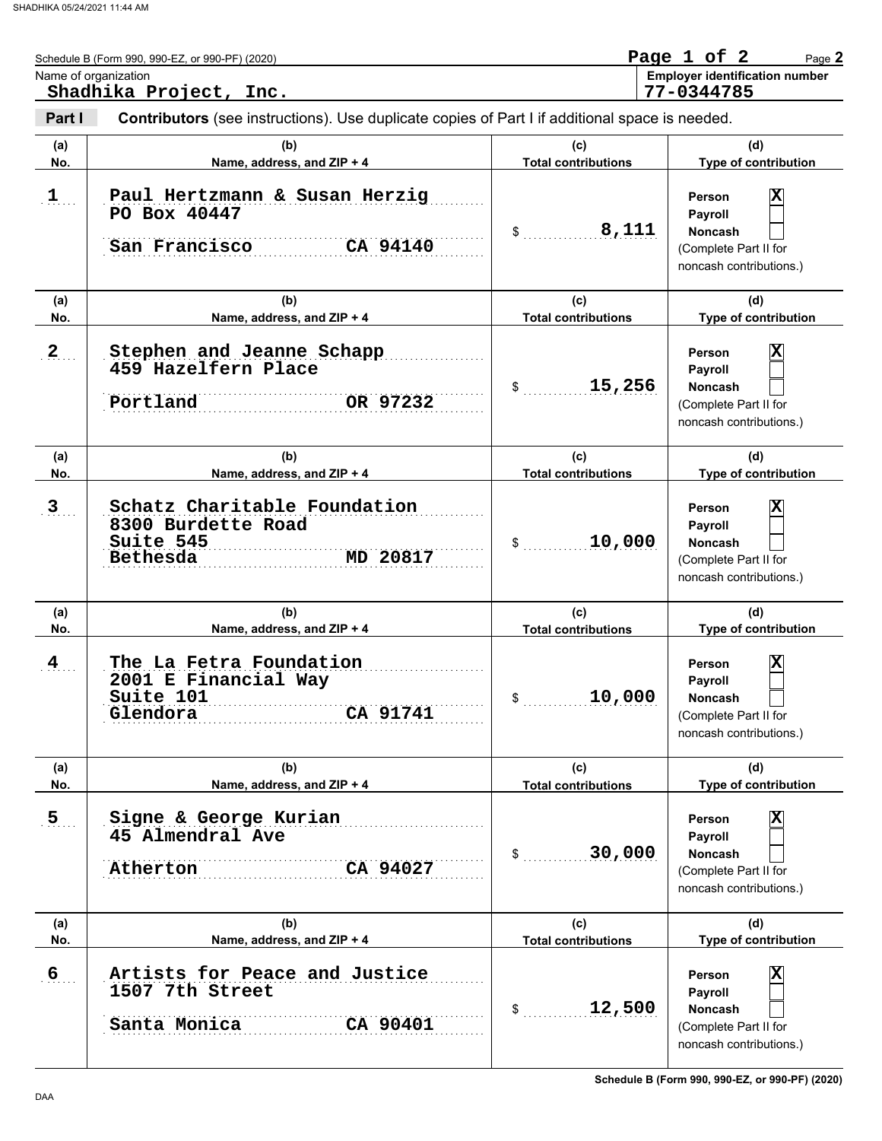|                  | Schedule B (Form 990, 990-EZ, or 990-PF) (2020)<br>Name of organization<br>Shadhika Project, Inc. |                                   | Page 1 of 2<br>Page 2<br><b>Employer identification number</b><br>77-0344785                        |
|------------------|---------------------------------------------------------------------------------------------------|-----------------------------------|-----------------------------------------------------------------------------------------------------|
| Part I           | Contributors (see instructions). Use duplicate copies of Part I if additional space is needed.    |                                   |                                                                                                     |
| (a)<br>No.       | (b)<br>Name, address, and ZIP + 4                                                                 | (c)<br><b>Total contributions</b> | (d)<br>Type of contribution                                                                         |
| $1$ .            | Paul Hertzmann & Susan Herzig<br>PO Box 40447<br>San Francisco<br>CA 94140                        | 8,111                             | X<br><b>Person</b><br>Payroll<br><b>Noncash</b><br>(Complete Part II for<br>noncash contributions.) |
| (a)<br>No.       | (b)<br>Name, address, and ZIP + 4                                                                 | (c)<br><b>Total contributions</b> | (d)<br>Type of contribution                                                                         |
| $2_{\ldots}$     | Stephen and Jeanne Schapp<br>459 Hazelfern Place<br>OR 97232<br>Portland                          | 15,256                            | X<br>Person<br>Payroll<br><b>Noncash</b><br>(Complete Part II for<br>noncash contributions.)        |
| (a)<br>No.       | (b)<br>Name, address, and ZIP + 4                                                                 | (c)<br><b>Total contributions</b> | (d)<br>Type of contribution                                                                         |
| 3 <sub>1</sub>   | Schatz Charitable Foundation<br>8300 Burdette Road<br>Suite 545<br>MD 20817<br>Bethesda           | 10,000                            | X<br><b>Person</b><br>Payroll<br><b>Noncash</b><br>(Complete Part II for<br>noncash contributions.) |
| (a)<br>No.       | (b)<br>Name, address, and ZIP + 4                                                                 | (c)<br><b>Total contributions</b> | (d)<br>Type of contribution                                                                         |
| $\frac{4}{1}$    | The La Fetra Foundation<br>2001 E Financial Way<br>Suite 101<br>CA 91741<br>Glendora              | 10,000<br>\$                      | X<br>Person<br>Payroll<br>Noncash<br>(Complete Part II for<br>noncash contributions.)               |
| (a)<br>No.       | (b)<br>Name, address, and ZIP + 4                                                                 | (c)<br><b>Total contributions</b> | (d)<br>Type of contribution                                                                         |
| $\overline{5}$   | Signe & George Kurian<br>45 Almendral Ave<br>Atherton<br>CA 94027                                 | 30,000<br>\$                      | X<br>Person<br>Payroll<br>Noncash<br>(Complete Part II for<br>noncash contributions.)               |
| (a)<br>No.       | (b)<br>Name, address, and ZIP + 4                                                                 | (c)<br><b>Total contributions</b> | (d)<br>Type of contribution                                                                         |
| $6 \overline{6}$ | Artists for Peace and Justice<br>1507 7th Street<br>CA 90401<br>Santa Monica                      | 12,500<br>\$                      | X<br>Person<br>Payroll<br>Noncash<br>(Complete Part II for<br>noncash contributions.)               |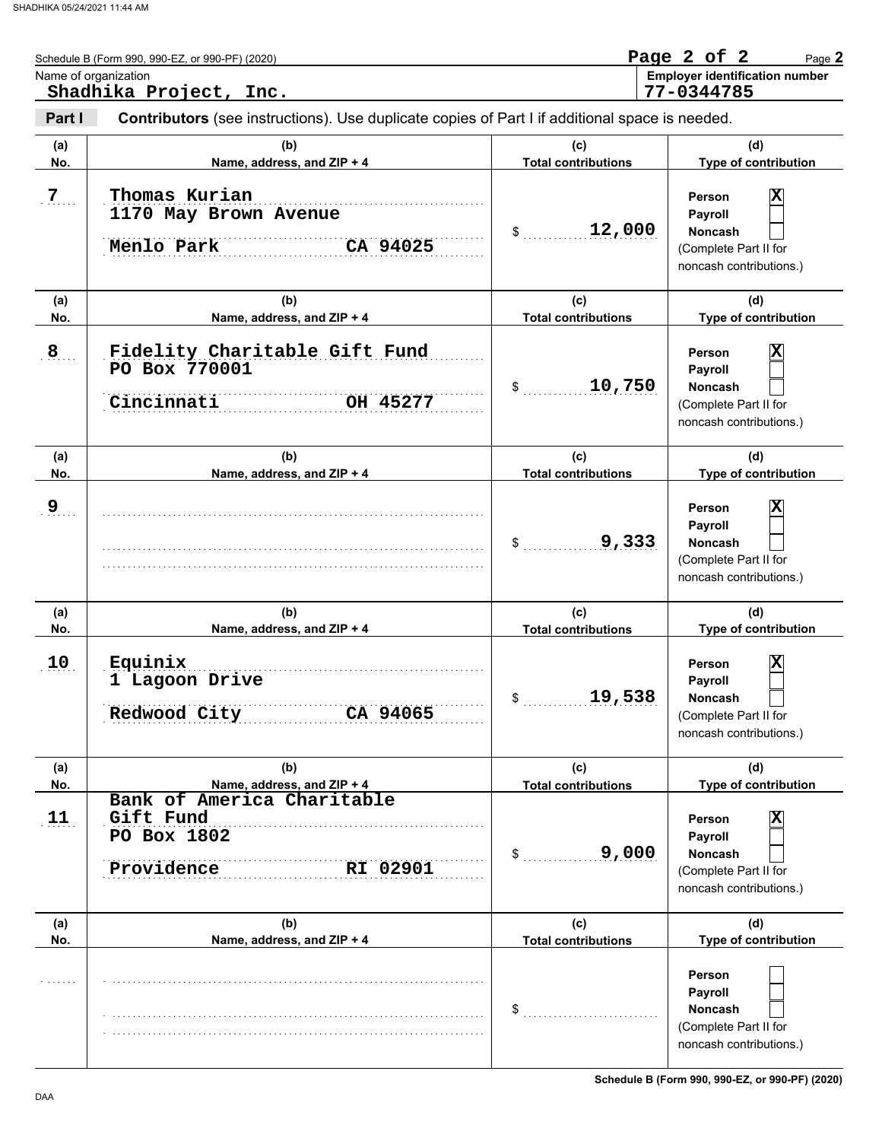|            | Name of organization<br>Shadhika Project, Inc.                                                 |                                   | <b>Employer identification number</b><br>77-0344785                                          |
|------------|------------------------------------------------------------------------------------------------|-----------------------------------|----------------------------------------------------------------------------------------------|
| Part I     | Contributors (see instructions). Use duplicate copies of Part I if additional space is needed. |                                   |                                                                                              |
| (a)<br>No. | (b)<br>Name, address, and ZIP + 4                                                              | (c)<br><b>Total contributions</b> | (d)<br>Type of contribution                                                                  |
| 7          | Thomas Kurian<br>1170 May Brown Avenue<br>Menlo Park<br>CA 94025                               | 12,000<br>$\mathsf{\$}$           | X<br>Person<br>Payroll<br><b>Noncash</b><br>(Complete Part II for<br>noncash contributions.) |
| (a)<br>No. | (b)<br>Name, address, and ZIP + 4                                                              | (c)<br><b>Total contributions</b> | (d)<br>Type of contribution                                                                  |
| 8          | Fidelity Charitable Gift Fund<br>PO Box 770001<br>Cincinnati<br>OH 45277                       | 10,750<br>$\sim$                  | X<br>Person<br>Payroll<br>Noncash<br>(Complete Part II for<br>noncash contributions.)        |
| (a)<br>No. | (b)<br>Name, address, and ZIP + 4                                                              | (c)<br><b>Total contributions</b> | (d)<br>Type of contribution                                                                  |
| 9          |                                                                                                | 9,333<br>$\frac{1}{2}$            | X<br>Person<br>Payroll<br><b>Noncash</b><br>(Complete Part II for<br>noncash contributions.) |
| (a)<br>No. | (b)<br>Name, address, and ZIP + 4                                                              | (c)<br><b>Total contributions</b> | (d)<br>Type of contribution                                                                  |
| 10         | Equinix<br>1 Lagoon Drive<br>Redwood City<br>CA 94065                                          | 19,538<br>\$                      | X<br>Person<br>Payroll<br><b>Noncash</b><br>(Complete Part II for<br>noncash contributions.) |
| (a)<br>No. | (b)<br>Name, address, and ZIP + 4                                                              | (c)<br><b>Total contributions</b> | (d)<br>Type of contribution                                                                  |
| 11         | Bank of America Charitable<br>Gift Fund<br>PO Box 1802<br>Providence<br>RI 02901               | 9,000<br>\$                       | X<br>Person<br>Payroll<br>Noncash<br>(Complete Part II for<br>noncash contributions.)        |
| (a)<br>No. | (b)<br>Name, address, and ZIP + 4                                                              | (c)<br><b>Total contributions</b> | (d)<br>Type of contribution                                                                  |
|            |                                                                                                | \$                                | Person<br>Payroll<br><b>Noncash</b><br>(Complete Part II for<br>noncash contributions.)      |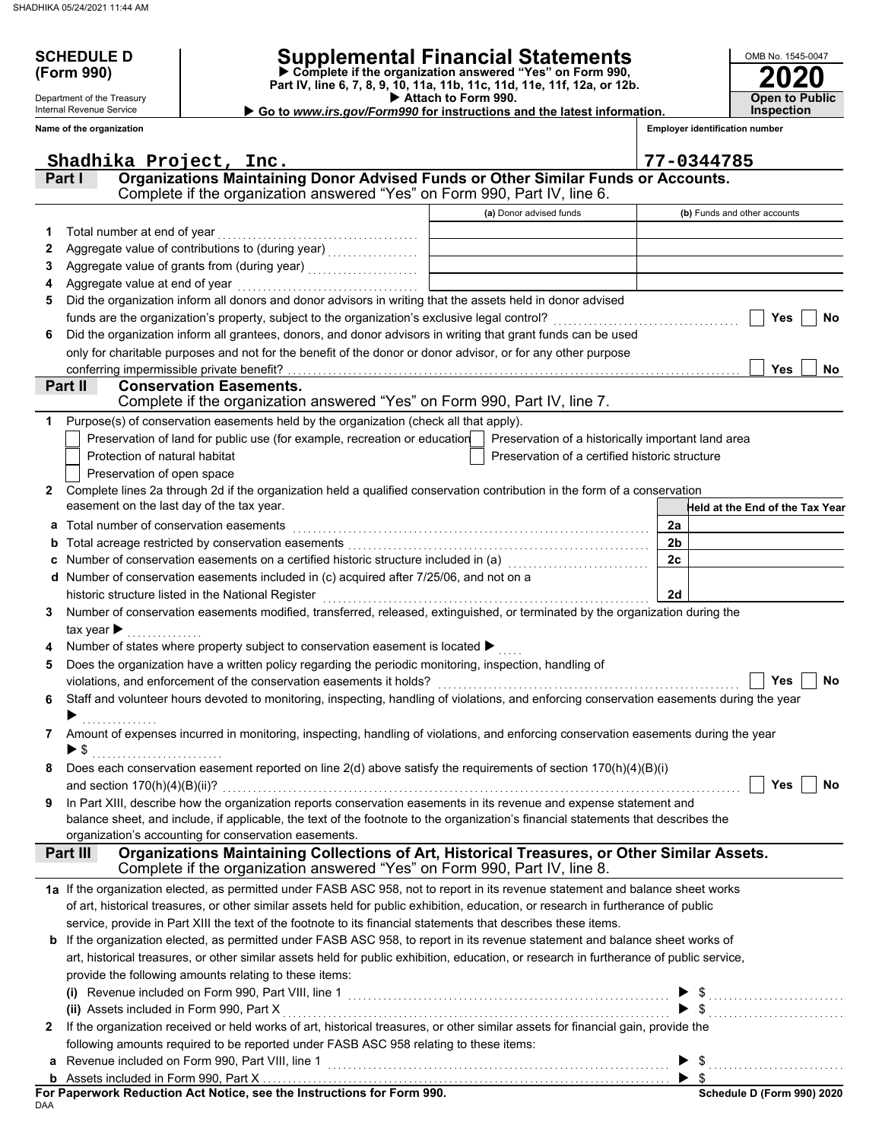Department of the Treasury Internal Revenue Service

## **SCHEDULE D Supplemental Financial Statements**

 **Attach to Form 990. (Form 990) Part IV, line 6, 7, 8, 9, 10, 11a, 11b, 11c, 11d, 11e, 11f, 12a, or 12b. Complete if the organization answered "Yes" on Form 990,**

 **Go to** *www.irs.gov/Form990* **for instructions and the latest information.**

**Inspection**

**2020**

**Open to Public**

OMB No. 1545-0047

|              | Name of the organization                                                                                                                                               |                                                | <b>Employer identification number</b> |
|--------------|------------------------------------------------------------------------------------------------------------------------------------------------------------------------|------------------------------------------------|---------------------------------------|
|              | Shadhika Project, Inc.                                                                                                                                                 |                                                | 77-0344785                            |
|              | Organizations Maintaining Donor Advised Funds or Other Similar Funds or Accounts.<br>Part I                                                                            |                                                |                                       |
|              | Complete if the organization answered "Yes" on Form 990, Part IV, line 6.                                                                                              |                                                |                                       |
|              |                                                                                                                                                                        | (a) Donor advised funds                        | (b) Funds and other accounts          |
| 1.           | Total number at end of year                                                                                                                                            |                                                |                                       |
| 2            | Aggregate value of contributions to (during year) [11] Aggregate value of contributions                                                                                |                                                |                                       |
| З            |                                                                                                                                                                        |                                                |                                       |
| 4            | Aggregate value at end of year                                                                                                                                         |                                                |                                       |
| 5            | Did the organization inform all donors and donor advisors in writing that the assets held in donor advised                                                             |                                                |                                       |
|              | funds are the organization's property, subject to the organization's exclusive legal control?                                                                          |                                                | Yes<br><b>No</b>                      |
| 6            | Did the organization inform all grantees, donors, and donor advisors in writing that grant funds can be used                                                           |                                                |                                       |
|              | only for charitable purposes and not for the benefit of the donor or donor advisor, or for any other purpose                                                           |                                                |                                       |
|              | conferring impermissible private benefit?                                                                                                                              |                                                | <b>Yes</b><br>No                      |
|              | Part II<br><b>Conservation Easements.</b>                                                                                                                              |                                                |                                       |
|              | Complete if the organization answered "Yes" on Form 990, Part IV, line 7.                                                                                              |                                                |                                       |
| 1            | Purpose(s) of conservation easements held by the organization (check all that apply).                                                                                  |                                                |                                       |
|              | Preservation of land for public use (for example, recreation or education   Preservation of a historically important land area                                         |                                                |                                       |
|              | Protection of natural habitat                                                                                                                                          | Preservation of a certified historic structure |                                       |
|              | Preservation of open space                                                                                                                                             |                                                |                                       |
| $\mathbf{2}$ | Complete lines 2a through 2d if the organization held a qualified conservation contribution in the form of a conservation<br>easement on the last day of the tax year. |                                                |                                       |
|              |                                                                                                                                                                        |                                                | Held at the End of the Tax Year       |
| a            | Total number of conservation easements                                                                                                                                 |                                                | 2a                                    |
| b            |                                                                                                                                                                        |                                                | 2 <sub>b</sub>                        |
| c            |                                                                                                                                                                        |                                                | 2c                                    |
| d            | Number of conservation easements included in (c) acquired after 7/25/06, and not on a                                                                                  |                                                |                                       |
|              | historic structure listed in the National Register                                                                                                                     |                                                | 2d                                    |
| 3            | Number of conservation easements modified, transferred, released, extinguished, or terminated by the organization during the                                           |                                                |                                       |
|              | tax year $\blacktriangleright$<br>Number of states where property subject to conservation easement is located ▶                                                        |                                                |                                       |
| 5            | Does the organization have a written policy regarding the periodic monitoring, inspection, handling of                                                                 |                                                |                                       |
|              | violations, and enforcement of the conservation easements it holds?                                                                                                    |                                                | No<br>Yes                             |
| 6            | Staff and volunteer hours devoted to monitoring, inspecting, handling of violations, and enforcing conservation easements during the year                              |                                                |                                       |
|              |                                                                                                                                                                        |                                                |                                       |
| 7            | Amount of expenses incurred in monitoring, inspecting, handling of violations, and enforcing conservation easements during the year                                    |                                                |                                       |
|              | $\blacktriangleright$ \$                                                                                                                                               |                                                |                                       |
|              | Does each conservation easement reported on line $2(d)$ above satisfy the requirements of section $170(h)(4)(B)(i)$                                                    |                                                |                                       |
|              | and section $170(h)(4)(B)(ii)$ ?                                                                                                                                       |                                                | Yes<br><b>No</b>                      |
| 9            | In Part XIII, describe how the organization reports conservation easements in its revenue and expense statement and                                                    |                                                |                                       |
|              | balance sheet, and include, if applicable, the text of the footnote to the organization's financial statements that describes the                                      |                                                |                                       |
|              | organization's accounting for conservation easements.                                                                                                                  |                                                |                                       |
|              | Organizations Maintaining Collections of Art, Historical Treasures, or Other Similar Assets.<br>Part III                                                               |                                                |                                       |
|              | Complete if the organization answered "Yes" on Form 990, Part IV, line 8.                                                                                              |                                                |                                       |
|              | 1a If the organization elected, as permitted under FASB ASC 958, not to report in its revenue statement and balance sheet works                                        |                                                |                                       |
|              | of art, historical treasures, or other similar assets held for public exhibition, education, or research in furtherance of public                                      |                                                |                                       |
|              | service, provide in Part XIII the text of the footnote to its financial statements that describes these items.                                                         |                                                |                                       |
|              | b If the organization elected, as permitted under FASB ASC 958, to report in its revenue statement and balance sheet works of                                          |                                                |                                       |
|              | art, historical treasures, or other similar assets held for public exhibition, education, or research in furtherance of public service,                                |                                                |                                       |
|              | provide the following amounts relating to these items:                                                                                                                 |                                                |                                       |
|              |                                                                                                                                                                        |                                                | $\$\ldots$                            |
|              | (ii) Assets included in Form 990, Part X                                                                                                                               |                                                |                                       |
| 2            | If the organization received or held works of art, historical treasures, or other similar assets for financial gain, provide the                                       |                                                |                                       |
|              | following amounts required to be reported under FASB ASC 958 relating to these items:                                                                                  |                                                |                                       |
| a            | Revenue included on Form 990, Part VIII, line 1                                                                                                                        |                                                |                                       |
|              |                                                                                                                                                                        |                                                |                                       |

DAA **For Paperwork Reduction Act Notice, see the Instructions for Form 990.**

**Schedule D (Form 990) 2020**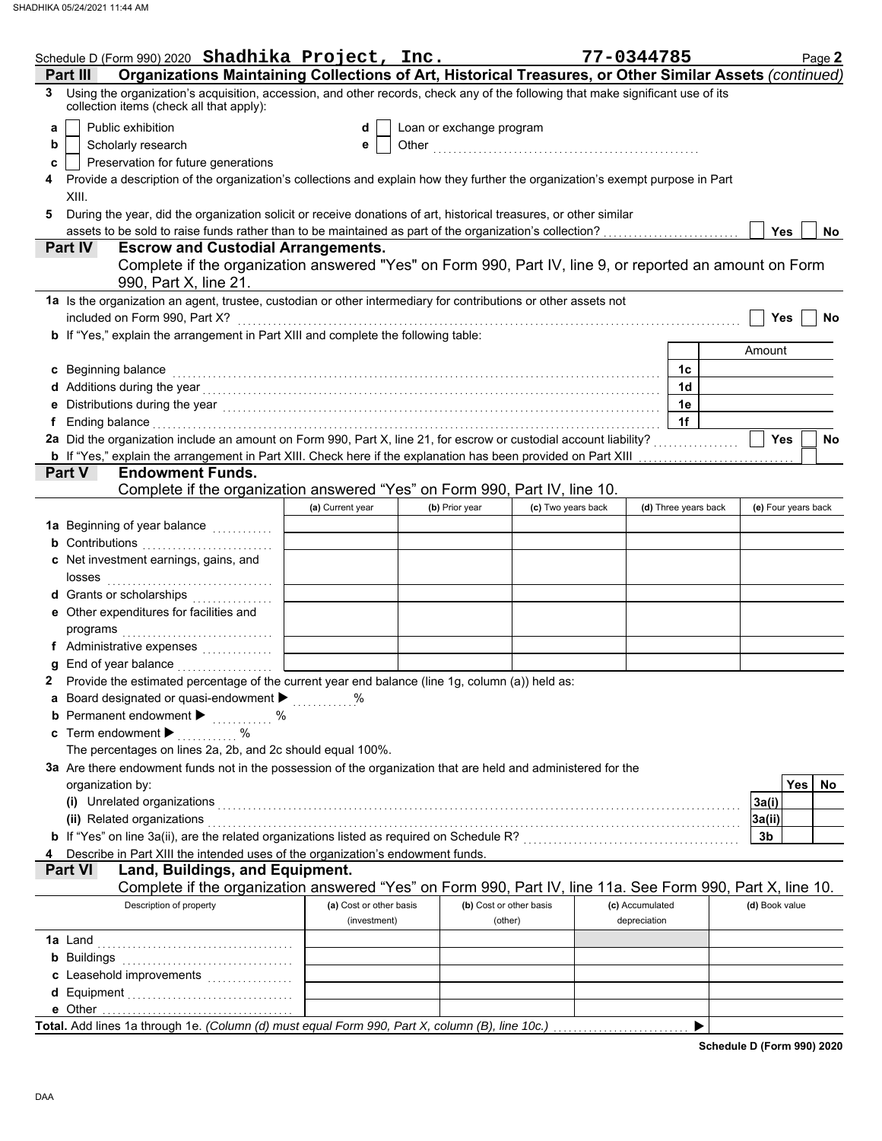|    | Schedule D (Form 990) 2020 Shadhika Project, Inc.                                                                                                                                                                              |                         |                          |                    | 77-0344785      |                      |                | Page 2              |
|----|--------------------------------------------------------------------------------------------------------------------------------------------------------------------------------------------------------------------------------|-------------------------|--------------------------|--------------------|-----------------|----------------------|----------------|---------------------|
|    | Organizations Maintaining Collections of Art, Historical Treasures, or Other Similar Assets (continued)<br>Part III                                                                                                            |                         |                          |                    |                 |                      |                |                     |
| 3  | Using the organization's acquisition, accession, and other records, check any of the following that make significant use of its<br>collection items (check all that apply):                                                    |                         |                          |                    |                 |                      |                |                     |
| a  | Public exhibition                                                                                                                                                                                                              | d                       | Loan or exchange program |                    |                 |                      |                |                     |
| b  | Scholarly research                                                                                                                                                                                                             | е                       |                          |                    |                 |                      |                |                     |
| c  | Preservation for future generations                                                                                                                                                                                            |                         |                          |                    |                 |                      |                |                     |
|    | Provide a description of the organization's collections and explain how they further the organization's exempt purpose in Part                                                                                                 |                         |                          |                    |                 |                      |                |                     |
|    | XIII.                                                                                                                                                                                                                          |                         |                          |                    |                 |                      |                |                     |
| 5  | During the year, did the organization solicit or receive donations of art, historical treasures, or other similar                                                                                                              |                         |                          |                    |                 |                      |                |                     |
|    | assets to be sold to raise funds rather than to be maintained as part of the organization's collection?                                                                                                                        |                         |                          |                    |                 |                      | Yes            | No.                 |
|    | Part IV<br><b>Escrow and Custodial Arrangements.</b>                                                                                                                                                                           |                         |                          |                    |                 |                      |                |                     |
|    | Complete if the organization answered "Yes" on Form 990, Part IV, line 9, or reported an amount on Form                                                                                                                        |                         |                          |                    |                 |                      |                |                     |
|    | 990, Part X, line 21.                                                                                                                                                                                                          |                         |                          |                    |                 |                      |                |                     |
|    | 1a Is the organization an agent, trustee, custodian or other intermediary for contributions or other assets not                                                                                                                |                         |                          |                    |                 |                      |                |                     |
|    | included on Form 990, Part X?                                                                                                                                                                                                  |                         |                          |                    |                 |                      | Yes            | No                  |
|    | b If "Yes," explain the arrangement in Part XIII and complete the following table:                                                                                                                                             |                         |                          |                    |                 |                      |                |                     |
|    |                                                                                                                                                                                                                                |                         |                          |                    |                 |                      | Amount         |                     |
|    | c Beginning balance                                                                                                                                                                                                            |                         |                          |                    |                 | 1c                   |                |                     |
|    | d Additions during the year electron contract the set of the year of the year of the set of the set of the set of the set of the set of the set of the set of the set of the set of the set of the set of the set of the set o |                         |                          |                    |                 | 1d                   |                |                     |
|    |                                                                                                                                                                                                                                |                         |                          |                    |                 | 1e                   |                |                     |
| f. | Ending balance with a construction of the construction of the construction of the construction of the construction of the construction of the construction of the construction of the construction of the construction of the  |                         |                          |                    |                 | 1f                   |                |                     |
|    | 2a Did the organization include an amount on Form 990, Part X, line 21, for escrow or custodial account liability?                                                                                                             |                         |                          |                    |                 |                      | <b>Yes</b>     | No                  |
|    | <b>b</b> If "Yes," explain the arrangement in Part XIII. Check here if the explanation has been provided on Part XIII                                                                                                          |                         |                          |                    |                 | .                    |                |                     |
|    | <b>Endowment Funds.</b><br><b>Part V</b>                                                                                                                                                                                       |                         |                          |                    |                 |                      |                |                     |
|    | Complete if the organization answered "Yes" on Form 990, Part IV, line 10.                                                                                                                                                     |                         |                          |                    |                 |                      |                |                     |
|    |                                                                                                                                                                                                                                | (a) Current year        | (b) Prior year           | (c) Two years back |                 | (d) Three years back |                | (e) Four years back |
|    | 1a Beginning of year balance <i>minimals</i>                                                                                                                                                                                   |                         |                          |                    |                 |                      |                |                     |
|    | <b>b</b> Contributions <b>contributions</b>                                                                                                                                                                                    |                         |                          |                    |                 |                      |                |                     |
|    | c Net investment earnings, gains, and                                                                                                                                                                                          |                         |                          |                    |                 |                      |                |                     |
|    |                                                                                                                                                                                                                                |                         |                          |                    |                 |                      |                |                     |
|    | d Grants or scholarships<br>e Other expenditures for facilities and                                                                                                                                                            |                         |                          |                    |                 |                      |                |                     |
|    |                                                                                                                                                                                                                                |                         |                          |                    |                 |                      |                |                     |
|    |                                                                                                                                                                                                                                |                         |                          |                    |                 |                      |                |                     |
|    |                                                                                                                                                                                                                                |                         |                          |                    |                 |                      |                |                     |
|    | Provide the estimated percentage of the current year end balance (line 1g, column (a)) held as:                                                                                                                                |                         |                          |                    |                 |                      |                |                     |
|    | a Board designated or quasi-endowment >                                                                                                                                                                                        |                         |                          |                    |                 |                      |                |                     |
|    | <b>b</b> Permanent endowment $\blacktriangleright$ %                                                                                                                                                                           |                         |                          |                    |                 |                      |                |                     |
|    | <b>c</b> Term endowment $\blacktriangleright$                                                                                                                                                                                  |                         |                          |                    |                 |                      |                |                     |
|    | The percentages on lines 2a, 2b, and 2c should equal 100%.                                                                                                                                                                     |                         |                          |                    |                 |                      |                |                     |
|    | 3a Are there endowment funds not in the possession of the organization that are held and administered for the                                                                                                                  |                         |                          |                    |                 |                      |                |                     |
|    | organization by:                                                                                                                                                                                                               |                         |                          |                    |                 |                      |                | Yes<br>No.          |
|    |                                                                                                                                                                                                                                |                         |                          |                    |                 |                      | 3a(i)          |                     |
|    | (i) Unrelated organizations entertainment and all the contract of the contract of the contract of the contract of the contract of the contract of the contract of the contract of the contract of the contract of the contract |                         |                          |                    |                 |                      | 3a(ii)         |                     |
|    | b If "Yes" on line 3a(ii), are the related organizations listed as required on Schedule R? [[[[[[[[[[[[[[[[[[[                                                                                                                 |                         |                          |                    |                 |                      | 3b             |                     |
|    | Describe in Part XIII the intended uses of the organization's endowment funds.                                                                                                                                                 |                         |                          |                    |                 |                      |                |                     |
|    | <b>Part VI</b><br>Land, Buildings, and Equipment.                                                                                                                                                                              |                         |                          |                    |                 |                      |                |                     |
|    | Complete if the organization answered "Yes" on Form 990, Part IV, line 11a. See Form 990, Part X, line 10.                                                                                                                     |                         |                          |                    |                 |                      |                |                     |
|    | Description of property                                                                                                                                                                                                        | (a) Cost or other basis | (b) Cost or other basis  |                    | (c) Accumulated |                      | (d) Book value |                     |
|    |                                                                                                                                                                                                                                | (investment)            | (other)                  |                    | depreciation    |                      |                |                     |
|    |                                                                                                                                                                                                                                |                         |                          |                    |                 |                      |                |                     |
|    |                                                                                                                                                                                                                                |                         |                          |                    |                 |                      |                |                     |
|    | c Leasehold improvements                                                                                                                                                                                                       |                         |                          |                    |                 |                      |                |                     |
|    |                                                                                                                                                                                                                                |                         |                          |                    |                 |                      |                |                     |
|    |                                                                                                                                                                                                                                |                         |                          |                    |                 |                      |                |                     |
|    | Total. Add lines 1a through 1e. (Column (d) must equal Form 990, Part X, column (B), line 10c.)                                                                                                                                |                         |                          |                    |                 |                      |                |                     |

**Schedule D (Form 990) 2020**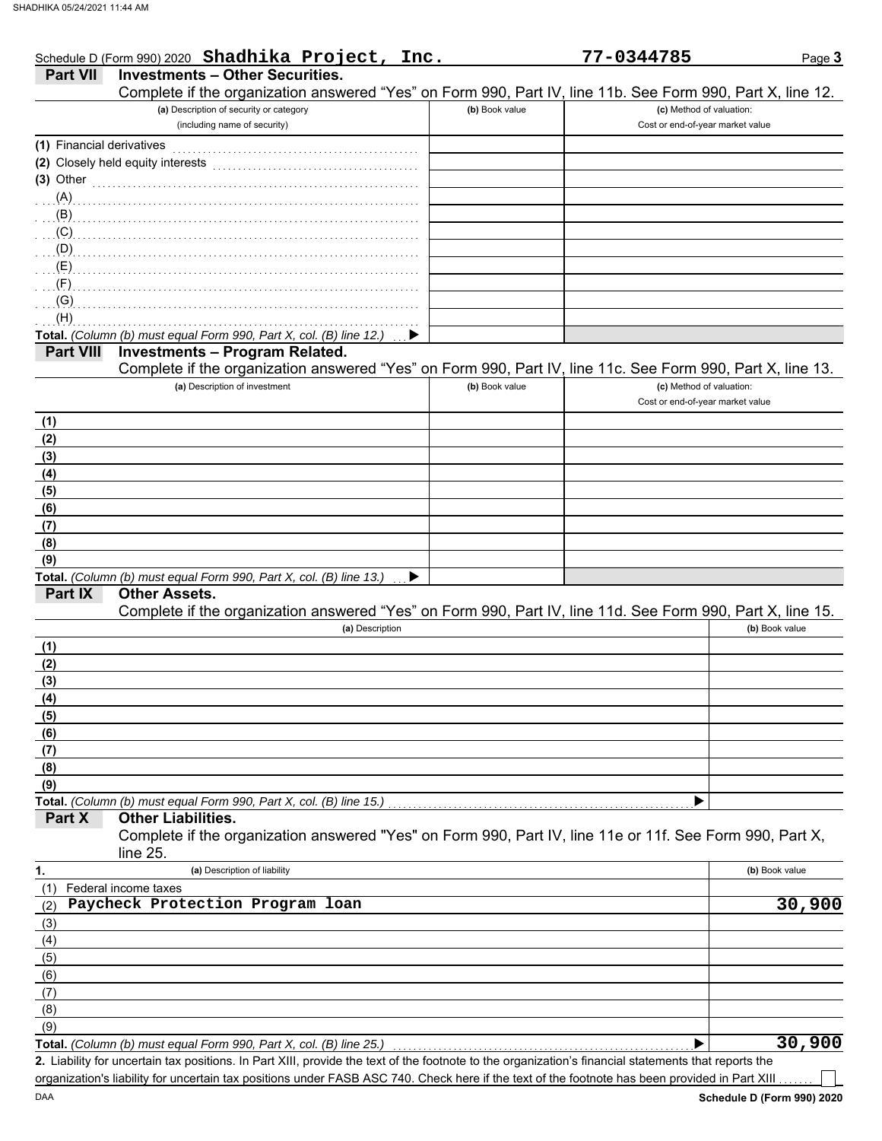| <b>Part VII</b>           | Schedule D (Form 990) 2020 Shadhika Project, Inc.<br><b>Investments - Other Securities.</b>                |                | 77-0344785                       | Page 3         |
|---------------------------|------------------------------------------------------------------------------------------------------------|----------------|----------------------------------|----------------|
|                           | Complete if the organization answered "Yes" on Form 990, Part IV, line 11b. See Form 990, Part X, line 12. |                |                                  |                |
|                           | (a) Description of security or category                                                                    | (b) Book value | (c) Method of valuation:         |                |
|                           | (including name of security)                                                                               |                | Cost or end-of-year market value |                |
| (1) Financial derivatives |                                                                                                            |                |                                  |                |
|                           |                                                                                                            |                |                                  |                |
| $(3)$ Other               |                                                                                                            |                |                                  |                |
|                           | (A)                                                                                                        |                |                                  |                |
| . (B)                     |                                                                                                            |                |                                  |                |
| (C)                       |                                                                                                            |                |                                  |                |
|                           |                                                                                                            |                |                                  |                |
| (E)                       |                                                                                                            |                |                                  |                |
| (F)                       |                                                                                                            |                |                                  |                |
| (G)                       |                                                                                                            |                |                                  |                |
| (H)                       |                                                                                                            |                |                                  |                |
|                           | Total. (Column (b) must equal Form 990, Part X, col. (B) line 12.)                                         |                |                                  |                |
| <b>Part VIII</b>          | <b>Investments - Program Related.</b>                                                                      |                |                                  |                |
|                           | Complete if the organization answered "Yes" on Form 990, Part IV, line 11c. See Form 990, Part X, line 13. |                |                                  |                |
|                           | (a) Description of investment                                                                              | (b) Book value | (c) Method of valuation:         |                |
|                           |                                                                                                            |                | Cost or end-of-year market value |                |
| (1)                       |                                                                                                            |                |                                  |                |
| (2)                       |                                                                                                            |                |                                  |                |
| (3)                       |                                                                                                            |                |                                  |                |
| (4)                       |                                                                                                            |                |                                  |                |
| (5)                       |                                                                                                            |                |                                  |                |
| (6)                       |                                                                                                            |                |                                  |                |
| (7)                       |                                                                                                            |                |                                  |                |
| (8)                       |                                                                                                            |                |                                  |                |
| (9)                       |                                                                                                            |                |                                  |                |
|                           | Total. (Column (b) must equal Form 990, Part X, col. (B) line 13.)                                         |                |                                  |                |
| Part IX                   | <b>Other Assets.</b>                                                                                       |                |                                  |                |
|                           | Complete if the organization answered "Yes" on Form 990, Part IV, line 11d. See Form 990, Part X, line 15. |                |                                  |                |
|                           | (a) Description                                                                                            |                |                                  | (b) Book value |
| (1)                       |                                                                                                            |                |                                  |                |
| (2)                       |                                                                                                            |                |                                  |                |
| (3)                       |                                                                                                            |                |                                  |                |
| (4)                       |                                                                                                            |                |                                  |                |
| (5)                       |                                                                                                            |                |                                  |                |
| (6)                       |                                                                                                            |                |                                  |                |
| (7)                       |                                                                                                            |                |                                  |                |
| (8)                       |                                                                                                            |                |                                  |                |
| (9)                       |                                                                                                            |                |                                  |                |
|                           | Total. (Column (b) must equal Form 990, Part X, col. (B) line 15.)                                         |                |                                  |                |
| Part X                    | <b>Other Liabilities.</b>                                                                                  |                |                                  |                |
|                           | Complete if the organization answered "Yes" on Form 990, Part IV, line 11e or 11f. See Form 990, Part X,   |                |                                  |                |
|                           | line 25.                                                                                                   |                |                                  |                |
| 1.                        | (a) Description of liability                                                                               |                |                                  | (b) Book value |
| (1)                       | Federal income taxes                                                                                       |                |                                  |                |
| (2)                       | Paycheck Protection Program loan                                                                           |                |                                  | 30,900         |
| (3)                       |                                                                                                            |                |                                  |                |
| (4)                       |                                                                                                            |                |                                  |                |
| (5)                       |                                                                                                            |                |                                  |                |
| (6)                       |                                                                                                            |                |                                  |                |
| (7)                       |                                                                                                            |                |                                  |                |
| (8)                       |                                                                                                            |                |                                  |                |
|                           |                                                                                                            |                |                                  |                |
| (9)                       |                                                                                                            |                |                                  | 30,900         |

organization's liability for uncertain tax positions under FASB ASC 740. Check here if the text of the footnote has been provided in Part XIII

 $\overline{\phantom{a}}$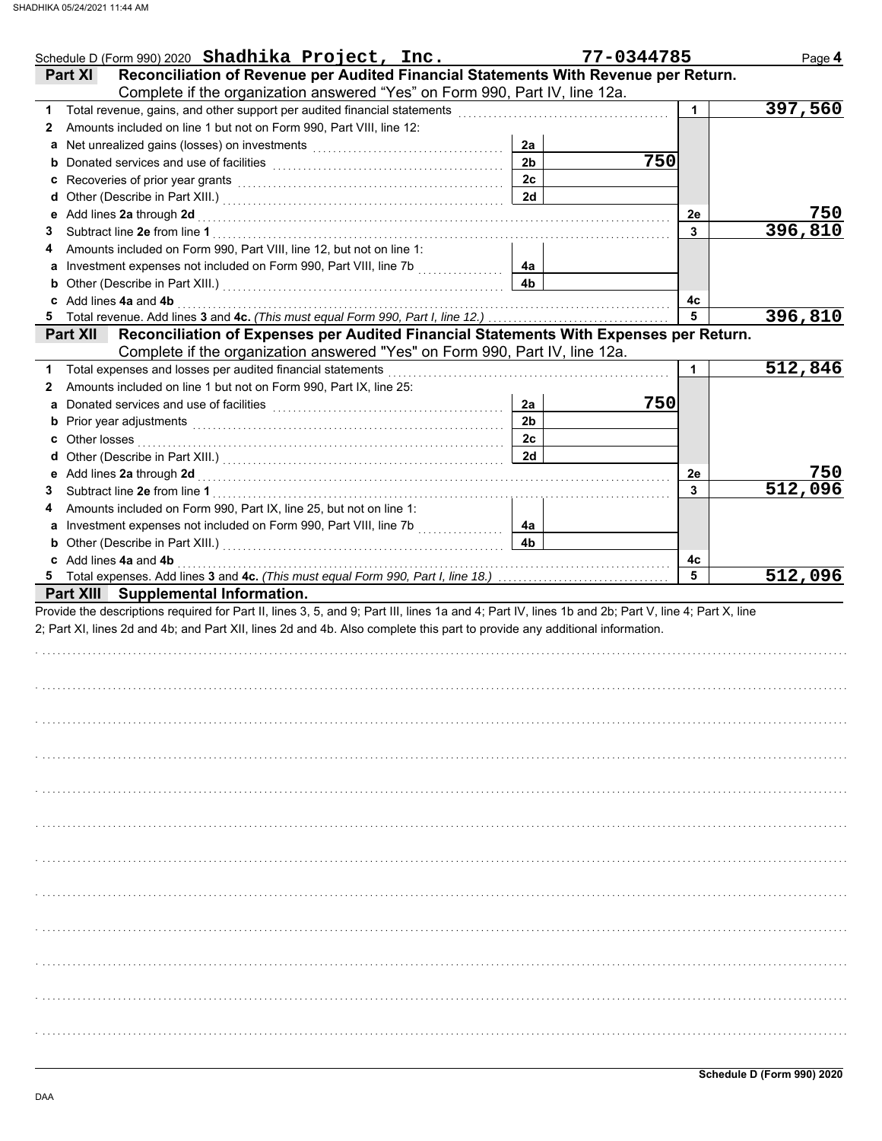|                       | Schedule D (Form 990) 2020 Shadhika Project, Inc.                                                                                                                                                                                                                                |                | 77-0344785 | Page 4  |
|-----------------------|----------------------------------------------------------------------------------------------------------------------------------------------------------------------------------------------------------------------------------------------------------------------------------|----------------|------------|---------|
| <b>Part XI</b>        | Reconciliation of Revenue per Audited Financial Statements With Revenue per Return.<br>Complete if the organization answered "Yes" on Form 990, Part IV, line 12a.                                                                                                               |                |            |         |
|                       | Total revenue, gains, and other support per audited financial statements                                                                                                                                                                                                         |                |            | 397,560 |
| $\mathbf{2}$          | Amounts included on line 1 but not on Form 990, Part VIII, line 12:                                                                                                                                                                                                              |                |            |         |
|                       | a Net unrealized gains (losses) on investments [111] Net uncontained a Net unrealized gains (losses) on investments                                                                                                                                                              | 2a             |            |         |
|                       | b Donated services and use of facilities [11] context context in the service of facilities [11] context in the service of facilities [11] context in the Donated Service of Donated Service of Donated Service of Donated Serv                                                   | 2 <sub>b</sub> | 750        |         |
|                       |                                                                                                                                                                                                                                                                                  | 2c             |            |         |
|                       |                                                                                                                                                                                                                                                                                  | 2d             |            |         |
|                       |                                                                                                                                                                                                                                                                                  |                | 2e         | 750     |
| 3                     |                                                                                                                                                                                                                                                                                  |                | 3          | 396,810 |
| 4                     | Amounts included on Form 990, Part VIII, line 12, but not on line 1:                                                                                                                                                                                                             |                |            |         |
|                       | a Investment expenses not included on Form 990, Part VIII, line 7b                                                                                                                                                                                                               | 4a             |            |         |
|                       | <b>b</b> Other (Describe in Part XIII.) <b>CONSIDENT DESCRIPTION DESCRIPTION DESCRIPTION DESCRIPTION DESCRIPTION DESCRIPTION DESCRIPTION DESCRIPTION DESCRIPTION DESCRIPTION DESCRIPTION DESCRIPTION DESCRI</b>                                                                  | 4 <sub>b</sub> |            |         |
| c Add lines 4a and 4b |                                                                                                                                                                                                                                                                                  |                | 4с         |         |
|                       |                                                                                                                                                                                                                                                                                  |                | 5          | 396,810 |
| <b>Part XII</b>       | Reconciliation of Expenses per Audited Financial Statements With Expenses per Return.<br>Complete if the organization answered "Yes" on Form 990, Part IV, line 12a.                                                                                                             |                |            |         |
|                       | 1 Total expenses and losses per audited financial statements                                                                                                                                                                                                                     |                | 1          | 512,846 |
| 2                     | Amounts included on line 1 but not on Form 990, Part IX, line 25:                                                                                                                                                                                                                |                |            |         |
|                       | a Donated services and use of facilities                                                                                                                                                                                                                                         | 2a             | 750        |         |
|                       | <b>b</b> Prior year adjustments <b>contained contained contained and prior contained a</b>                                                                                                                                                                                       | 2 <sub>b</sub> |            |         |
| <b>c</b> Other losses |                                                                                                                                                                                                                                                                                  | 2 <sub>c</sub> |            |         |
|                       |                                                                                                                                                                                                                                                                                  | 2d             |            |         |
|                       |                                                                                                                                                                                                                                                                                  |                | 2e         | 750     |
| 3                     |                                                                                                                                                                                                                                                                                  |                | 3          | 512,096 |
| 4                     | Amounts included on Form 990, Part IX, line 25, but not on line 1:                                                                                                                                                                                                               |                |            |         |
|                       |                                                                                                                                                                                                                                                                                  | 4a             |            |         |
|                       | <b>b</b> Other (Describe in Part XIII.) <b>CONSIDENT DESCRIPTION DESCRIPTION DESCRIPTION DESCRIPTION DESCRIPTION DESCRIPTION DESCRIPTION DESCRIPTION DESCRIPTION DESCRIPTION DESCRIPTION</b>                                                                                     | 4b             |            |         |
| c Add lines 4a and 4b |                                                                                                                                                                                                                                                                                  |                | 4c         |         |
|                       |                                                                                                                                                                                                                                                                                  |                | 5          | 512,096 |
|                       | Provide the descriptions required for Part II, lines 3, 5, and 9; Part III, lines 1a and 4; Part IV, lines 1b and 2b; Part V, line 4; Part X, line<br>2; Part XI, lines 2d and 4b; and Part XII, lines 2d and 4b. Also complete this part to provide any additional information. |                |            |         |
|                       |                                                                                                                                                                                                                                                                                  |                |            |         |
|                       |                                                                                                                                                                                                                                                                                  |                |            |         |
|                       |                                                                                                                                                                                                                                                                                  |                |            |         |
|                       |                                                                                                                                                                                                                                                                                  |                |            |         |
|                       |                                                                                                                                                                                                                                                                                  |                |            |         |
|                       |                                                                                                                                                                                                                                                                                  |                |            |         |
|                       |                                                                                                                                                                                                                                                                                  |                |            |         |
|                       |                                                                                                                                                                                                                                                                                  |                |            |         |
|                       |                                                                                                                                                                                                                                                                                  |                |            |         |
|                       |                                                                                                                                                                                                                                                                                  |                |            |         |
|                       |                                                                                                                                                                                                                                                                                  |                |            |         |
|                       |                                                                                                                                                                                                                                                                                  |                |            |         |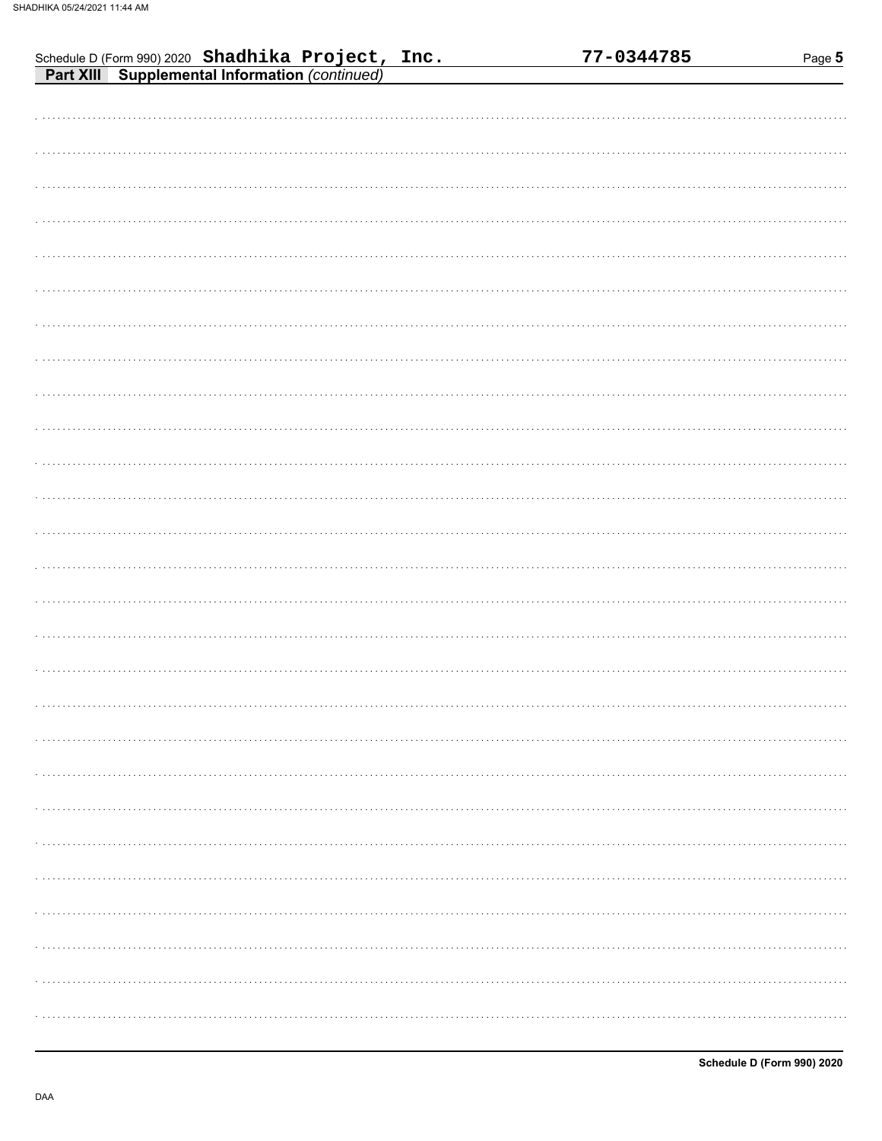| Schedule D (Form 990) 2020 Shadhika Project, Inc.<br>Part XIII Supplemental Information (continued) | 77-0344785 | Page 5 |
|-----------------------------------------------------------------------------------------------------|------------|--------|
|                                                                                                     |            |        |
|                                                                                                     |            |        |
|                                                                                                     |            |        |
|                                                                                                     |            |        |
|                                                                                                     |            |        |
|                                                                                                     |            |        |
|                                                                                                     |            |        |
|                                                                                                     |            |        |
|                                                                                                     |            |        |
|                                                                                                     |            |        |
|                                                                                                     |            |        |
|                                                                                                     |            |        |
|                                                                                                     |            |        |
|                                                                                                     |            |        |
|                                                                                                     |            |        |
|                                                                                                     |            |        |
|                                                                                                     |            |        |
|                                                                                                     |            |        |
|                                                                                                     |            |        |
|                                                                                                     |            |        |
|                                                                                                     |            |        |
|                                                                                                     |            |        |
|                                                                                                     |            |        |
|                                                                                                     |            |        |
|                                                                                                     |            |        |
|                                                                                                     |            |        |
|                                                                                                     |            |        |
|                                                                                                     |            |        |
|                                                                                                     |            |        |
|                                                                                                     |            |        |
|                                                                                                     |            |        |
|                                                                                                     |            |        |
|                                                                                                     |            |        |
|                                                                                                     |            |        |
|                                                                                                     |            |        |
|                                                                                                     |            |        |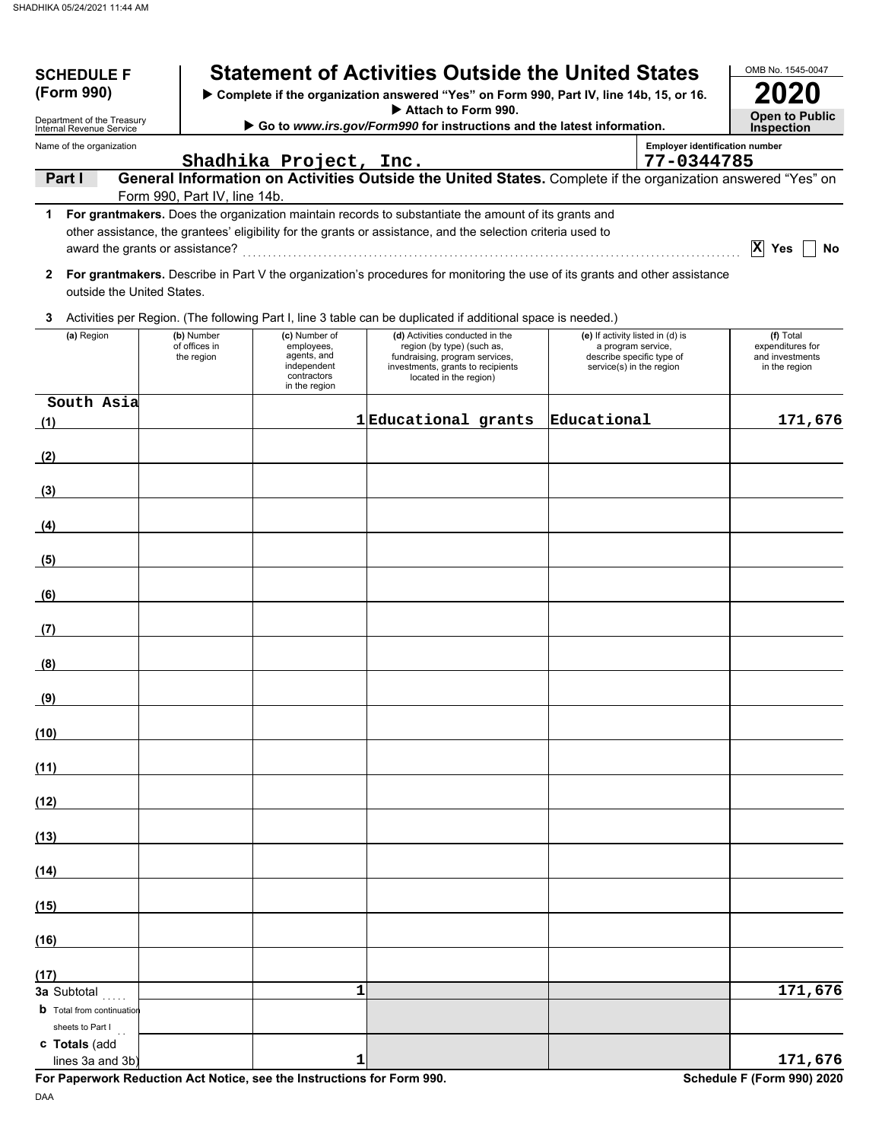| <b>SCHEDULE F</b>                                    |                                           | <b>Statement of Activities Outside the United States</b>                                                                                                                                                             |   |                                                                                                                                                                |                                                                                                                 |                                       | OMB No. 1545-0047                                                 |
|------------------------------------------------------|-------------------------------------------|----------------------------------------------------------------------------------------------------------------------------------------------------------------------------------------------------------------------|---|----------------------------------------------------------------------------------------------------------------------------------------------------------------|-----------------------------------------------------------------------------------------------------------------|---------------------------------------|-------------------------------------------------------------------|
| (Form 990)<br>Department of the Treasury             |                                           | Complete if the organization answered "Yes" on Form 990, Part IV, line 14b, 15, or 16.                                                                                                                               |   | Attach to Form 990.                                                                                                                                            |                                                                                                                 |                                       | <b>Open to Public</b>                                             |
| Internal Revenue Service<br>Name of the organization |                                           | Go to www.irs.gov/Form990 for instructions and the latest information.                                                                                                                                               |   |                                                                                                                                                                |                                                                                                                 | <b>Employer identification number</b> | <b>Inspection</b>                                                 |
|                                                      |                                           | Shadhika Project, Inc.                                                                                                                                                                                               |   |                                                                                                                                                                |                                                                                                                 | 77-0344785                            |                                                                   |
| Part I                                               | Form 990, Part IV, line 14b.              | General Information on Activities Outside the United States. Complete if the organization answered "Yes" on                                                                                                          |   |                                                                                                                                                                |                                                                                                                 |                                       |                                                                   |
| 1                                                    |                                           | For grantmakers. Does the organization maintain records to substantiate the amount of its grants and<br>other assistance, the grantees' eligibility for the grants or assistance, and the selection criteria used to |   |                                                                                                                                                                |                                                                                                                 |                                       | X<br>Yes<br>No                                                    |
| $\mathbf{2}$<br>outside the United States.           |                                           | For grantmakers. Describe in Part V the organization's procedures for monitoring the use of its grants and other assistance                                                                                          |   |                                                                                                                                                                |                                                                                                                 |                                       |                                                                   |
| 3                                                    |                                           | Activities per Region. (The following Part I, line 3 table can be duplicated if additional space is needed.)                                                                                                         |   |                                                                                                                                                                |                                                                                                                 |                                       |                                                                   |
| (a) Region                                           | (b) Number<br>of offices in<br>the region | (c) Number of<br>employees,<br>agents, and<br>independent<br>contractors<br>in the region                                                                                                                            |   | (d) Activities conducted in the<br>region (by type) (such as,<br>fundraising, program services,<br>investments, grants to recipients<br>located in the region) | (e) If activity listed in (d) is<br>a program service,<br>describe specific type of<br>service(s) in the region |                                       | (f) Total<br>expenditures for<br>and investments<br>in the region |
| South Asia<br>(1)                                    |                                           |                                                                                                                                                                                                                      |   | 1 Educational grants                                                                                                                                           | Educational                                                                                                     |                                       | 171,676                                                           |
| (2)                                                  |                                           |                                                                                                                                                                                                                      |   |                                                                                                                                                                |                                                                                                                 |                                       |                                                                   |
| (3)                                                  |                                           |                                                                                                                                                                                                                      |   |                                                                                                                                                                |                                                                                                                 |                                       |                                                                   |
| (4)                                                  |                                           |                                                                                                                                                                                                                      |   |                                                                                                                                                                |                                                                                                                 |                                       |                                                                   |
| (5)                                                  |                                           |                                                                                                                                                                                                                      |   |                                                                                                                                                                |                                                                                                                 |                                       |                                                                   |
| (6)                                                  |                                           |                                                                                                                                                                                                                      |   |                                                                                                                                                                |                                                                                                                 |                                       |                                                                   |
| (7)                                                  |                                           |                                                                                                                                                                                                                      |   |                                                                                                                                                                |                                                                                                                 |                                       |                                                                   |
| (8)                                                  |                                           |                                                                                                                                                                                                                      |   |                                                                                                                                                                |                                                                                                                 |                                       |                                                                   |
| <u>(9)</u>                                           |                                           |                                                                                                                                                                                                                      |   |                                                                                                                                                                |                                                                                                                 |                                       |                                                                   |
| (10)                                                 |                                           |                                                                                                                                                                                                                      |   |                                                                                                                                                                |                                                                                                                 |                                       |                                                                   |
| (11)                                                 |                                           |                                                                                                                                                                                                                      |   |                                                                                                                                                                |                                                                                                                 |                                       |                                                                   |
| (12)                                                 |                                           |                                                                                                                                                                                                                      |   |                                                                                                                                                                |                                                                                                                 |                                       |                                                                   |
| (13)                                                 |                                           |                                                                                                                                                                                                                      |   |                                                                                                                                                                |                                                                                                                 |                                       |                                                                   |
| (14)                                                 |                                           |                                                                                                                                                                                                                      |   |                                                                                                                                                                |                                                                                                                 |                                       |                                                                   |
| (15)                                                 |                                           |                                                                                                                                                                                                                      |   |                                                                                                                                                                |                                                                                                                 |                                       |                                                                   |
| (16)                                                 |                                           |                                                                                                                                                                                                                      |   |                                                                                                                                                                |                                                                                                                 |                                       |                                                                   |
| (17)                                                 |                                           |                                                                                                                                                                                                                      |   |                                                                                                                                                                |                                                                                                                 |                                       |                                                                   |
| 3a Subtotal<br><b>b</b> Total from continuation      |                                           |                                                                                                                                                                                                                      | 1 |                                                                                                                                                                |                                                                                                                 |                                       | 171,676                                                           |
| sheets to Part I<br>c Totals (add                    |                                           |                                                                                                                                                                                                                      |   |                                                                                                                                                                |                                                                                                                 |                                       |                                                                   |
| lines 3a and 3b)                                     |                                           |                                                                                                                                                                                                                      | 1 |                                                                                                                                                                |                                                                                                                 |                                       | 171,676                                                           |

**For Paperwork Reduction Act Notice, see the Instructions for Form 990.** Schedule F (Form 990) 2020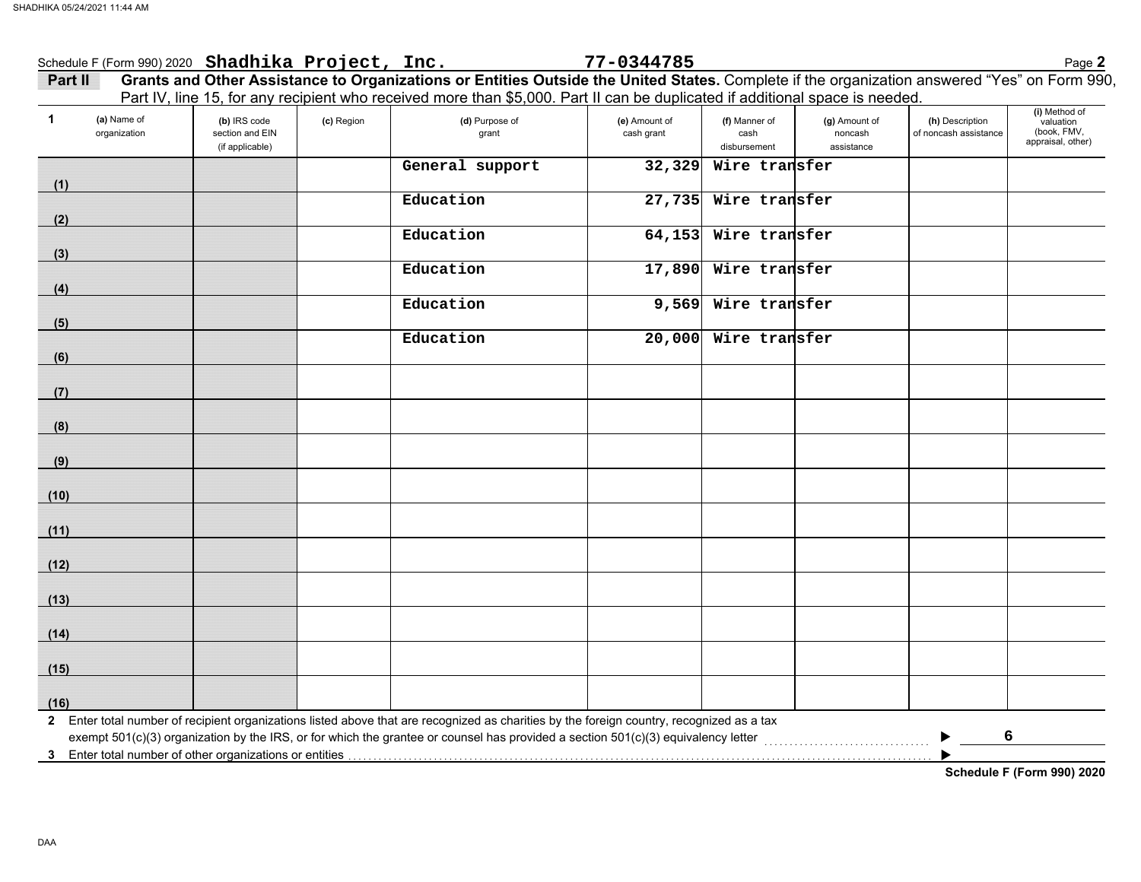| $\blacktriangleleft$<br>(a) Name of<br>organization | (b) IRS code<br>section and EIN<br>(if applicable) | (c) Region | Part IV, line 15, for any recipient who received more than \$5,000. Part II can be duplicated if additional space is needed.<br>(d) Purpose of<br>grant | (e) Amount of<br>cash grant | (f) Manner of<br>cash<br>disbursement | (g) Amount of<br>noncash<br>assistance | (h) Description<br>of noncash assistance | (i) Method of<br>valuation<br>(book, FMV,<br>appraisal, other) |
|-----------------------------------------------------|----------------------------------------------------|------------|---------------------------------------------------------------------------------------------------------------------------------------------------------|-----------------------------|---------------------------------------|----------------------------------------|------------------------------------------|----------------------------------------------------------------|
| (1)                                                 |                                                    |            | General support                                                                                                                                         | 32,329                      | Wire transfer                         |                                        |                                          |                                                                |
|                                                     |                                                    |            | Education                                                                                                                                               | 27,735                      | Wire transfer                         |                                        |                                          |                                                                |
| (2)<br>(3)                                          |                                                    |            | Education                                                                                                                                               | 64,153                      | Wire transfer                         |                                        |                                          |                                                                |
| (4)                                                 |                                                    |            | Education                                                                                                                                               | 17,890                      | Wire transfer                         |                                        |                                          |                                                                |
| (5)                                                 |                                                    |            | Education                                                                                                                                               | 9,569                       | Wire transfer                         |                                        |                                          |                                                                |
| (6)                                                 |                                                    |            | Education                                                                                                                                               | 20,000                      | Wire transfer                         |                                        |                                          |                                                                |
| (7)                                                 |                                                    |            |                                                                                                                                                         |                             |                                       |                                        |                                          |                                                                |
| (8)                                                 |                                                    |            |                                                                                                                                                         |                             |                                       |                                        |                                          |                                                                |
| (9)                                                 |                                                    |            |                                                                                                                                                         |                             |                                       |                                        |                                          |                                                                |
| (10)                                                |                                                    |            |                                                                                                                                                         |                             |                                       |                                        |                                          |                                                                |
| (11)                                                |                                                    |            |                                                                                                                                                         |                             |                                       |                                        |                                          |                                                                |
| (12)                                                |                                                    |            |                                                                                                                                                         |                             |                                       |                                        |                                          |                                                                |
| (13)                                                |                                                    |            |                                                                                                                                                         |                             |                                       |                                        |                                          |                                                                |
| (14)                                                |                                                    |            |                                                                                                                                                         |                             |                                       |                                        |                                          |                                                                |
| (15)                                                |                                                    |            |                                                                                                                                                         |                             |                                       |                                        |                                          |                                                                |
| (16)                                                |                                                    |            |                                                                                                                                                         |                             |                                       |                                        |                                          |                                                                |

**Schedule F (Form 990) 2020**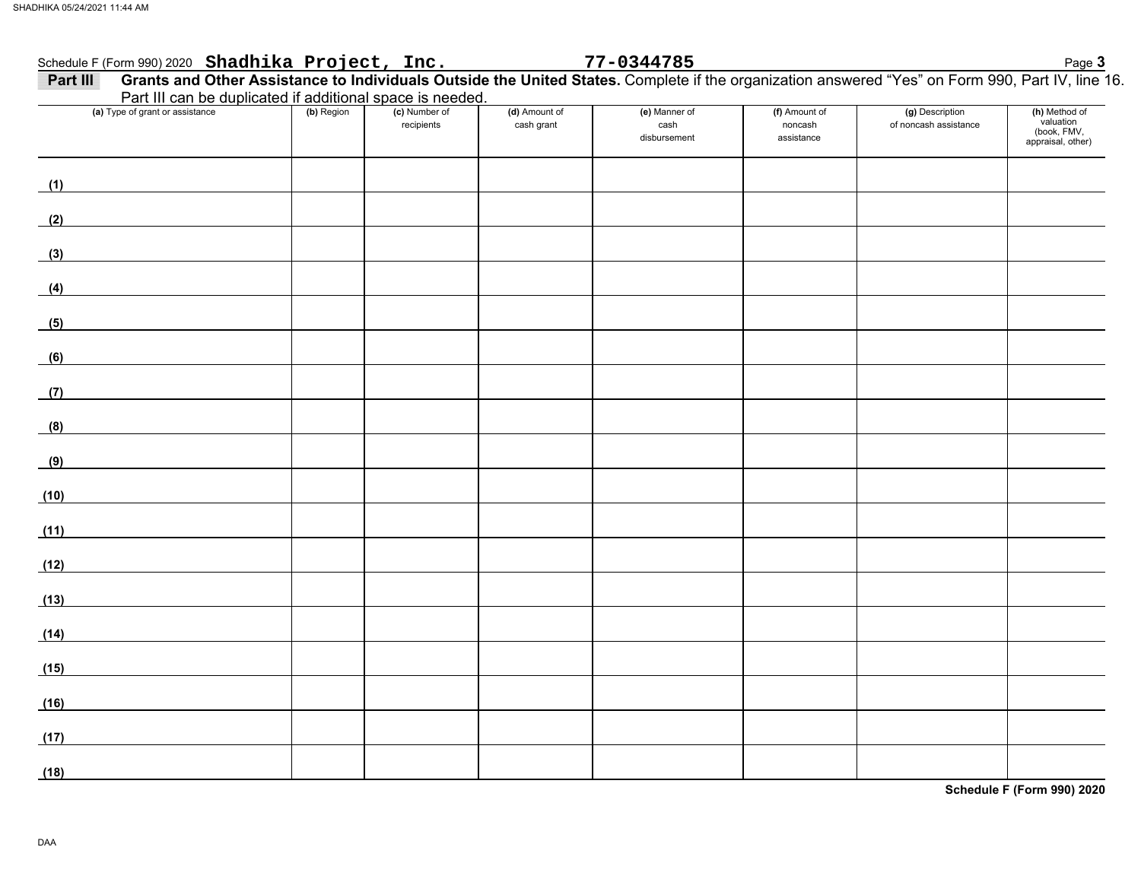| Schedule F (Form 990) 2020 Shadhika Project, Inc.                                                                                                            |            |                             |                             | 77-0344785                            |                                        |                                          | Page 3                                                         |
|--------------------------------------------------------------------------------------------------------------------------------------------------------------|------------|-----------------------------|-----------------------------|---------------------------------------|----------------------------------------|------------------------------------------|----------------------------------------------------------------|
| Grants and Other Assistance to Individuals Outside the United States. Complete if the organization answered "Yes" on Form 990, Part IV, line 16.<br>Part III |            |                             |                             |                                       |                                        |                                          |                                                                |
| Part III can be duplicated if additional space is needed.                                                                                                    |            |                             |                             |                                       |                                        |                                          |                                                                |
| (a) Type of grant or assistance                                                                                                                              | (b) Region | (c) Number of<br>recipients | (d) Amount of<br>cash grant | (e) Manner of<br>cash<br>disbursement | (f) Amount of<br>noncash<br>assistance | (g) Description<br>of noncash assistance | (h) Method of<br>valuation<br>(book, FMV,<br>appraisal, other) |
| (1)                                                                                                                                                          |            |                             |                             |                                       |                                        |                                          |                                                                |
| (2)                                                                                                                                                          |            |                             |                             |                                       |                                        |                                          |                                                                |
| <u> 1970 - Jan Barat, prima politik (</u><br>(3)                                                                                                             |            |                             |                             |                                       |                                        |                                          |                                                                |
| (4)                                                                                                                                                          |            |                             |                             |                                       |                                        |                                          |                                                                |
| (5)                                                                                                                                                          |            |                             |                             |                                       |                                        |                                          |                                                                |
| (6)                                                                                                                                                          |            |                             |                             |                                       |                                        |                                          |                                                                |
| (7)                                                                                                                                                          |            |                             |                             |                                       |                                        |                                          |                                                                |
| (8)                                                                                                                                                          |            |                             |                             |                                       |                                        |                                          |                                                                |
| (9)<br>(10)                                                                                                                                                  |            |                             |                             |                                       |                                        |                                          |                                                                |
| (11)                                                                                                                                                         |            |                             |                             |                                       |                                        |                                          |                                                                |
| (12)                                                                                                                                                         |            |                             |                             |                                       |                                        |                                          |                                                                |
| (13)                                                                                                                                                         |            |                             |                             |                                       |                                        |                                          |                                                                |
| (14)                                                                                                                                                         |            |                             |                             |                                       |                                        |                                          |                                                                |
| (15)                                                                                                                                                         |            |                             |                             |                                       |                                        |                                          |                                                                |
| (16)                                                                                                                                                         |            |                             |                             |                                       |                                        |                                          |                                                                |
| (17)                                                                                                                                                         |            |                             |                             |                                       |                                        |                                          |                                                                |
| (18)                                                                                                                                                         |            |                             |                             |                                       |                                        |                                          |                                                                |

**Schedule F (Form 990) 2020**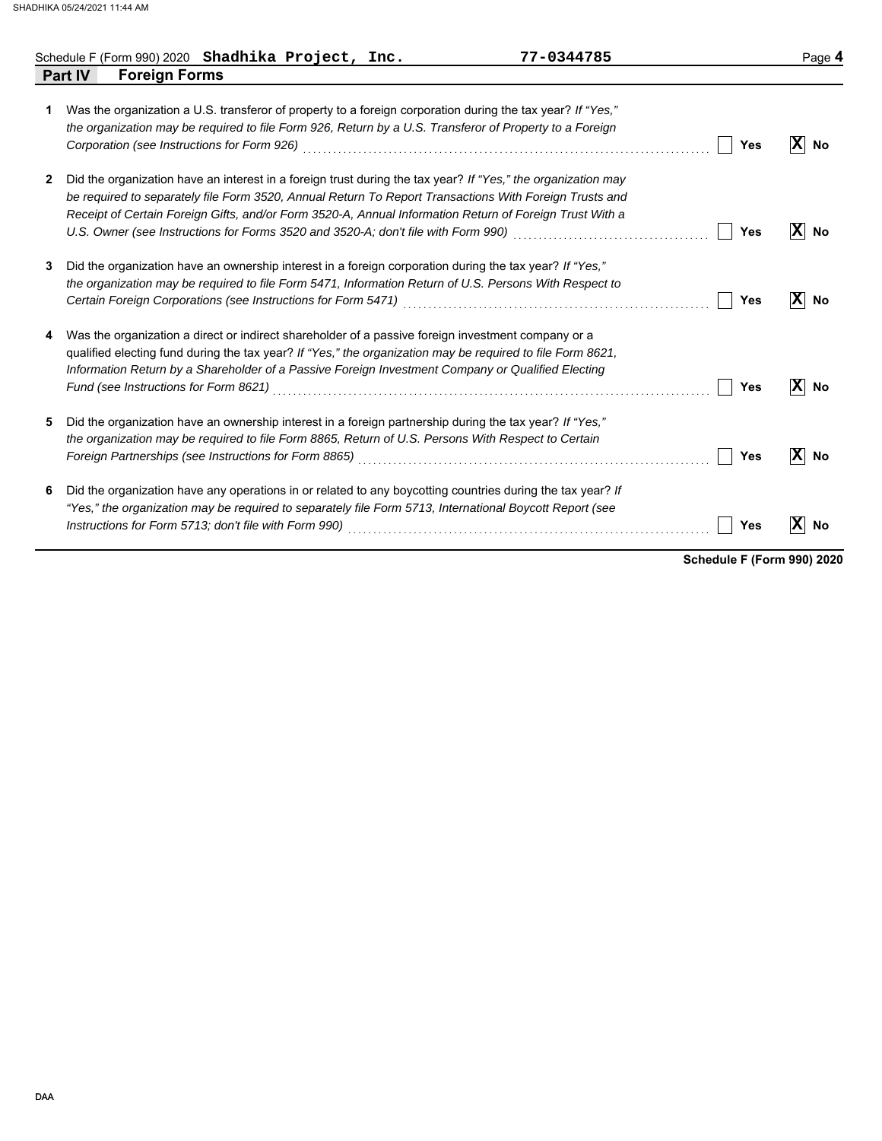|   | Schedule F (Form 990) 2020 Shadhika Project, Inc.     |  | 77-0344785                                                                                                                                                                                                                                                                                                                                                                                                                                         |            | Page 4                         |
|---|-------------------------------------------------------|--|----------------------------------------------------------------------------------------------------------------------------------------------------------------------------------------------------------------------------------------------------------------------------------------------------------------------------------------------------------------------------------------------------------------------------------------------------|------------|--------------------------------|
|   | <b>Foreign Forms</b><br><b>Part IV</b>                |  |                                                                                                                                                                                                                                                                                                                                                                                                                                                    |            |                                |
| 1 |                                                       |  | Was the organization a U.S. transferor of property to a foreign corporation during the tax year? If "Yes,"<br>the organization may be required to file Form 926, Return by a U.S. Transferor of Property to a Foreign<br>Corporation (see Instructions for Form 926) Material Corporation Corporation (see Instructions of Port                                                                                                                    | <b>Yes</b> | $\bf x$<br>No                  |
| 2 |                                                       |  | Did the organization have an interest in a foreign trust during the tax year? If "Yes," the organization may<br>be required to separately file Form 3520, Annual Return To Report Transactions With Foreign Trusts and<br>Receipt of Certain Foreign Gifts, and/or Form 3520-A, Annual Information Return of Foreign Trust With a<br>U.S. Owner (see Instructions for Forms 3520 and 3520-A; don't file with Form 990) [[[[[[[[[[[[[[[[[[[[[[[[[[[ | Yes        | $\vert \mathbf{X} \vert$<br>No |
| 3 |                                                       |  | Did the organization have an ownership interest in a foreign corporation during the tax year? If "Yes,"<br>the organization may be required to file Form 5471, Information Return of U.S. Persons With Respect to                                                                                                                                                                                                                                  | Yes        | $\mathbf{X}$ No                |
| 4 | Fund (see Instructions for Form 8621)                 |  | Was the organization a direct or indirect shareholder of a passive foreign investment company or a<br>qualified electing fund during the tax year? If "Yes," the organization may be required to file Form 8621,<br>Information Return by a Shareholder of a Passive Foreign Investment Company or Qualified Electing                                                                                                                              | <b>Yes</b> | $ X $ No                       |
| 5 | Foreign Partnerships (see Instructions for Form 8865) |  | Did the organization have an ownership interest in a foreign partnership during the tax year? If "Yes,"<br>the organization may be required to file Form 8865, Return of U.S. Persons With Respect to Certain                                                                                                                                                                                                                                      | Yes        | X<br>No                        |
| 6 |                                                       |  | Did the organization have any operations in or related to any boycotting countries during the tax year? If<br>"Yes," the organization may be required to separately file Form 5713, International Boycott Report (see                                                                                                                                                                                                                              | Yes        | $ \mathbf{x} $<br>No           |

**Schedule F (Form 990) 2020**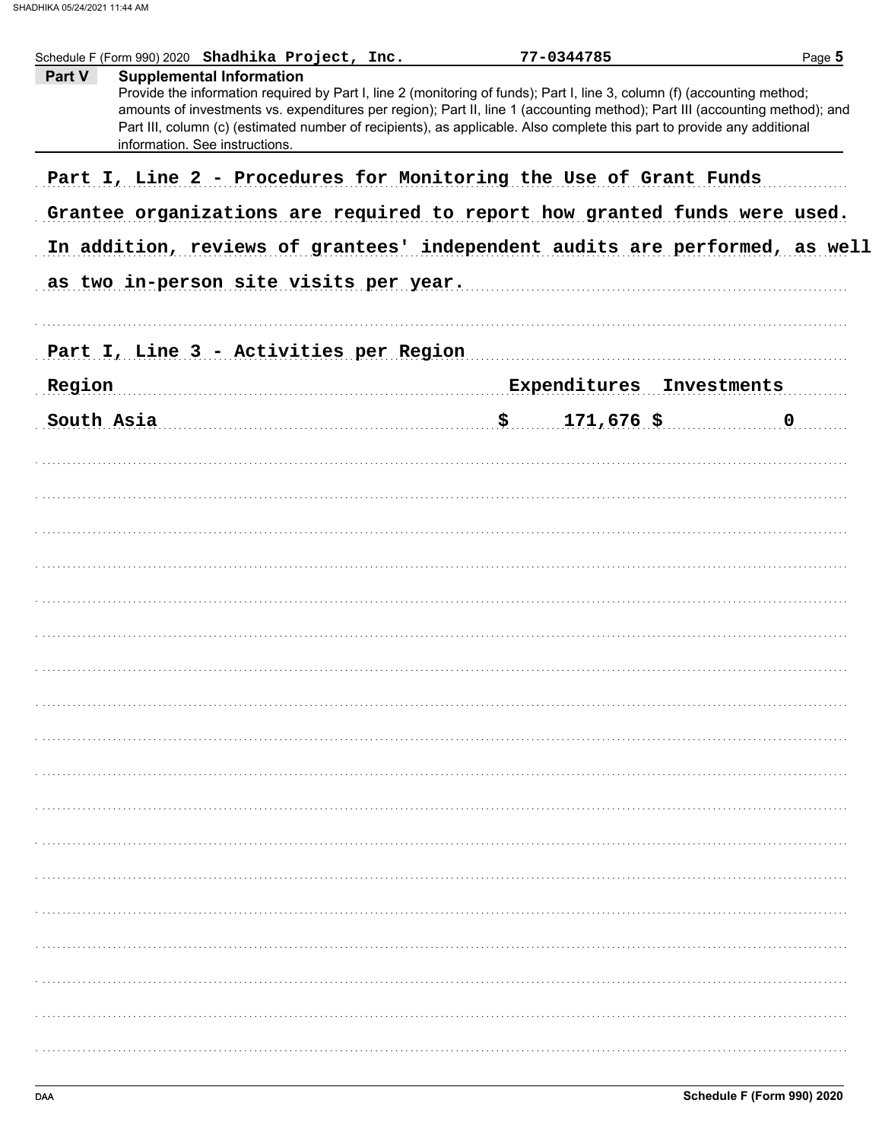| Schedule F (Form 990) 2020 Shadhika Project, Inc.                                                                                                                                                                                                                                                                                                                                                                               | 77-0344785               | Page 5      |
|---------------------------------------------------------------------------------------------------------------------------------------------------------------------------------------------------------------------------------------------------------------------------------------------------------------------------------------------------------------------------------------------------------------------------------|--------------------------|-------------|
| Part V<br><b>Supplemental Information</b><br>Provide the information required by Part I, line 2 (monitoring of funds); Part I, line 3, column (f) (accounting method;<br>amounts of investments vs. expenditures per region); Part II, line 1 (accounting method); Part III (accounting method); and<br>Part III, column (c) (estimated number of recipients), as applicable. Also complete this part to provide any additional |                          |             |
| information. See instructions.                                                                                                                                                                                                                                                                                                                                                                                                  |                          |             |
| Part I, Line 2 - Procedures for Monitoring the Use of Grant Funds                                                                                                                                                                                                                                                                                                                                                               |                          |             |
| Grantee organizations are required to report how granted funds were used.<br>In addition, reviews of grantees' independent audits are performed, as well                                                                                                                                                                                                                                                                        |                          |             |
|                                                                                                                                                                                                                                                                                                                                                                                                                                 |                          |             |
| as two in-person site visits per year.                                                                                                                                                                                                                                                                                                                                                                                          |                          |             |
| Part I, Line 3 - Activities per Region                                                                                                                                                                                                                                                                                                                                                                                          |                          |             |
| Region                                                                                                                                                                                                                                                                                                                                                                                                                          | Expenditures Investments |             |
| South Asia                                                                                                                                                                                                                                                                                                                                                                                                                      | $171,676$ \$             | $\mathbf 0$ |
|                                                                                                                                                                                                                                                                                                                                                                                                                                 |                          |             |
|                                                                                                                                                                                                                                                                                                                                                                                                                                 |                          |             |
|                                                                                                                                                                                                                                                                                                                                                                                                                                 |                          |             |
|                                                                                                                                                                                                                                                                                                                                                                                                                                 |                          |             |
|                                                                                                                                                                                                                                                                                                                                                                                                                                 |                          |             |
|                                                                                                                                                                                                                                                                                                                                                                                                                                 |                          |             |
|                                                                                                                                                                                                                                                                                                                                                                                                                                 |                          |             |
|                                                                                                                                                                                                                                                                                                                                                                                                                                 |                          |             |
|                                                                                                                                                                                                                                                                                                                                                                                                                                 |                          |             |
|                                                                                                                                                                                                                                                                                                                                                                                                                                 |                          |             |
|                                                                                                                                                                                                                                                                                                                                                                                                                                 |                          |             |
|                                                                                                                                                                                                                                                                                                                                                                                                                                 |                          |             |
|                                                                                                                                                                                                                                                                                                                                                                                                                                 |                          |             |
|                                                                                                                                                                                                                                                                                                                                                                                                                                 |                          |             |
|                                                                                                                                                                                                                                                                                                                                                                                                                                 |                          |             |
|                                                                                                                                                                                                                                                                                                                                                                                                                                 |                          |             |
|                                                                                                                                                                                                                                                                                                                                                                                                                                 |                          |             |
|                                                                                                                                                                                                                                                                                                                                                                                                                                 |                          |             |
|                                                                                                                                                                                                                                                                                                                                                                                                                                 |                          |             |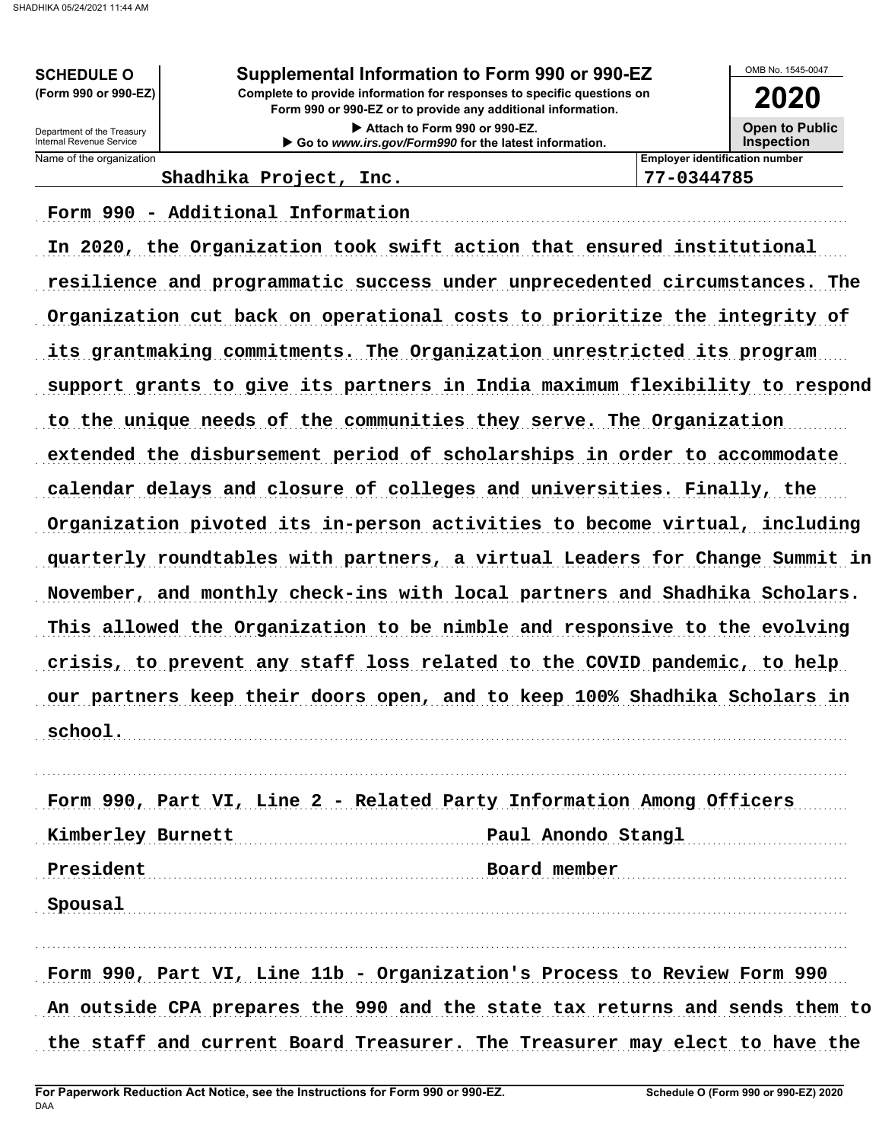**SCHEDULE O** (Form 990 or 990-EZ)

Supplemental Information to Form 990 or 990-EZ

Complete to provide information for responses to specific questions on Form 990 or 990-EZ or to provide any additional information.

> Attach to Form 990 or 990-EZ. Go to www.irs.gov/Form990 for the latest information.

OMB No. 1545-0047 2020

**Open to Public** 

**Inspection** 

Department of the Treasury<br>Internal Revenue Service Name of the organization

**Employer identification number** 77-0344785

Shadhika Project, Inc.

Form 990 - Additional Information

In 2020, the Organization took swift action that ensured institutional resilience and programmatic success under unprecedented circumstances. The Organization cut back on operational costs to prioritize the integrity of its grantmaking commitments. The Organization unrestricted its program support grants to give its partners in India maximum flexibility to respond to the unique needs of the communities they serve. The Organization extended the disbursement period of scholarships in order to accommodate calendar delays and closure of colleges and universities. Finally, the Organization pivoted its in-person activities to become virtual, including quarterly roundtables with partners, a virtual Leaders for Change Summit in November, and monthly check-ins with local partners and Shadhika Scholars. This allowed the Organization to be nimble and responsive to the evolving crisis, to prevent any staff loss related to the COVID pandemic, to help our partners keep their doors open, and to keep 100% Shadhika Scholars in school.

Form 990, Part VI, Line 2 - Related Party Information Among Officers Kimberley Burnett Paul Anondo Stangl President Board member Spousal

Form 990, Part VI, Line 11b - Organization's Process to Review Form 990 An outside CPA prepares the 990 and the state tax returns and sends them to the staff and current Board Treasurer. The Treasurer may elect to have the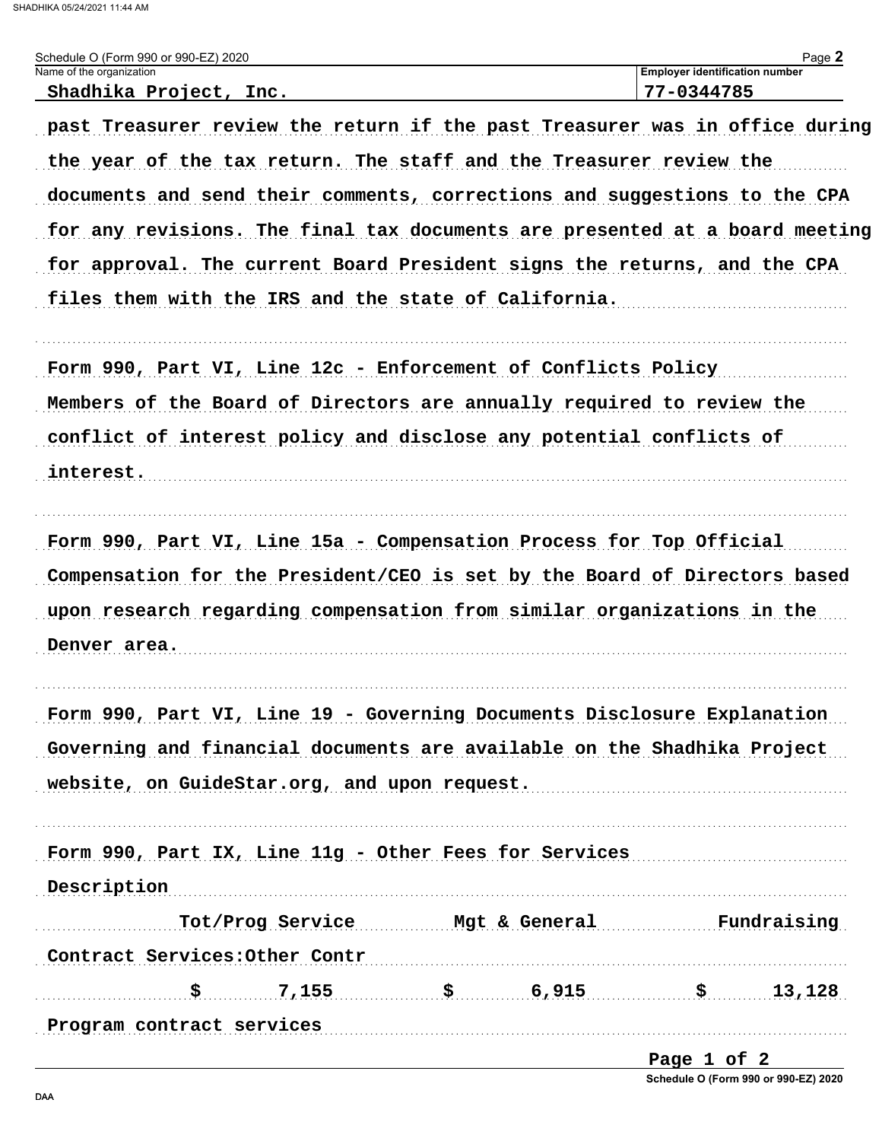SHADHIKA 05/24/2021 11:44 AM

| Schedule O (Form 990 or 990-EZ) 2020<br>Name of the organization            |                                            |                     | <b>Employer identification number</b> | Page 2 |
|-----------------------------------------------------------------------------|--------------------------------------------|---------------------|---------------------------------------|--------|
| Shadhika Project, Inc.                                                      |                                            |                     | 77-0344785                            |        |
| past Treasurer review the return if the past Treasurer was in office during |                                            |                     |                                       |        |
| the year of the tax return. The staff and the Treasurer review the          |                                            |                     |                                       |        |
| documents and send their comments, corrections and suggestions to the CPA   |                                            |                     |                                       |        |
| for any revisions. The final tax documents are presented at a board meeting |                                            |                     |                                       |        |
| for approval. The current Board President signs the returns, and the CPA    |                                            |                     |                                       |        |
| files them with the IRS and the state of California.                        |                                            |                     |                                       |        |
| Form 990, Part VI, Line 12c - Enforcement of Conflicts Policy               |                                            |                     |                                       |        |
| Members of the Board of Directors are annually required to review the       |                                            |                     |                                       |        |
| conflict of interest policy and disclose any potential conflicts of         |                                            |                     |                                       |        |
| interest.                                                                   |                                            |                     |                                       |        |
| Form 990, Part VI, Line 15a - Compensation Process for Top Official         |                                            |                     |                                       |        |
| Compensation for the President/CEO is set by the Board of Directors based   |                                            |                     |                                       |        |
| upon research regarding compensation from similar organizations in the      |                                            |                     |                                       |        |
| Denver area.                                                                |                                            |                     |                                       |        |
| Form 990, Part VI, Line 19 - Governing Documents Disclosure Explanation     |                                            |                     |                                       |        |
| Governing and financial documents are available on the Shadhika Project     |                                            |                     |                                       |        |
| website, on GuideStar.org, and upon request.                                |                                            |                     |                                       |        |
| Form 990, Part IX, Line 11g - Other Fees for Services                       |                                            |                     |                                       |        |
| Description                                                                 |                                            |                     |                                       |        |
|                                                                             | Tot/Prog Service Mgt & General Fundraising |                     |                                       |        |
| Contract Services: Other Contr                                              |                                            |                     |                                       |        |
| \$                                                                          | 7,155                                      | $\frac{1}{5}$ 6,915 | $\ddot{\mathbf{s}}$                   | 13,128 |
| Program contract services                                                   |                                            |                     |                                       |        |

Page 1 of 2